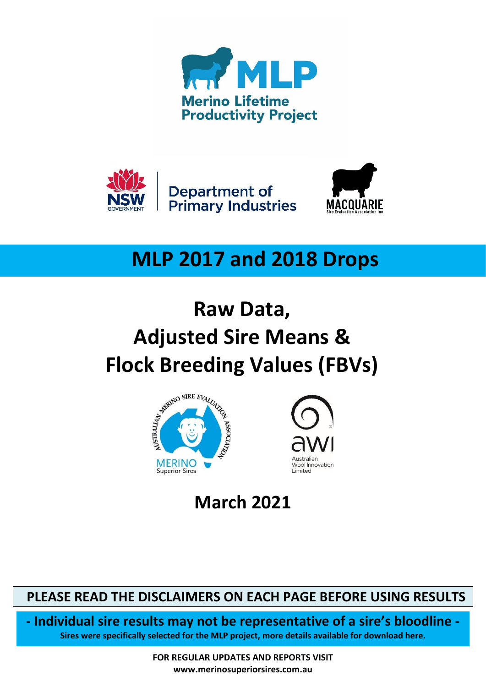





# **MLP 2017 and 2018 Drops**

# **Raw Data, Adjusted Sire Means &**





**March 2021**

 **PLEASE READ THE DISCLAIMERS ON EACH PAGE BEFORE USING RESULTS** 

**- Individual sire results may not be representative of a sire's bloodline - Sires were specifically selected for the MLP project, [more details available for download here.](https://merinosuperiorsires.com.au/wp-content/uploads/2020/08/COMMS-Merino-Lifetime-Productivity-Project-Sire-Selection-Process-and-Stocktake-290806.pdf)**

> **FOR REGULAR UPDATES AND REPORTS VISIT www.merinosuperiorsires.com.au**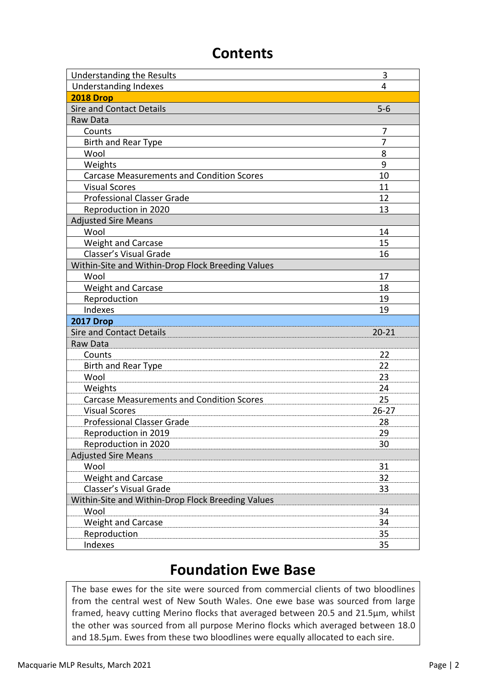### **Contents**

| <b>Understanding the Results</b>                  | 3         |
|---------------------------------------------------|-----------|
| <b>Understanding Indexes</b>                      | 4         |
| <b>2018 Drop</b>                                  |           |
| <b>Sire and Contact Details</b>                   | $5-6$     |
| Raw Data                                          |           |
| Counts                                            | 7         |
| <b>Birth and Rear Type</b>                        | 7         |
| Wool                                              | 8         |
| Weights                                           | 9         |
| <b>Carcase Measurements and Condition Scores</b>  | 10        |
| <b>Visual Scores</b>                              | 11        |
| <b>Professional Classer Grade</b>                 | 12        |
| Reproduction in 2020                              | 13        |
| <b>Adjusted Sire Means</b>                        |           |
| Wool                                              | 14        |
| <b>Weight and Carcase</b>                         | 15        |
| Classer's Visual Grade                            | 16        |
| Within-Site and Within-Drop Flock Breeding Values |           |
| Wool                                              | 17        |
| <b>Weight and Carcase</b>                         | 18        |
| Reproduction                                      | 19        |
| Indexes                                           | 19        |
| <b>2017 Drop</b>                                  |           |
| <b>Sire and Contact Details</b>                   | $20 - 21$ |
| Raw Data                                          |           |
| Counts                                            | 22        |
| Birth and Rear Type                               | 22        |
| Wool                                              | 23        |
| Weights                                           | 24        |
| <b>Carcase Measurements and Condition Scores</b>  | 25        |
| <b>Visual Scores</b>                              | $26 - 27$ |
| <b>Professional Classer Grade</b>                 | 28        |
| Reproduction in 2019                              | 29        |
| Reproduction in 2020                              | 30        |
| <b>Adjusted Sire Means</b>                        |           |
| Wool                                              | 31        |
| <b>Weight and Carcase</b>                         | 32        |
| Classer's Visual Grade                            | 33        |
| Within-Site and Within-Drop Flock Breeding Values |           |
| Wool                                              | 34        |
| <b>Weight and Carcase</b>                         | 34        |
| Reproduction                                      | 35        |
| Indexes                                           | 35        |

### **Foundation Ewe Base**

The base ewes for the site were sourced from commercial clients of two bloodlines from the central west of New South Wales. One ewe base was sourced from large framed, heavy cutting Merino flocks that averaged between 20.5 and 21.5µm, whilst the other was sourced from all purpose Merino flocks which averaged between 18.0 and 18.5µm. Ewes from these two bloodlines were equally allocated to each sire.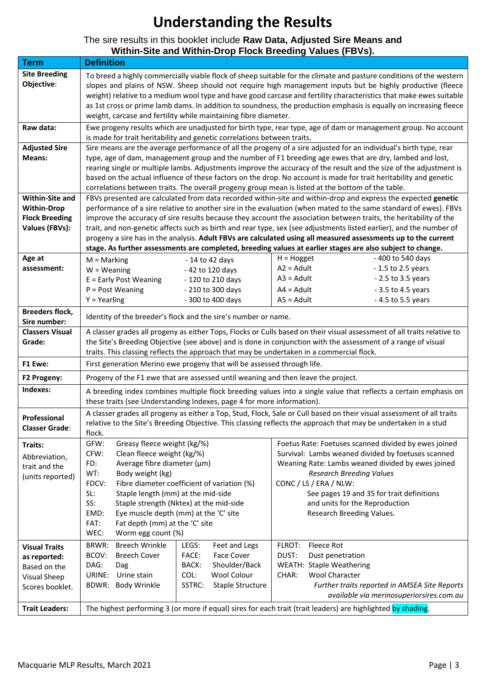# **Understanding the Results**

#### The sire results in this booklet include **Raw Data, Adjusted Sire Means and Within-Site and Within-Drop Flock Breeding Values (FBVs).**

| <b>Term</b>                            | <b>Definition</b>                                                                                                                                                                                                                                                                                                                                                                                                                                                                                                                                                         |                                           |                                                                                                                                                                                                                                                                                                                                                                                                                                                                               |  |  |  |  |  |  |  |  |  |  |  |  |
|----------------------------------------|---------------------------------------------------------------------------------------------------------------------------------------------------------------------------------------------------------------------------------------------------------------------------------------------------------------------------------------------------------------------------------------------------------------------------------------------------------------------------------------------------------------------------------------------------------------------------|-------------------------------------------|-------------------------------------------------------------------------------------------------------------------------------------------------------------------------------------------------------------------------------------------------------------------------------------------------------------------------------------------------------------------------------------------------------------------------------------------------------------------------------|--|--|--|--|--|--|--|--|--|--|--|--|
| <b>Site Breeding</b><br>Objective:     | weight, carcase and fertility while maintaining fibre diameter.                                                                                                                                                                                                                                                                                                                                                                                                                                                                                                           |                                           | To breed a highly commercially viable flock of sheep suitable for the climate and pasture conditions of the western<br>slopes and plains of NSW. Sheep should not require high management inputs but be highly productive (fleece<br>weight) relative to a medium wool type and have good carcase and fertility characteristics that make ewes suitable<br>as 1st cross or prime lamb dams. In addition to soundness, the production emphasis is equally on increasing fleece |  |  |  |  |  |  |  |  |  |  |  |  |
| Raw data:                              | is made for trait heritability and genetic correlations between traits.                                                                                                                                                                                                                                                                                                                                                                                                                                                                                                   |                                           | Ewe progeny results which are unadjusted for birth type, rear type, age of dam or management group. No account                                                                                                                                                                                                                                                                                                                                                                |  |  |  |  |  |  |  |  |  |  |  |  |
| <b>Adjusted Sire</b>                   |                                                                                                                                                                                                                                                                                                                                                                                                                                                                                                                                                                           |                                           | Sire means are the average performance of all the progeny of a sire adjusted for an individual's birth type, rear                                                                                                                                                                                                                                                                                                                                                             |  |  |  |  |  |  |  |  |  |  |  |  |
| Means:                                 | type, age of dam, management group and the number of F1 breeding age ewes that are dry, lambed and lost,<br>rearing single or multiple lambs. Adjustments improve the accuracy of the result and the size of the adjustment is<br>based on the actual influence of these factors on the drop. No account is made for trait heritability and genetic<br>correlations between traits. The overall progeny group mean is listed at the bottom of the table.<br>FBVs presented are calculated from data recorded within-site and within-drop and express the expected genetic |                                           |                                                                                                                                                                                                                                                                                                                                                                                                                                                                               |  |  |  |  |  |  |  |  |  |  |  |  |
| Within-Site and                        |                                                                                                                                                                                                                                                                                                                                                                                                                                                                                                                                                                           |                                           |                                                                                                                                                                                                                                                                                                                                                                                                                                                                               |  |  |  |  |  |  |  |  |  |  |  |  |
| <b>Within-Drop</b>                     | performance of a sire relative to another sire in the evaluation (when mated to the same standard of ewes). FBVs                                                                                                                                                                                                                                                                                                                                                                                                                                                          |                                           |                                                                                                                                                                                                                                                                                                                                                                                                                                                                               |  |  |  |  |  |  |  |  |  |  |  |  |
| <b>Flock Breeding</b>                  | improve the accuracy of sire results because they account the association between traits, the heritability of the                                                                                                                                                                                                                                                                                                                                                                                                                                                         |                                           |                                                                                                                                                                                                                                                                                                                                                                                                                                                                               |  |  |  |  |  |  |  |  |  |  |  |  |
| <b>Values (FBVs):</b>                  | trait, and non-genetic affects such as birth and rear type, sex (see adjustments listed earlier), and the number of<br>progeny a sire has in the analysis. Adult FBVs are calculated using all measured assessments up to the current                                                                                                                                                                                                                                                                                                                                     |                                           |                                                                                                                                                                                                                                                                                                                                                                                                                                                                               |  |  |  |  |  |  |  |  |  |  |  |  |
|                                        | stage. As further assessments are completed, breeding values at earlier stages are also subject to change.                                                                                                                                                                                                                                                                                                                                                                                                                                                                |                                           |                                                                                                                                                                                                                                                                                                                                                                                                                                                                               |  |  |  |  |  |  |  |  |  |  |  |  |
| Age at                                 | $H = Hogget$<br>- 400 to 540 days<br>$M =$ Marking<br>$-14$ to 42 days<br>$A2 =$ Adult<br>- 1.5 to 2.5 years<br>$W = Weaning$<br>- 42 to 120 days                                                                                                                                                                                                                                                                                                                                                                                                                         |                                           |                                                                                                                                                                                                                                                                                                                                                                                                                                                                               |  |  |  |  |  |  |  |  |  |  |  |  |
| assessment:                            |                                                                                                                                                                                                                                                                                                                                                                                                                                                                                                                                                                           |                                           |                                                                                                                                                                                                                                                                                                                                                                                                                                                                               |  |  |  |  |  |  |  |  |  |  |  |  |
|                                        | E = Early Post Weaning                                                                                                                                                                                                                                                                                                                                                                                                                                                                                                                                                    | - 120 to 210 days                         | $A3 =$ Adult<br>$-2.5$ to 3.5 years                                                                                                                                                                                                                                                                                                                                                                                                                                           |  |  |  |  |  |  |  |  |  |  |  |  |
|                                        | $P = Post Weaning$                                                                                                                                                                                                                                                                                                                                                                                                                                                                                                                                                        | - 210 to 300 days                         | $A4 =$ Adult<br>$-3.5$ to 4.5 years                                                                                                                                                                                                                                                                                                                                                                                                                                           |  |  |  |  |  |  |  |  |  |  |  |  |
|                                        | $Y = Yearing$                                                                                                                                                                                                                                                                                                                                                                                                                                                                                                                                                             | - 300 to 400 days                         | $AS = Adult$<br>- 4.5 to 5.5 years                                                                                                                                                                                                                                                                                                                                                                                                                                            |  |  |  |  |  |  |  |  |  |  |  |  |
| <b>Breeders flock,</b><br>Sire number: | Identity of the breeder's flock and the sire's number or name.                                                                                                                                                                                                                                                                                                                                                                                                                                                                                                            |                                           |                                                                                                                                                                                                                                                                                                                                                                                                                                                                               |  |  |  |  |  |  |  |  |  |  |  |  |
| <b>Classers Visual</b><br>Grade:       |                                                                                                                                                                                                                                                                                                                                                                                                                                                                                                                                                                           |                                           | A classer grades all progeny as either Tops, Flocks or Culls based on their visual assessment of all traits relative to<br>the Site's Breeding Objective (see above) and is done in conjunction with the assessment of a range of visual                                                                                                                                                                                                                                      |  |  |  |  |  |  |  |  |  |  |  |  |
|                                        |                                                                                                                                                                                                                                                                                                                                                                                                                                                                                                                                                                           |                                           | traits. This classing reflects the approach that may be undertaken in a commercial flock.                                                                                                                                                                                                                                                                                                                                                                                     |  |  |  |  |  |  |  |  |  |  |  |  |
| F1 Ewe:                                | First generation Merino ewe progeny that will be assessed through life.                                                                                                                                                                                                                                                                                                                                                                                                                                                                                                   |                                           |                                                                                                                                                                                                                                                                                                                                                                                                                                                                               |  |  |  |  |  |  |  |  |  |  |  |  |
| F2 Progeny:                            | Progeny of the F1 ewe that are assessed until weaning and then leave the project.                                                                                                                                                                                                                                                                                                                                                                                                                                                                                         |                                           |                                                                                                                                                                                                                                                                                                                                                                                                                                                                               |  |  |  |  |  |  |  |  |  |  |  |  |
| Indexes:                               | these traits (see Understanding Indexes, page 4 for more information).                                                                                                                                                                                                                                                                                                                                                                                                                                                                                                    |                                           | A breeding index combines multiple flock breeding values into a single value that reflects a certain emphasis on                                                                                                                                                                                                                                                                                                                                                              |  |  |  |  |  |  |  |  |  |  |  |  |
| Professional<br><b>Classer Grade:</b>  | flock.                                                                                                                                                                                                                                                                                                                                                                                                                                                                                                                                                                    |                                           | A classer grades all progeny as either a Top, Stud, Flock, Sale or Cull based on their visual assessment of all traits<br>relative to the Site's Breeding Objective. This classing reflects the approach that may be undertaken in a stud                                                                                                                                                                                                                                     |  |  |  |  |  |  |  |  |  |  |  |  |
| Traits:<br>Abbreviation,               | Greasy fleece weight (kg/%)<br>GFW:<br>CFW:<br>Clean fleece weight (kg/%)                                                                                                                                                                                                                                                                                                                                                                                                                                                                                                 |                                           | Foetus Rate: Foetuses scanned divided by ewes joined<br>Survival: Lambs weaned divided by foetuses scanned                                                                                                                                                                                                                                                                                                                                                                    |  |  |  |  |  |  |  |  |  |  |  |  |
| trait and the                          | FD:<br>Average fibre diameter (µm)                                                                                                                                                                                                                                                                                                                                                                                                                                                                                                                                        |                                           | Weaning Rate: Lambs weaned divided by ewes joined                                                                                                                                                                                                                                                                                                                                                                                                                             |  |  |  |  |  |  |  |  |  |  |  |  |
| (units reported)                       | WT:<br>Body weight (kg)<br>FDCV:<br>Fibre diameter coefficient of variation (%)                                                                                                                                                                                                                                                                                                                                                                                                                                                                                           |                                           | <b>Research Breeding Values</b><br>CONC / LS / ERA / NLW:                                                                                                                                                                                                                                                                                                                                                                                                                     |  |  |  |  |  |  |  |  |  |  |  |  |
|                                        | SL:<br>Staple length (mm) at the mid-side                                                                                                                                                                                                                                                                                                                                                                                                                                                                                                                                 |                                           | See pages 19 and 35 for trait definitions                                                                                                                                                                                                                                                                                                                                                                                                                                     |  |  |  |  |  |  |  |  |  |  |  |  |
|                                        | SS:<br>Staple strength (Nktex) at the mid-side                                                                                                                                                                                                                                                                                                                                                                                                                                                                                                                            |                                           | and units for the Reproduction                                                                                                                                                                                                                                                                                                                                                                                                                                                |  |  |  |  |  |  |  |  |  |  |  |  |
|                                        | EMD:<br>Eye muscle depth (mm) at the 'C' site                                                                                                                                                                                                                                                                                                                                                                                                                                                                                                                             |                                           | Research Breeding Values.                                                                                                                                                                                                                                                                                                                                                                                                                                                     |  |  |  |  |  |  |  |  |  |  |  |  |
|                                        | FAT:<br>Fat depth (mm) at the 'C' site                                                                                                                                                                                                                                                                                                                                                                                                                                                                                                                                    |                                           |                                                                                                                                                                                                                                                                                                                                                                                                                                                                               |  |  |  |  |  |  |  |  |  |  |  |  |
|                                        | WEC:<br>Worm egg count (%)                                                                                                                                                                                                                                                                                                                                                                                                                                                                                                                                                |                                           |                                                                                                                                                                                                                                                                                                                                                                                                                                                                               |  |  |  |  |  |  |  |  |  |  |  |  |
| <b>Visual Traits</b>                   | <b>Breech Wrinkle</b><br>BRWR:                                                                                                                                                                                                                                                                                                                                                                                                                                                                                                                                            | LEGS:<br>Feet and Legs                    | Fleece Rot<br>FLROT:                                                                                                                                                                                                                                                                                                                                                                                                                                                          |  |  |  |  |  |  |  |  |  |  |  |  |
| as reported:                           | <b>Breech Cover</b><br>BCOV:                                                                                                                                                                                                                                                                                                                                                                                                                                                                                                                                              | FACE:<br><b>Face Cover</b>                | DUST:<br>Dust penetration                                                                                                                                                                                                                                                                                                                                                                                                                                                     |  |  |  |  |  |  |  |  |  |  |  |  |
| Based on the                           | DAG:<br>Dag                                                                                                                                                                                                                                                                                                                                                                                                                                                                                                                                                               | BACK:<br>Shoulder/Back                    | <b>WEATH: Staple Weathering</b><br><b>Wool Character</b>                                                                                                                                                                                                                                                                                                                                                                                                                      |  |  |  |  |  |  |  |  |  |  |  |  |
| Visual Sheep                           | Urine stain<br>COL:<br>URINE:<br>BDWR: Body Wrinkle                                                                                                                                                                                                                                                                                                                                                                                                                                                                                                                       | Wool Colour<br>SSTRC:<br>Staple Structure | CHAR:<br>Further traits reported in AMSEA Site Reports                                                                                                                                                                                                                                                                                                                                                                                                                        |  |  |  |  |  |  |  |  |  |  |  |  |
| Scores booklet.                        |                                                                                                                                                                                                                                                                                                                                                                                                                                                                                                                                                                           |                                           | available via merinosuperiorsires.com.au                                                                                                                                                                                                                                                                                                                                                                                                                                      |  |  |  |  |  |  |  |  |  |  |  |  |
| <b>Trait Leaders:</b>                  |                                                                                                                                                                                                                                                                                                                                                                                                                                                                                                                                                                           |                                           | The highest performing 3 (or more if equal) sires for each trait (trait leaders) are highlighted by shading.                                                                                                                                                                                                                                                                                                                                                                  |  |  |  |  |  |  |  |  |  |  |  |  |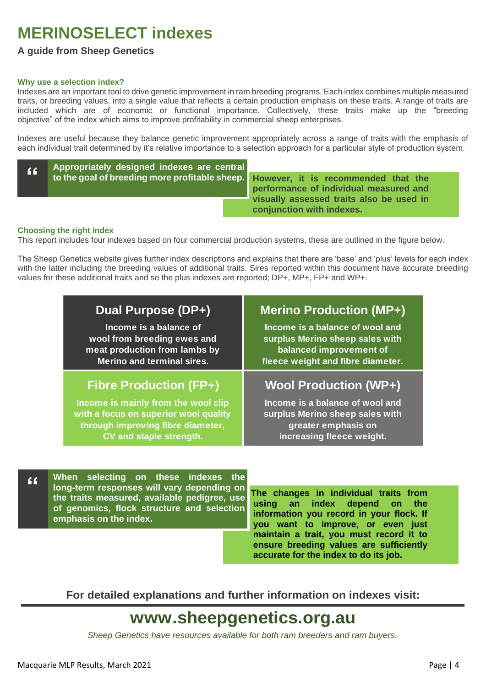# **MERINOSELECT indexes**

#### **A guide from Sheep Genetics**

#### **Why use a selection index?**

Indexes are an important tool to drive genetic improvement in ram breeding programs. Each index combines multiple measured traits, or breeding values, into a single value that reflects a certain production emphasis on these traits. A range of traits are included which are of economic or functional importance. Collectively, these traits make up the "breeding objective" of the index which aims to improve profitability in commercial sheep enterprises.

Indexes are useful because they balance genetic improvement appropriately across a range of traits with the emphasis of each individual trait determined by it's relative importance to a selection approach for a particular style of production system.

| $\overline{11}$ | Appropriately designed indexes are central          |  |
|-----------------|-----------------------------------------------------|--|
|                 | to the goal of breeding more profitable sheep.   Ho |  |
|                 |                                                     |  |

**However, it is recommended that the performance of individual measured and visually assessed traits also be used in conjunction with indexes.**

#### **Choosing the right index**

This report includes four indexes based on four commercial production systems, these are outlined in the figure below.

The Sheep Genetics website gives further index descriptions and explains that there are 'base' and 'plus' levels for each index with the latter including the breeding values of additional traits. Sires reported within this document have accurate breeding values for these additional traits and so the plus indexes are reported; DP+, MP+, FP+ and WP+.

| Dual Purpose (DP+)                    | <b>Merino Production (MP+)</b>    |
|---------------------------------------|-----------------------------------|
| Income is a balance of                | Income is a balance of wool and   |
| wool from breeding ewes and           | surplus Merino sheep sales with   |
| meat production from lambs by         | balanced improvement of           |
| <b>Merino and terminal sires.</b>     | fleece weight and fibre diameter. |
| <b>Fibre Production (FP+)</b>         | <b>Wool Production (WP+)</b>      |
| Income is mainly from the wool clip   | Income is a balance of wool and   |
| with a focus on superior wool quality | surplus Merino sheep sales with   |
| through improving fibre diameter,     | greater emphasis on               |
| CV and staple strength.               | increasing fleece weight.         |

**When selecting on these indexes the long-term responses will vary depending on the traits measured, available pedigree, use of genomics, flock structure and selection emphasis on the index. "**

**The changes in individual traits from using an index depend on the information you record in your flock. If you want to improve, or even just maintain a trait, you must record it to ensure breeding values are sufficiently accurate for the index to do its job.**

**For detailed explanations and further information on indexes visit:**

# **www.sheepgenetics.org.au**

*Sheep Genetics have resources available for both ram breeders and ram buyers.*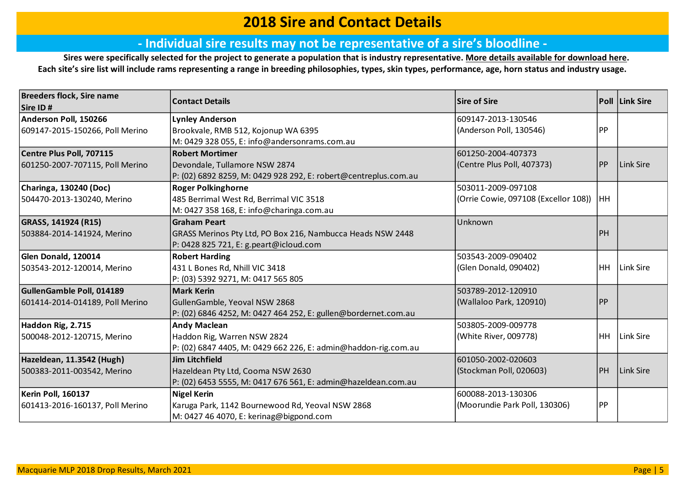#### **2018 Sire and Contact Details**

#### **‐ Individual sire results may not be representative of a sire's bloodline ‐**

**Sires were specifically selected for the project to generate a population that is industry representative. [More details available for](https://merinosuperiorsires.com.au/wp-content/uploads/2020/08/COMMS-Merino-Lifetime-Productivity-Project-Sire-Selection-Process-and-Stocktake-290806.pdf) download here. Each site's sire list will include rams representing a range in breeding philosophies, types, skin types, performance, age, horn status and industry usage.**

| <b>Breeders flock, Sire name</b> | <b>Sire of Sire</b>                                             |                                      | Poll Link Sire |           |
|----------------------------------|-----------------------------------------------------------------|--------------------------------------|----------------|-----------|
| Sire ID#                         | <b>Contact Details</b>                                          |                                      |                |           |
| Anderson Poll, 150266            | <b>Lynley Anderson</b>                                          | 609147-2013-130546                   |                |           |
| 609147-2015-150266, Poll Merino  | Brookvale, RMB 512, Kojonup WA 6395                             | (Anderson Poll, 130546)              | <b>PP</b>      |           |
|                                  | M: 0429 328 055, E: info@andersonrams.com.au                    |                                      |                |           |
| Centre Plus Poll, 707115         | <b>Robert Mortimer</b>                                          | 601250-2004-407373                   |                |           |
| 601250-2007-707115, Poll Merino  | Devondale, Tullamore NSW 2874                                   | (Centre Plus Poll, 407373)           | PP             | Link Sire |
|                                  | P: (02) 6892 8259, M: 0429 928 292, E: robert@centreplus.com.au |                                      |                |           |
| Charinga, 130240 (Doc)           | <b>Roger Polkinghorne</b>                                       | 503011-2009-097108                   |                |           |
| 504470-2013-130240, Merino       | 485 Berrimal West Rd, Berrimal VIC 3518                         | (Orrie Cowie, 097108 (Excellor 108)) | <b>HH</b>      |           |
|                                  | M: 0427 358 168, E: info@charinga.com.au                        |                                      |                |           |
| GRASS, 141924 (R15)              | <b>Graham Peart</b>                                             | Unknown                              |                |           |
| 503884-2014-141924, Merino       | GRASS Merinos Pty Ltd, PO Box 216, Nambucca Heads NSW 2448      |                                      | PH             |           |
|                                  | P: 0428 825 721, E: g.peart@icloud.com                          |                                      |                |           |
| Glen Donald, 120014              | <b>Robert Harding</b>                                           | 503543-2009-090402                   |                |           |
| 503543-2012-120014, Merino       | 431 L Bones Rd, Nhill VIC 3418                                  | (Glen Donald, 090402)                | HH             | Link Sire |
|                                  | P: (03) 5392 9271, M: 0417 565 805                              |                                      |                |           |
| GullenGamble Poll, 014189        | <b>Mark Kerin</b>                                               | 503789-2012-120910                   |                |           |
| 601414-2014-014189, Poll Merino  | GullenGamble, Yeoval NSW 2868                                   | (Wallaloo Park, 120910)              | <b>PP</b>      |           |
|                                  | P: (02) 6846 4252, M: 0427 464 252, E: gullen@bordernet.com.au  |                                      |                |           |
| Haddon Rig, 2.715                | <b>Andy Maclean</b>                                             | 503805-2009-009778                   |                |           |
| 500048-2012-120715, Merino       | Haddon Rig, Warren NSW 2824                                     | (White River, 009778)                | <b>HH</b>      | Link Sire |
|                                  | P: (02) 6847 4405, M: 0429 662 226, E: admin@haddon-rig.com.au  |                                      |                |           |
| Hazeldean, 11.3542 (Hugh)        | Jim Litchfield                                                  | 601050-2002-020603                   |                |           |
| 500383-2011-003542, Merino       | Hazeldean Pty Ltd, Cooma NSW 2630                               | (Stockman Poll, 020603)              | <b>PH</b>      | Link Sire |
|                                  | P: (02) 6453 5555, M: 0417 676 561, E: admin@hazeldean.com.au   |                                      |                |           |
| Kerin Poll, 160137               | <b>Nigel Kerin</b>                                              | 600088-2013-130306                   |                |           |
| 601413-2016-160137, Poll Merino  | Karuga Park, 1142 Bournewood Rd, Yeoval NSW 2868                | (Moorundie Park Poll, 130306)        | <b>PP</b>      |           |
|                                  | M: 0427 46 4070, E: kerinag@bigpond.com                         |                                      |                |           |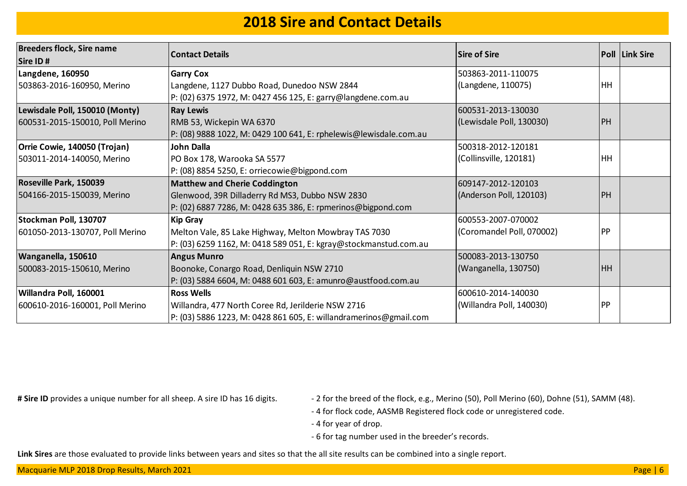#### **2018 Sire and Contact Details**

| <b>Breeders flock, Sire name</b><br>Sire ID# | <b>Contact Details</b>                                            | Sire of Sire              |           | Poll Link Sire |
|----------------------------------------------|-------------------------------------------------------------------|---------------------------|-----------|----------------|
| <b>Langdene, 160950</b>                      | <b>Garry Cox</b>                                                  | 503863-2011-110075        |           |                |
| 503863-2016-160950, Merino                   | Langdene, 1127 Dubbo Road, Dunedoo NSW 2844                       | (Langdene, 110075)        | HH        |                |
|                                              | P: (02) 6375 1972, M: 0427 456 125, E: garry@langdene.com.au      |                           |           |                |
| Lewisdale Poll, 150010 (Monty)               | <b>Ray Lewis</b>                                                  | 600531-2013-130030        |           |                |
| 600531-2015-150010, Poll Merino              | RMB 53, Wickepin WA 6370                                          | (Lewisdale Poll, 130030)  | PH        |                |
|                                              | P: (08) 9888 1022, M: 0429 100 641, E: rphelewis@lewisdale.com.au |                           |           |                |
| Orrie Cowie, 140050 (Trojan)                 | John Dalla                                                        | 500318-2012-120181        |           |                |
| 503011-2014-140050, Merino                   | PO Box 178, Warooka SA 5577                                       | (Collinsville, 120181)    | HH        |                |
|                                              | P: (08) 8854 5250, E: orriecowie@bigpond.com                      |                           |           |                |
| Roseville Park, 150039                       | <b>Matthew and Cherie Coddington</b>                              | 609147-2012-120103        |           |                |
| 504166-2015-150039, Merino                   | Glenwood, 39R Dilladerry Rd MS3, Dubbo NSW 2830                   | (Anderson Poll, 120103)   | PH        |                |
|                                              | P: (02) 6887 7286, M: 0428 635 386, E: rpmerinos@bigpond.com      |                           |           |                |
| Stockman Poll, 130707                        | <b>Kip Gray</b>                                                   | 600553-2007-070002        |           |                |
| 601050-2013-130707, Poll Merino              | Melton Vale, 85 Lake Highway, Melton Mowbray TAS 7030             | (Coromandel Poll, 070002) | PP        |                |
|                                              | P: (03) 6259 1162, M: 0418 589 051, E: kgray@stockmanstud.com.au  |                           |           |                |
| Wanganella, 150610                           | <b>Angus Munro</b>                                                | 500083-2013-130750        |           |                |
| 500083-2015-150610, Merino                   | Boonoke, Conargo Road, Denliquin NSW 2710                         | (Wanganella, 130750)      | <b>HH</b> |                |
|                                              | P: (03) 5884 6604, M: 0488 601 603, E: amunro@austfood.com.au     |                           |           |                |
| Willandra Poll, 160001                       | <b>Ross Wells</b>                                                 | 600610-2014-140030        |           |                |
| 600610-2016-160001, Poll Merino              | Willandra, 477 North Coree Rd, Jerilderie NSW 2716                | (Willandra Poll, 140030)  | PP        |                |
|                                              | P: (03) 5886 1223, M: 0428 861 605, E: willandramerinos@gmail.com |                           |           |                |

- # Sire ID provides a unique number for all sheep. A sire ID has 16 digits.  $-2$  for the breed of the flock, e.g., Merino (50), Poll Merino (60), Dohne (51), SAMM (48).
	- 4 for flock code, AASMB Registered flock code or unregistered code.
	- 4 for year of drop.
	- 6 for tag number used in the breeder's records.

**Link Sires** are those evaluated to provide links between years and sites so that the all site results can be combined into a single report.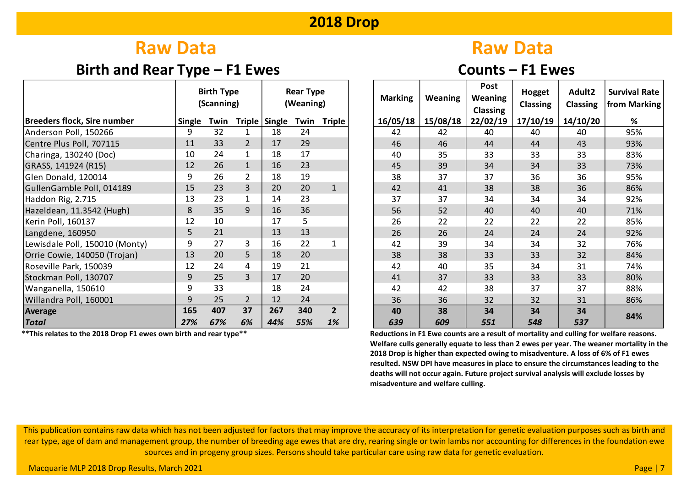# **Raw Data** Raw Data

### **Birth and Rear Type – F1 Ewes Counts – F1 Ewes**

|                                |               | <b>Birth Type</b><br>(Scanning) |                |                  | <b>Rear Type</b><br>(Weaning) |              | <b>Marking</b> | <b>Weaning</b> | Post<br><b>Weaning</b><br><b>Classing</b> | Hogget<br><b>Classing</b> | Adult2<br><b>Classing</b> | Survival<br>from Ma |
|--------------------------------|---------------|---------------------------------|----------------|------------------|-------------------------------|--------------|----------------|----------------|-------------------------------------------|---------------------------|---------------------------|---------------------|
| Breeders flock, Sire number    | <b>Single</b> | Twin                            |                | Triple Single    | <b>Triple</b><br>Twin         |              | 16/05/18       | 15/08/18       | 22/02/19                                  | 17/10/19                  | 14/10/20                  | %                   |
| Anderson Poll, 150266          | 9             | 32                              |                | 18               | 24                            |              | 42             | 42             | 40                                        | 40                        | 40                        | 95%                 |
| Centre Plus Poll, 707115       | 11            | 33                              | $\overline{2}$ | 17               | 29                            |              | 46             | 46             | 44                                        | 44                        | 43                        | 93%                 |
| Charinga, 130240 (Doc)         | 10            | 24                              |                | 18               | 17                            |              | 40             | 35             | 33                                        | 33                        | 33                        | 83%                 |
| GRASS, 141924 (R15)            | 12            | 26                              | $\mathbf{1}$   | 16               | 23                            |              | 45             | 39             | 34                                        | 34                        | 33                        | 73%                 |
| Glen Donald, 120014            | 9             | 26                              |                | 18               | 19                            |              | 38             | 37             | 37                                        | 36                        | 36                        | 95%                 |
| GullenGamble Poll, 014189      | 15            | 23                              | 3              | 20               | 20                            | $\mathbf{1}$ | 42             | 41             | 38                                        | 38                        | 36                        | 86%                 |
| Haddon Rig, 2.715              | 13            | 23                              |                | 14               | 23                            |              | 37             | 37             | 34                                        | 34                        | 34                        | 92%                 |
| Hazeldean, 11.3542 (Hugh)      | 8             | 35                              | 9              | 16               | 36                            |              | 56             | 52             | 40                                        | 40                        | 40                        | 71%                 |
| Kerin Poll, 160137             | 12            | 10                              |                | 17               | 5                             |              | 26             | 22             | 22                                        | 22                        | 22                        | 85%                 |
| Langdene, 160950               | 5             | 21                              |                | 13               | 13                            |              | 26             | 26             | 24                                        | 24                        | 24                        | 92%                 |
| Lewisdale Poll, 150010 (Monty) | 9             | 27                              | 3              | 16               | 22                            | 1            | 42             | 39             | 34                                        | 34                        | 32                        | 76%                 |
| Orrie Cowie, 140050 (Trojan)   | 13            | 20                              | 5              | 18               | 20                            |              | 38             | 38             | 33                                        | 33                        | 32                        | 84%                 |
| Roseville Park, 150039         | 12            | 24                              | 4              | 19               | 21                            |              | 42             | 40             | 35                                        | 34                        | 31                        | 74%                 |
| Stockman Poll, 130707          | 9             | 25                              | 3              | 17               | 20                            |              | 41             | 37             | 33                                        | 33                        | 33                        | 80%                 |
| Wanganella, 150610             | 9             | 33                              |                | 18               | 24                            |              | 42             | 42             | 38                                        | 37                        | 37                        | 88%                 |
| Willandra Poll, 160001         | 9             | 25                              | $\overline{2}$ | 12               | 24                            |              | 36             | 36             | 32                                        | 32                        | 31                        | 86%                 |
| Average                        | 165           | 407                             | 37             | 267              | 340                           | $2^{\circ}$  | 40             | 38             | 34                                        | 34                        | 34                        | 84%                 |
| <b>Total</b>                   | 27%           | 67%                             | 6%             | 44%<br>55%<br>1% |                               | 639          | 609            | 551            | 548                                       | 537                       |                           |                     |

|            | <b>Birth Type</b><br>(Scanning) |                |               | <b>Rear Type</b><br>(Weaning) |                      | <b>Marking</b> | <b>Weaning</b> | Post<br><b>Weaning</b><br><b>Classing</b> | Hogget<br><b>Classing</b> | Adult2<br><b>Classing</b> | <b>Survival Rate</b><br>from Marking |
|------------|---------------------------------|----------------|---------------|-------------------------------|----------------------|----------------|----------------|-------------------------------------------|---------------------------|---------------------------|--------------------------------------|
| Single     | Twin                            |                | Triple Single |                               | Twin Triple          | 16/05/18       | 15/08/18       | 22/02/19                                  | 17/10/19                  | 14/10/20                  | %                                    |
| 9          | 32                              | 1              | 18            | 24                            |                      | 42             | 42             | 40                                        | 40                        | 40                        | 95%                                  |
| 11         | 33                              | $\overline{2}$ | 17            | 29                            |                      | 46             | 46             | 44                                        | 44                        | 43                        | 93%                                  |
| 10         | 24                              | $\mathbf{1}$   | 18            | 17                            |                      | 40             | 35             | 33                                        | 33                        | 33                        | 83%                                  |
| 12         | 26                              | $\mathbf 1$    | 16            | 23                            |                      | 45             | 39             | 34                                        | 34                        | 33                        | 73%                                  |
| 9          | 26                              | $\overline{2}$ | 18            | 19                            |                      | 38             | 37             | 37                                        | 36                        | 36                        | 95%                                  |
| 15         | 23                              | 3              | 20            | 20                            | $\mathbf{1}$         | 42             | 41             | 38                                        | 38                        | 36                        | 86%                                  |
| 13         | 23                              | $\mathbf 1$    | 14            | 23                            |                      | 37             | 37             | 34                                        | 34                        | 34                        | 92%                                  |
| 8          | 35                              | 9              | 16            | 36                            |                      | 56             | 52             | 40                                        | 40                        | 40                        | 71%                                  |
| 12         | 10                              |                | 17            | 5                             |                      | 26             | 22             | 22                                        | 22                        | 22                        | 85%                                  |
| 5          | 21                              |                | 13            | 13                            |                      | 26             | 26             | 24                                        | 24                        | 24                        | 92%                                  |
| 9          | 27                              | 3              | 16            | 22                            | $\mathbf{1}$         | 42             | 39             | 34                                        | 34                        | 32                        | 76%                                  |
| 13         | 20                              | 5              | 18            | 20                            |                      | 38             | 38             | 33                                        | 33                        | 32                        | 84%                                  |
| 12         | 24                              | 4              | 19            | 21                            |                      | 42             | 40             | 35                                        | 34                        | 31                        | 74%                                  |
| 9          | 25                              | 3              | 17            | 20                            |                      | 41             | 37             | 33                                        | 33                        | 33                        | 80%                                  |
| 9          | 33                              |                | 18            | 24                            |                      | 42             | 42             | 38                                        | 37                        | 37                        | 88%                                  |
| 9          | 25                              | $\overline{2}$ | 12            | 24                            |                      | 36             | 36             | 32                                        | 32                        | 31                        | 86%                                  |
| 165<br>27% | 407<br>67%                      | 37<br>6%       | 267<br>44%    | 340<br>55%                    | $\overline{2}$<br>1% | 40<br>639      | 38<br>609      | 34<br>551                                 | 34<br>548                 | 34<br>537                 | 84%                                  |

 **\*\*This relates to the 2018 Drop F1 ewes own birth and rear type\*\* Reductions in F1 Ewe counts are a result of mortality and culling for welfare reasons. Welfare culls generally equate to less than 2 ewes per year. The weaner mortality in the 2018 Drop is higher than expected owing to misadventure. A loss of 6% of F1 ewes resulted. NSW DPI have measures in place to ensure the circumstances leading to the deaths will not occur again. Future project survival analysis will exclude losses by misadventure and welfare culling.**

This publication contains raw data which has not been adjusted for factors that may improve the accuracy of its interpretation for genetic evaluation purposes such as birth and rear type, age of dam and management group, the number of breeding age ewes that are dry, rearing single or twin lambs nor accounting for differences in the foundation ewe sources and in progeny group sizes. Persons should take particular care using raw data for genetic evaluation.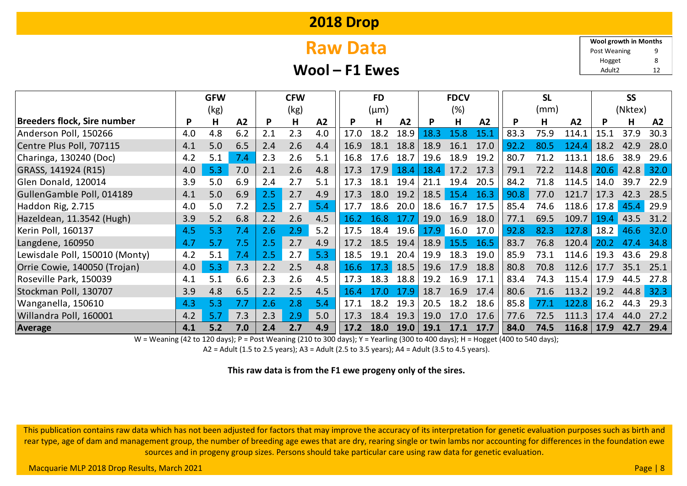# **Raw Data**

**Wool – F1 Ewes**

9 8 **Wool growth in Months** Post Weaning

Hogget

Adult2 12

|                                    |     | <b>GFW</b> | <b>CFW</b> |     |      |     | <b>FD</b> |           |      | <b>FDCV</b> |      |      | <b>SL</b> |      | <b>SS</b>      |         |      |      |
|------------------------------------|-----|------------|------------|-----|------|-----|-----------|-----------|------|-------------|------|------|-----------|------|----------------|---------|------|------|
|                                    |     | (kg)       |            |     | (kg) |     |           | $(\mu m)$ |      |             | (%)  |      |           | (mm) |                | (Nktex) |      |      |
| <b>Breeders flock, Sire number</b> | P   | H          | A2         | P   | Н    | A2  | <b>P</b>  | н         | A2   |             | н    | A2   | P         | н    | A <sub>2</sub> | P       | Н    | A2   |
| Anderson Poll, 150266              | 4.0 | 4.8        | 6.2        | 2.1 | 2.3  | 4.0 | 17.0      | 18.2      | 18.9 | 18.3        | 15.8 | 15.1 | 83.3      | 75.9 | 114.1          | 15.1    | 37.9 | 30.3 |
| Centre Plus Poll, 707115           | 4.1 | 5.0        | 6.5        | 2.4 | 2.6  | 4.4 | 16.9      | 18.1      | 18.8 | 18.9        | 16.1 | 17.0 | 92.2      | 80.5 | 124.4          | 18.2    | 42.9 | 28.0 |
| Charinga, 130240 (Doc)             | 4.2 | 5.1        | 7.4        | 2.3 | 2.6  | 5.1 | 16.8      | 17.6      | 18.7 | 19.6        | 18.9 | 19.2 | 80.7      | 71.2 | 113.1          | 18.6    | 38.9 | 29.6 |
| GRASS, 141924 (R15)                | 4.0 | 5.3        | 7.0        | 2.1 | 2.6  | 4.8 | 17.3      | 17.9      | 18.4 | 18.4        | 17.2 | 17.3 | 79.1      | 72.2 | 114.8          | 20.6    | 42.8 | 32.0 |
| Glen Donald, 120014                | 3.9 | 5.0        | 6.9        | 2.4 | 2.7  | 5.1 | 17.3      | 18.1      | 19.4 | 21.1        | 19.4 | 20.5 | 84.2      | 71.8 | 114.5          | 14.0    | 39.7 | 22.9 |
| GullenGamble Poll, 014189          | 4.1 | 5.0        | 6.9        | 2.5 | 2.7  | 4.9 | 17.3      | 18.0      | 19.2 | 18.5        | 15.4 | 16.3 | 90.8      | 77.0 | 121.7          | 17.3    | 42.3 | 28.5 |
| Haddon Rig, 2.715                  | 4.0 | 5.0        | 7.2        | 2.5 | 2.7  | 5.4 | 17.7      | 18.6      | 20.0 | 18.6        | 16.7 | 17.5 | 85.4      | 74.6 | 118.6          | 17.8    | 45.4 | 29.9 |
| Hazeldean, 11.3542 (Hugh)          | 3.9 | 5.2        | 6.8        | 2.2 | 2.6  | 4.5 | 16.2      | 16.8      | 17.7 | 19.0        | 16.9 | 18.0 | 77.1      | 69.5 | 109.7          | 19.4    | 43.5 | 31.2 |
| Kerin Poll, 160137                 | 4.5 | 5.3        | 7.4        | 2.6 | 2.9  | 5.2 | 17.5      | 18.4      | 19.6 | 17.9        | 16.0 | 17.0 | 92.8      | 82.3 | 127.8          | 18.2    | 46.6 | 32.0 |
| Langdene, 160950                   | 4.7 | 5.7        | 7.5        | 2.5 | 2.7  | 4.9 | 17.2      | 18.5      | 19.4 | 18.9        | 15.5 | 16.5 | 83.7      | 76.8 | 120.4          | 20.2    | 47.4 | 34.8 |
| Lewisdale Poll, 150010 (Monty)     | 4.2 | 5.1        | 7.4        | 2.5 | 2.7  | 5.3 | 18.5      | 19.1      | 20.4 | 19.9        | 18.3 | 19.0 | 85.9      | 73.1 | 114.6          | 19.3    | 43.6 | 29.8 |
| Orrie Cowie, 140050 (Trojan)       | 4.0 | 5.3        | 7.3        | 2.2 | 2.5  | 4.8 | 16.6      | 17.3      | 18.5 | 19.6        | 17.9 | 18.8 | 80.8      | 70.8 | 112.6          | 17.7    | 35.1 | 25.1 |
| Roseville Park, 150039             | 4.1 | 5.1        | 6.6        | 2.3 | 2.6  | 4.5 | 17.3      | 18.3      | 18.8 | 19.2        | 16.9 | 17.1 | 83.4      | 74.3 | 115.4          | 17.9    | 44.5 | 27.8 |
| Stockman Poll, 130707              | 3.9 | 4.8        | 6.5        | 2.2 | 2.5  | 4.5 | 16.4      |           | 17.9 | 18.7        | 16.9 | 17.4 | 80.6      | 71.6 | 113.2          | 19.2    | 44.8 | 32.3 |
| Wanganella, 150610                 | 4.3 | 5.3        | 7.7        | 2.6 | 2.8  | 5.4 | 17.1      | 18.2      | 19.3 | 20.5        | 18.2 | 18.6 | 85.8      | 77.1 | 122.8          | 16.2    | 44.3 | 29.3 |
| Willandra Poll, 160001             | 4.2 | 5.7        | 7.3        | 2.3 | 2.9  | 5.0 | 17.3      | 18.4      | 19.3 | 19.0        | 17.0 | 17.6 | 77.6      | 72.5 | 111.3          | 17.4    | 44.0 | 27.2 |
| <b>Average</b>                     | 4.1 | 5.2        | 7.0        | 2.4 | 2.7  | 4.9 | 17.2      | 18.0      | 19.0 | 19.1        | 17.1 | 17.7 | 84.0      | 74.5 | 116.8          | 17.9    | 42.7 | 29.4 |

W = Weaning (42 to 120 days); P = Post Weaning (210 to 300 days); Y = Yearling (300 to 400 days); H = Hogget (400 to 540 days);

A2 = Adult (1.5 to 2.5 years); A3 = Adult (2.5 to 3.5 years); A4 = Adult (3.5 to 4.5 years).

**This raw data is from the F1 ewe progeny only of the sires.**

This publication contains raw data which has not been adjusted for factors that may improve the accuracy of its interpretation for genetic evaluation purposes such as birth and rear type, age of dam and management group, the number of breeding age ewes that are dry, rearing single or twin lambs nor accounting for differences in the foundation ewe sources and in progeny group sizes. Persons should take particular care using raw data for genetic evaluation.

Macquarie MLP 2018 Drop Results, March 2021 **Page | 8** November 2021 Page | 8 November 2021 Page | 8 November 2021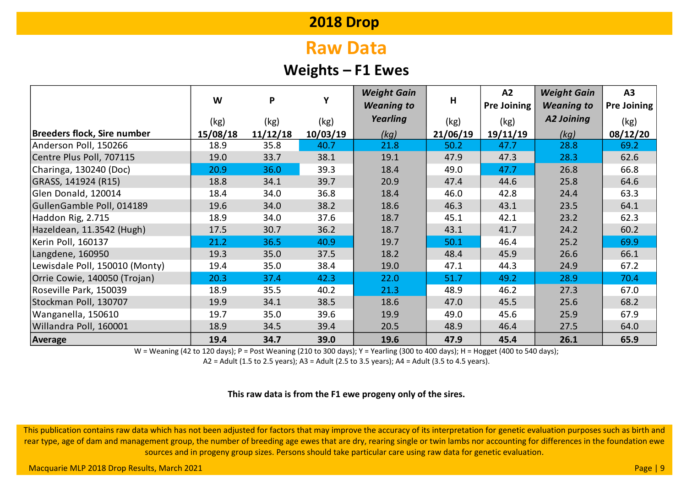# **Raw Data**

### **Weights – F1 Ewes**

|                                    |          |          |          | <b>Weight Gain</b> |          | A2                 | <b>Weight Gain</b> | A3                 |  |
|------------------------------------|----------|----------|----------|--------------------|----------|--------------------|--------------------|--------------------|--|
|                                    | W        | P        | Υ        | <b>Weaning to</b>  | Н        | <b>Pre Joining</b> | <b>Weaning to</b>  | <b>Pre Joining</b> |  |
|                                    | (kg)     | (kg)     | (kg)     | Yearling           | (kg)     | (kg)               | <b>A2 Joining</b>  | (kg)               |  |
| <b>Breeders flock, Sire number</b> | 15/08/18 | 11/12/18 | 10/03/19 | (kg)               | 21/06/19 | 19/11/19           | (kg)               | 08/12/20           |  |
| Anderson Poll, 150266              | 18.9     | 35.8     | 40.7     | 21.8               | 50.2     | 47.7               | 28.8               | 69.2               |  |
| Centre Plus Poll, 707115           | 19.0     | 33.7     | 38.1     | 19.1               | 47.9     | 47.3               | 28.3               | 62.6               |  |
| Charinga, 130240 (Doc)             | 20.9     | 36.0     | 39.3     | 18.4               | 49.0     | 47.7               | 26.8               | 66.8               |  |
| GRASS, 141924 (R15)                | 18.8     | 34.1     | 39.7     | 20.9               | 47.4     | 44.6               | 25.8               | 64.6               |  |
| Glen Donald, 120014                | 18.4     | 34.0     | 36.8     | 18.4               | 46.0     | 42.8               | 24.4               | 63.3               |  |
| GullenGamble Poll, 014189          | 19.6     | 34.0     | 38.2     | 18.6               | 46.3     | 43.1               | 23.5               | 64.1               |  |
| Haddon Rig, 2.715                  | 18.9     | 34.0     | 37.6     | 18.7               | 45.1     | 42.1               | 23.2               | 62.3               |  |
| Hazeldean, 11.3542 (Hugh)          | 17.5     | 30.7     | 36.2     | 18.7               | 43.1     | 41.7               | 24.2               | 60.2               |  |
| Kerin Poll, 160137                 | 21.2     | 36.5     | 40.9     | 19.7               | 50.1     | 46.4               | 25.2               | 69.9               |  |
| Langdene, 160950                   | 19.3     | 35.0     | 37.5     | 18.2               | 48.4     | 45.9               | 26.6               | 66.1               |  |
| Lewisdale Poll, 150010 (Monty)     | 19.4     | 35.0     | 38.4     | 19.0               | 47.1     | 44.3               | 24.9               | 67.2               |  |
| Orrie Cowie, 140050 (Trojan)       | 20.3     | 37.4     | 42.3     | 22.0               | 51.7     | 49.2               | 28.9               | 70.4               |  |
| Roseville Park, 150039             | 18.9     | 35.5     | 40.2     | 21.3               | 48.9     | 46.2               | 27.3               | 67.0               |  |
| Stockman Poll, 130707              | 19.9     | 34.1     | 38.5     | 18.6               | 47.0     | 45.5               | 25.6               | 68.2               |  |
| Wanganella, 150610                 | 19.7     | 35.0     | 39.6     | 19.9               | 49.0     | 45.6               | 25.9               | 67.9               |  |
| Willandra Poll, 160001             | 18.9     | 34.5     | 39.4     | 20.5               | 48.9     | 46.4               | 27.5               | 64.0               |  |
| Average                            | 19.4     | 34.7     | 39.0     | 19.6               | 47.9     | 45.4               | 26.1               | 65.9               |  |

W = Weaning (42 to 120 days); P = Post Weaning (210 to 300 days); Y = Yearling (300 to 400 days); H = Hogget (400 to 540 days);

A2 = Adult (1.5 to 2.5 years); A3 = Adult (2.5 to 3.5 years); A4 = Adult (3.5 to 4.5 years).

**This raw data is from the F1 ewe progeny only of the sires.**

This publication contains raw data which has not been adjusted for factors that may improve the accuracy of its interpretation for genetic evaluation purposes such as birth and rear type, age of dam and management group, the number of breeding age ewes that are dry, rearing single or twin lambs nor accounting for differences in the foundation ewe sources and in progeny group sizes. Persons should take particular care using raw data for genetic evaluation.

Macquarie MLP 2018 Drop Results, March 2021 **Page | 9** November 2021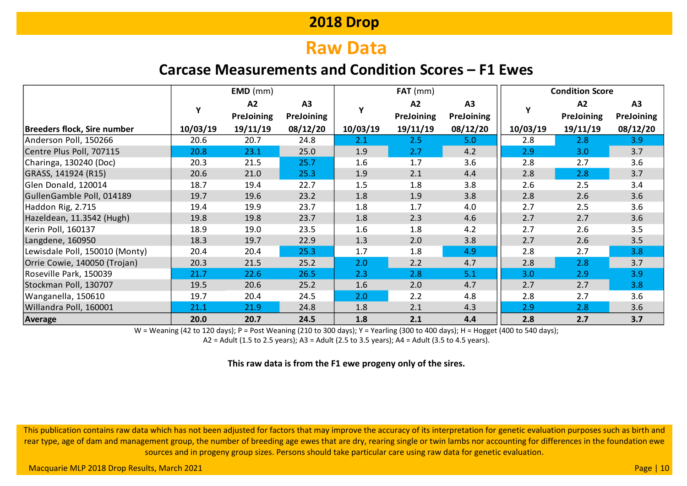# **Raw Data**

### **Carcase Measurements and Condition Scores – F1 Ewes**

|                                    |          | $EMD$ (mm) |                   |             | $FAT$ (mm) |            | <b>Condition Score</b> |                   |                   |  |  |  |  |
|------------------------------------|----------|------------|-------------------|-------------|------------|------------|------------------------|-------------------|-------------------|--|--|--|--|
|                                    | Y        | A2         | A3                | $\mathbf v$ | A2         | A3         |                        | A2                | A3                |  |  |  |  |
|                                    |          | PreJoining | <b>PreJoining</b> |             | PreJoining | PreJoining |                        | <b>PreJoining</b> | <b>PreJoining</b> |  |  |  |  |
| <b>Breeders flock, Sire number</b> | 10/03/19 | 19/11/19   | 08/12/20          | 10/03/19    | 19/11/19   | 08/12/20   | 10/03/19               | 19/11/19          | 08/12/20          |  |  |  |  |
| Anderson Poll, 150266              | 20.6     | 20.7       | 24.8              | 2.1         | 2.5        | 5.0        | 2.8                    | 2.8               | 3.9               |  |  |  |  |
| Centre Plus Poll, 707115           | 20.8     | 23.1       | 25.0              | 1.9         | 2.7        | 4.2        | 2.9                    | 3.0               | 3.7               |  |  |  |  |
| Charinga, 130240 (Doc)             | 20.3     | 21.5       | 25.7              | 1.6         | 1.7        | 3.6        | 2.8                    | 2.7               | 3.6               |  |  |  |  |
| GRASS, 141924 (R15)                | 20.6     | 21.0       | 25.3              | 1.9         | 2.1        | 4.4        | 2.8                    | 2.8               | 3.7               |  |  |  |  |
| Glen Donald, 120014                | 18.7     | 19.4       | 22.7              | 1.5         | 1.8        | 3.8        | 2.6                    | 2.5               | 3.4               |  |  |  |  |
| GullenGamble Poll, 014189          | 19.7     | 19.6       | 23.2              | 1.8         | 1.9        | 3.8        | 2.8                    | 2.6               | 3.6               |  |  |  |  |
| Haddon Rig, 2.715                  | 19.4     | 19.9       | 23.7              | 1.8         | 1.7        | 4.0        | 2.7                    | 2.5               | 3.6               |  |  |  |  |
| Hazeldean, 11.3542 (Hugh)          | 19.8     | 19.8       | 23.7              | 1.8         | 2.3        | 4.6        | 2.7                    | 2.7               | 3.6               |  |  |  |  |
| Kerin Poll, 160137                 | 18.9     | 19.0       | 23.5              | 1.6         | 1.8        | 4.2        | 2.7                    | 2.6               | 3.5               |  |  |  |  |
| Langdene, 160950                   | 18.3     | 19.7       | 22.9              | 1.3         | 2.0        | 3.8        | 2.7                    | 2.6               | 3.5               |  |  |  |  |
| Lewisdale Poll, 150010 (Monty)     | 20.4     | 20.4       | 25.3              | 1.7         | 1.8        | 4.9        | 2.8                    | 2.7               | 3.8               |  |  |  |  |
| Orrie Cowie, 140050 (Trojan)       | 20.3     | 21.5       | 25.2              | 2.0         | 2.2        | 4.7        | 2.8                    | 2.8               | 3.7               |  |  |  |  |
| Roseville Park, 150039             | 21.7     | 22.6       | 26.5              | 2.3         | 2.8        | 5.1        | 3.0                    | 2.9               | 3.9               |  |  |  |  |
| Stockman Poll, 130707              | 19.5     | 20.6       | 25.2              | 1.6         | 2.0        | 4.7        | 2.7                    | 2.7               | 3.8               |  |  |  |  |
| Wanganella, 150610                 | 19.7     | 20.4       | 24.5              | 2.0         | 2.2        | 4.8        | 2.8                    | 2.7               | 3.6               |  |  |  |  |
| Willandra Poll, 160001             | 21.1     | 21.9       | 24.8              | 1.8         | 2.1        | 4.3        | 2.9                    | 2.8               | 3.6               |  |  |  |  |
| Average                            | 20.0     | 20.7       | 24.5              | 1.8         | 2.1        | 4.4        | 2.8                    | 2.7               | 3.7               |  |  |  |  |

W = Weaning (42 to 120 days); P = Post Weaning (210 to 300 days); Y = Yearling (300 to 400 days); H = Hogget (400 to 540 days);

A2 = Adult (1.5 to 2.5 years); A3 = Adult (2.5 to 3.5 years); A4 = Adult (3.5 to 4.5 years).

#### **This raw data is from the F1 ewe progeny only of the sires.**

This publication contains raw data which has not been adjusted for factors that may improve the accuracy of its interpretation for genetic evaluation purposes such as birth and rear type, age of dam and management group, the number of breeding age ewes that are dry, rearing single or twin lambs nor accounting for differences in the foundation ewe sources and in progeny group sizes. Persons should take particular care using raw data for genetic evaluation.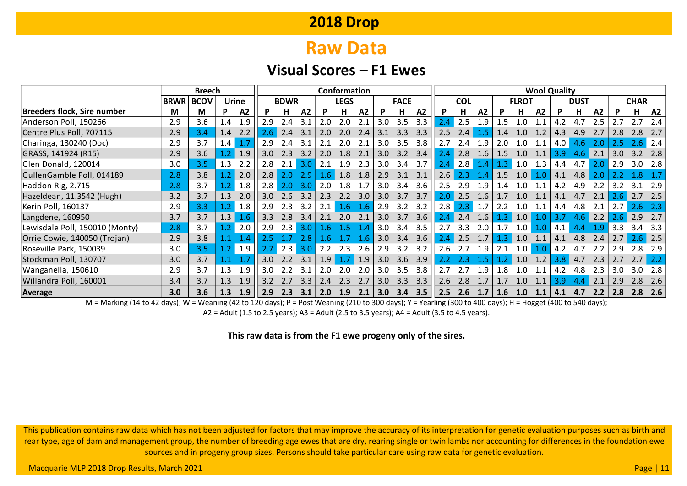# **Raw Data**

#### **Visual Scores – F1 Ewes**

|                                |             | <b>Breech</b> | Conformation |                 |                  |             |     |                  |             | <b>Wool Quality</b> |                  |             |             |      |            |     |                  |     |     |     |                  |     |                  |                  |                   |
|--------------------------------|-------------|---------------|--------------|-----------------|------------------|-------------|-----|------------------|-------------|---------------------|------------------|-------------|-------------|------|------------|-----|------------------|-----|-----|-----|------------------|-----|------------------|------------------|-------------------|
|                                | <b>BRWR</b> | <b>BCOV</b>   |              | <b>Urine</b>    |                  | <b>BDWR</b> |     |                  | <b>LEGS</b> |                     |                  | <b>FACE</b> |             |      | <b>COL</b> |     | <b>FLROT</b>     |     |     |     | <b>DUST</b>      |     |                  | <b>CHAR</b>      |                   |
| Breeders flock, Sire number    | M           | М             | D            | A <sub>2</sub>  |                  | H.          | A2  | P                | н           | A2                  | P                | н           | A2          | P    | н          | A2  |                  | н   | A2  | P   | н.               | A2  | P                | н                | <b>A2</b>         |
| Anderson Poll, 150266          | 2.9         | 3.6           | 1.4          | 1.9             | 2.9              | 2.4         | 3.1 | 2.0              | 2.0         | 2.1                 | 3.0              | 3.5         | 3.3         | 2.4  | 2.5        | 1.9 | 1.5              | 1.0 |     | 4.2 | 4.7              | 2.5 |                  | 2.7              | 2.4               |
| Centre Plus Poll, 707115       | 2.9         | 3.4           | 1.4          | 2.2             | 2.6              | 2.4         | 3.1 | 2.0              | 2.0         | 2.4                 | 3.1              | 3.3         | 3.3         | 2.5  | 2.4        |     | 1.4              | 1.0 | 1.2 | 4.3 | 4.9              |     | 2.8              |                  | 2.7               |
| Charinga, 130240 (Doc)         | 2.9         | 3.7           | 1.4          | 1.7             | 2.9              | 2.4         | 3.1 | 2.1              | 2.0         | 2.1                 | 3.0              | 3.5         | 3.8         | 2.7  | 2.4        | 1.9 | 2.0              | 1.0 | 1.1 | 4.0 | 4.6              | 2.0 | 2.5              | 2.6              | $\vert 2.4 \vert$ |
| GRASS, 141924 (R15)            | 2.9         | 3.6           | 1.2          | 1.9             | 3.0              | 2.3         | 3.2 | 2.0              | 1.8         | 2.1                 | 3.0              |             | $3.2$ $3.4$ | 2.4  | 2.8        | 1.6 | 1.5              | 1.0 | 1.1 | 3.9 | 4.6              | 2.1 | 3.0 <sub>2</sub> | 3.2              | 2.8               |
| Glen Donald, 120014            | 3.0         | 3.5           | 1.3          | 2.2             | 2.8              | 2.1         | 3.0 | 2.1              | 1.9         | 2.3                 | 3.0              | 3.4         | 3.7         | 2.4' | 2.8        | 1.4 | 1.3 <sub>1</sub> | 1.0 | 1.3 | 4.4 | 4.7 <sub>l</sub> | 2.0 | 2.9              | 3.0 <sub>1</sub> | 2.8               |
| GullenGamble Poll, 014189      | 2.8         | 3.8           |              | 2.0             | 2.8              | 2.0         | 2.9 | 1.6 <sub>1</sub> | 1.8         | 1.8                 | 2.9              | 3.1         | 3.1         | 2.6  | 2.3        | 1.4 | 1.5              | 1.0 | 1.0 | 4.1 | 4.8              | 2.0 |                  | 8                |                   |
| Haddon Rig, 2.715              | 2.8         | 3.7           |              | 1.8             | 2.8              | 2.0         | 3.0 | 2.0              | 1.8         | 1.7                 | 3.0 <sub>1</sub> | 3.4         | 3.6         | 2.5  | 2.9        | 1.9 | 1.4              | 1.0 | 1.1 | 4.2 | 4.9              | 2.2 | 3.2              | 3.1              | 2.9               |
| Hazeldean, 11.3542 (Hugh)      | 3.2         | 3.7           | 1.3          | 2.0             | 3.0 <sub>2</sub> | 2.6         | 3.2 | 2.3              | 2.2         | 3.0                 | 3.0 <sub>1</sub> | 3.7         | 3.7         | 2.0  | 2.5        | 1.6 | 1.7              | 1.0 | 1.1 | 4.1 | 4.7              | 2.1 | $2.6^{\circ}$    | 2.7              | 2.5               |
| Kerin Poll, 160137             | 2.9         | 3.3           | $\cdot$ .2   | 1.8             | 2.9              | 2.3         | 3.2 | 2.1              | 1.6         | 1.6                 | 2.9              | 3.2         | 3.2         | 2.8  | 2.3        | 1.7 | 2.2              | 1.0 | 1.1 | 4.4 | 4.8              | 2.1 | 2.7              | 2.6              | $-2.3$            |
| Langdene, 160950               | 3.7         | 3.7           | 1.3          | 1.6             | 3.3              | 2.8         | 3.4 | 2.1              | 2.0         | 2.1                 | 3.0              | 3.7         | 3.6         | 2.4  | 2.4        | 1.6 | <b>B</b>         | 1.0 | 1.0 | 3.7 | 4.6              | 2.2 | 2.6              | 2.9              | 2.7               |
| Lewisdale Poll, 150010 (Monty) | 2.8         | 3.7           | 1.2          | 2.0             | 2.9              | 2.3         | 3.0 | 1.6              | 1.5         | -1.4                | 3.0              | 3.4         | 3.5         | 2.7  | 3.3        | 2.0 | 1.7              | 1.0 | 1.0 | 4.1 | 4.4              | 1.9 | 3.3              |                  | 3.3               |
| Orrie Cowie, 140050 (Trojan)   | 2.9         | 3.8           |              | -1.4            | 2.5              |             | 2.8 | -1.6             | 1.7         | 1.6                 | 3.0              | 3.4         | 3.6         | 2.4  | 2.5        | 1.7 | 1.3              | 1.0 | 1.1 | 4.1 | 4.8              | 2.4 | 2.7              | $2.6$ 2.5        |                   |
| Roseville Park, 150039         | 3.0         | 3.5           |              | $1.2 \quad 1.9$ |                  | 2.3         | 3.0 | 2.2              | 2.3         | 2.6                 | 2.9              | 3.2         | 3.2         | 2.6  | 2.7        | 1.9 | 2.1              | 1.0 | 1.0 | 4.2 | 4.7              | 2.2 | 2.9              | 2.8              | 2.9               |
| Stockman Poll, 130707          | 3.0         | 3.7           |              |                 | 3.0              | 2.2         | 3.1 | 1.9              | 1.7         | 1.9                 | 3.0 <sub>2</sub> |             | $3.6$ $3.9$ | 2.2  | 2.3        |     |                  | 1.0 | 1.2 | 3.8 | 4.7              | 2.3 | 2.7              | 2.7              |                   |
| Wanganella, 150610             | 2.9         | 3.7           | 1.3          | 1.9             | 3.0              | 2.2         | 3.1 | 2.0              | 2.0         | 2.0                 | 3.0              | 3.5         | 3.8         | 2.7  | 2.7        | 1.9 | 1.8              | 1.0 | 1.1 | 4.2 | 4.8              | 2.3 | 3.0 <sub>2</sub> | 3.0              | 2.8               |
| Willandra Poll, 160001         | 3.4         | 3.7           | 1.3          | 1.9             | 3.2              |             | 3.3 | 2.4              | 2.3         | 2.7                 | 3.0              | 3.3         | 3.3         | 2.6  | 2.8        |     |                  | 1.0 |     | 3.9 | 4.4              |     | 2.9              |                  | 2.6               |
| Average                        | 3.0         | 3.6           | 1.3          | 1.9             | 2.9              | 2.3         | 3.1 | 2.0              | 1.9         | 2.1                 | 3.0              | 3.4         | 3.5         | 2.5  | 2.6        | 1.7 | 1.6              | 1.0 | 1.1 | 4.1 | 4.7              | 2.2 | 2.8              | 2.8              | 2.6               |

M = Marking (14 to 42 days); W = Weaning (42 to 120 days); P = Post Weaning (210 to 300 days); Y = Yearling (300 to 400 days); H = Hogget (400 to 540 days); A2 = Adult (1.5 to 2.5 years); A3 = Adult (2.5 to 3.5 years); A4 = Adult (3.5 to 4.5 years).

**This raw data is from the F1 ewe progeny only of the sires.**

This publication contains raw data which has not been adjusted for factors that may improve the accuracy of its interpretation for genetic evaluation purposes such as birth and rear type, age of dam and management group, the number of breeding age ewes that are dry, rearing single or twin lambs nor accounting for differences in the foundation ewe sources and in progeny group sizes. Persons should take particular care using raw data for genetic evaluation.

Macquarie MLP 2018 Drop Results, March 2021 **Page | 11** November 2021 Page | 12 November 2021 Page | 12 November 2021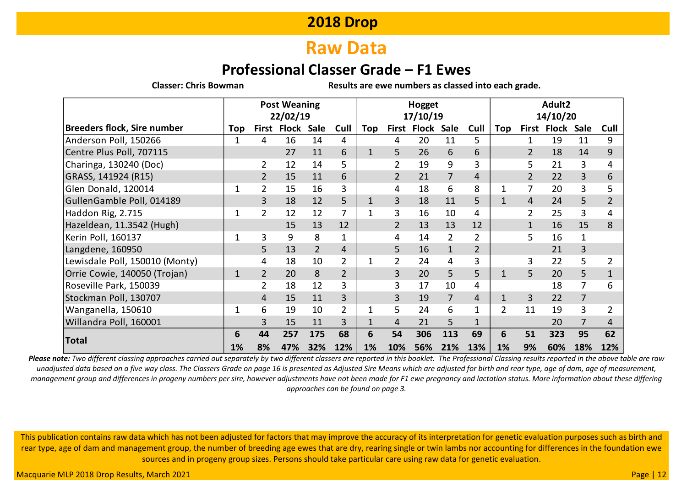### **Raw Data**

### **Professional Classer Grade – F1 Ewes**

**Classer: Chris Bowman Results are ewe numbers as classed into each grade.**

|                                | <b>Post Weaning</b> |                |             |                | Hogget         |     |                |                    |                | Adult2         |                |                |              |                |                |
|--------------------------------|---------------------|----------------|-------------|----------------|----------------|-----|----------------|--------------------|----------------|----------------|----------------|----------------|--------------|----------------|----------------|
|                                |                     | 22/02/19       |             |                |                |     |                | 17/10/19           |                |                |                |                | 14/10/20     |                |                |
| Breeders flock, Sire number    | Top                 |                | First Flock | Sale           | Cull           | Top |                | <b>First Flock</b> | Sale           | Cull           | Top            | First          | <b>Flock</b> | <b>Sale</b>    | Cull           |
| Anderson Poll, 150266          | 1                   | 4              | 16          | 14             | 4              |     | 4              | 20                 | 11             | 5              |                | 1              | 19           | 11             | 9              |
| Centre Plus Poll, 707115       |                     |                | 27          | 11             | 6              | 1   | 5              | 26                 | 6              | 6              |                | $\overline{2}$ | 18           | 14             | 9              |
| Charinga, 130240 (Doc)         |                     | 2              | 12          | 14             | 5              |     | $\overline{2}$ | 19                 | 9              | 3              |                | 5              | 21           | 3              | 4              |
| GRASS, 141924 (R15)            |                     |                | 15          | 11             | 6              |     |                | 21                 | $\overline{7}$ | 4              |                | $\overline{2}$ | 22           | 3              | 6              |
| Glen Donald, 120014            | 1                   | 2              | 15          | 16             | 3              |     | 4              | 18                 | 6              | 8              | 1              | 7              | 20           | 3              | 5              |
| GullenGamble Poll, 014189      |                     | 3              | 18          | 12             | 5              | 1   | 3              | 18                 | 11             | 5              | $\mathbf{1}$   | 4              | 24           | 5.             | $\overline{2}$ |
| Haddon Rig, 2.715              | 1                   | 2              | 12          | 12             | 7              |     | 3              | 16                 | 10             | 4              |                | $\overline{2}$ | 25           | 3              | 4              |
| Hazeldean, 11.3542 (Hugh)      |                     |                | 15          | 13             | 12             |     | $\overline{2}$ | 13                 | 13             | 12             |                | $\mathbf{1}$   | 16           | 15             | 8              |
| Kerin Poll, 160137             | 1                   | 3              | 9           | 8              | $\mathbf{1}$   |     | 4              | 14                 | $\overline{2}$ | $\overline{2}$ |                | 5              | 16           | $\mathbf{1}$   |                |
| Langdene, 160950               |                     | 5              | 13          | $\overline{2}$ | $\overline{4}$ |     | 5              | 16                 | $\mathbf{1}$   | $\overline{2}$ |                |                | 21           | 3              |                |
| Lewisdale Poll, 150010 (Monty) |                     | 4              | 18          | 10             | $\overline{2}$ |     | $\overline{2}$ | 24                 | 4              | 3              |                | 3              | 22           | 5              | $\overline{2}$ |
| Orrie Cowie, 140050 (Trojan)   | $\mathbf{1}$        | $\overline{2}$ | 20          | 8              | $\overline{2}$ |     | 3              | 20                 | 5              | 5              | $\mathbf{1}$   | 5              | 20           | 5              | $\mathbf{1}$   |
| Roseville Park, 150039         |                     | 2              | 18          | 12             | 3              |     | 3              | 17                 | 10             | 4              |                |                | 18           |                | 6              |
| Stockman Poll, 130707          |                     | 4              | 15          | 11             | 3              |     | 3              | 19                 | $\overline{7}$ | 4              | $\mathbf{1}$   | 3              | 22           | $\overline{7}$ |                |
| Wanganella, 150610             | 1                   | 6              | 19          | 10             | $\overline{2}$ |     | 5              | 24                 | 6              |                | $\overline{2}$ | 11             | 19           | 3              | 2              |
| Willandra Poll, 160001         |                     | 3              | 15          | 11             | 3              |     | 4              | 21                 | 5              | $\mathbf{1}$   |                |                | 20           | 7              | 4              |
|                                | 6                   | 44             | 257         | 175            | 68             | 6   | 54             | 306                | 113            | 69             | 6              | 51             | 323          | 95             | 62             |
| <b>Total</b>                   | 1%                  | 8%             | 47%         | 32%            | 12%            | 1%  | 10%            | 56%                | 21%            | 13%            | 1%             | 9%             | 60%          | 18%            | 12%            |

*Please note: Two different classing approaches carried out separately by two different classers are reported in this booklet. The Professional Classing results reported in the above table are raw unadjusted data based on a five way class. The Classers Grade on page 16 is presented as Adjusted Sire Means which are adjusted for birth and rear type, age of dam, age of measurement, management group and differences in progeny numbers per sire, however adjustments have not been made for F1 ewe pregnancy and lactation status. More information about these differing approaches can be found on page 3.*

This publication contains raw data which has not been adjusted for factors that may improve the accuracy of its interpretation for genetic evaluation purposes such as birth and rear type, age of dam and management group, the number of breeding age ewes that are dry, rearing single or twin lambs nor accounting for differences in the foundation ewe sources and in progeny group sizes. Persons should take particular care using raw data for genetic evaluation.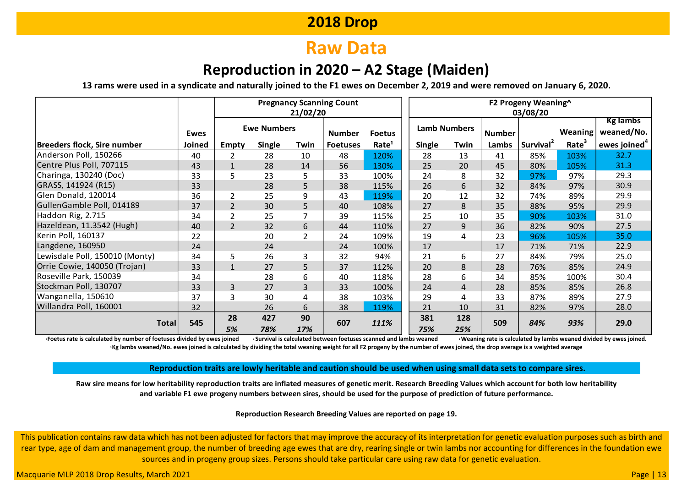# **Raw Data**

### **Reproduction in 2020 – A2 Stage (Maiden)**

**13 rams were used in a syndicate and naturally joined to the F1 ewes on December 2, 2019 and were removed on January 6, 2020.**

|                                |               | <b>Pregnancy Scanning Count</b><br>21/02/20 |                    |                |                 |                   | F2 Progeny Weaning^<br>03/08/20 |                     |               |                       |                   |                               |  |  |  |
|--------------------------------|---------------|---------------------------------------------|--------------------|----------------|-----------------|-------------------|---------------------------------|---------------------|---------------|-----------------------|-------------------|-------------------------------|--|--|--|
|                                | <b>Ewes</b>   |                                             | <b>Ewe Numbers</b> |                | <b>Number</b>   | <b>Foetus</b>     |                                 | <b>Lamb Numbers</b> | <b>Number</b> |                       | <b>Weaning</b>    | <b>Kg lambs</b><br>weaned/No. |  |  |  |
| Breeders flock, Sire number    | <b>Joined</b> | <b>Empty</b>                                | <b>Single</b>      | Twin           | <b>Foetuses</b> | Rate <sup>1</sup> | <b>Single</b>                   | Twin                | Lambs         | Survival <sup>2</sup> | Rate <sup>3</sup> | ewes joined $4$               |  |  |  |
| Anderson Poll, 150266          | 40            | $\overline{2}$                              | 28                 | 10             | 48              | 120%              | 28                              | 13                  | 41            | 85%                   | 103%              | 32.7                          |  |  |  |
| Centre Plus Poll, 707115       | 43            | $\mathbf{1}$                                | 28                 | 14             | 56              | 130%              | 25                              | 20                  | 45            | 80%                   | 105%              | 31.3                          |  |  |  |
| Charinga, 130240 (Doc)         | 33            | 5                                           | 23                 | 5              | 33              | 100%              | 24                              | 8                   | 32            | 97%                   | 97%               | 29.3                          |  |  |  |
| GRASS, 141924 (R15)            | 33            |                                             | 28                 | 5 <sup>5</sup> | 38              | 115%              | 26                              | 6                   | 32            | 84%                   | 97%               | 30.9                          |  |  |  |
| Glen Donald, 120014            | 36            | 2                                           | 25                 | 9              | 43              | 119%              | 20                              | 12                  | 32            | 74%                   | 89%               | 29.9                          |  |  |  |
| GullenGamble Poll, 014189      | 37            | $\overline{2}$                              | 30                 | 5              | 40              | 108%              | 27                              | 8                   | 35            | 88%                   | 95%               | 29.9                          |  |  |  |
| Haddon Rig, 2.715              | 34            | $\overline{2}$                              | 25                 | $\overline{7}$ | 39              | 115%              | 25                              | 10                  | 35            | 90%                   | 103%              | 31.0                          |  |  |  |
| Hazeldean, 11.3542 (Hugh)      | 40            | $\overline{2}$                              | 32                 | 6              | 44              | 110%              | 27                              | 9                   | 36            | 82%                   | 90%               | 27.5                          |  |  |  |
| Kerin Poll, 160137             | 22            |                                             | 20                 | $\overline{2}$ | 24              | 109%              | 19                              | 4                   | 23            | 96%                   | 105%              | 35.0                          |  |  |  |
| Langdene, 160950               | 24            |                                             | 24                 |                | 24              | 100%              | 17                              |                     | 17            | 71%                   | 71%               | 22.9                          |  |  |  |
| Lewisdale Poll, 150010 (Monty) | 34            | 5                                           | 26                 | 3              | 32              | 94%               | 21                              | 6                   | 27            | 84%                   | 79%               | 25.0                          |  |  |  |
| Orrie Cowie, 140050 (Trojan)   | 33            | $\mathbf{1}$                                | 27                 | 5              | 37              | 112%              | 20                              | 8                   | 28            | 76%                   | 85%               | 24.9                          |  |  |  |
| Roseville Park, 150039         | 34            |                                             | 28                 | 6              | 40              | 118%              | 28                              | 6                   | 34            | 85%                   | 100%              | 30.4                          |  |  |  |
| Stockman Poll, 130707          | 33            | 3                                           | 27                 | 3              | 33              | 100%              | 24                              | 4                   | 28            | 85%                   | 85%               | 26.8                          |  |  |  |
| Wanganella, 150610             | 37            | 3                                           | 30                 | 4              | 38              | 103%              | 29                              | 4                   | 33            | 87%                   | 89%               | 27.9                          |  |  |  |
| Willandra Poll, 160001         | 32            |                                             | 26                 | 6              | 38              | 119%              | 21                              | 10                  | 31            | 82%                   | 97%               | 28.0                          |  |  |  |
| Total                          | 545           | 28                                          | 427                | 90             | 607             | 111%              | 381                             | 128                 | 509           | 84%                   | 93%               | 29.0                          |  |  |  |
|                                |               | 5%                                          | 78%                | 17%            |                 |                   | 75%                             | 25%                 |               |                       |                   |                               |  |  |  |

Foetus rate is calculated by number of foetuses divided by ewes joined <br>Foetus rate is calculated by lambs weaned divided by ewes joined. **<sup>4</sup>Kg lambs weaned/No. ewes joined is calculated by dividing the total weaning weight for all F2 progeny by the number of ewes joined, the drop average is a weighted average**

**Reproduction traits are lowly heritable and caution should be used when using small data sets to compare sires.**

**Raw sire means for low heritability reproduction traits are inflated measures of genetic merit. Research Breeding Values which account for both low heritability and variable F1 ewe progeny numbers between sires, should be used for the purpose of prediction of future performance.**

#### **Reproduction Research Breeding Values are reported on page 19.**

This publication contains raw data which has not been adjusted for factors that may improve the accuracy of its interpretation for genetic evaluation purposes such as birth and rear type, age of dam and management group, the number of breeding age ewes that are dry, rearing single or twin lambs nor accounting for differences in the foundation ewe sources and in progeny group sizes. Persons should take particular care using raw data for genetic evaluation.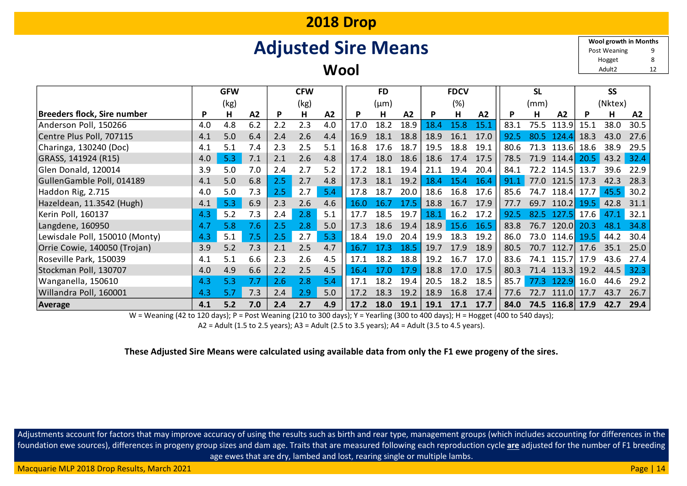# **Adjusted Sire Means**

**Wool**

9 8 Adult2 12 **Wool growth in Months** Hogget Post Weaning

|                                |     | <b>GFW</b> |     |     | <b>CFW</b> |     |      | <b>FD</b> |      |      | <b>FDCV</b> |                |      | <b>SL</b> |            |      | <b>SS</b> |      |
|--------------------------------|-----|------------|-----|-----|------------|-----|------|-----------|------|------|-------------|----------------|------|-----------|------------|------|-----------|------|
|                                |     | (kg)       |     |     | (kg)       |     |      | (µm)      |      |      | (%)         |                |      | (mm)      |            |      | (Nktex)   |      |
| Breeders flock, Sire number    | P   | н          | A2  | P   | н          | A2  | P    | н         | A2   | P    | н           | A <sub>2</sub> | P    | н         | A2         |      | н         | A2   |
| Anderson Poll, 150266          | 4.0 | 4.8        | 6.2 | 2.2 | 2.3        | 4.0 | 17.0 | 18.2      | 18.9 | 18.4 | 15.8        | 15.1           | 83.1 | 75.5      | 113.9      | 15.1 | 38.0      | 30.5 |
| Centre Plus Poll, 707115       | 4.1 | 5.0        | 6.4 | 2.4 | 2.6        | 4.4 | 16.9 | 18.1      | 18.8 | 18.9 | 16.1        | 17.0           | 92.5 | 80.5      | 1 2 4 A    | 18.3 | 43.0      | 27.6 |
| Charinga, 130240 (Doc)         | 4.1 | 5.1        | 7.4 | 2.3 | 2.5        | 5.1 | 16.8 | 17.6      | 18.7 | 19.5 | 18.8        | 19.1           | 80.6 | 71.3      | 113.6      | 18.6 | 38.9      | 29.5 |
| GRASS, 141924 (R15)            | 4.0 | 5.3        | 7.1 | 2.1 | 2.6        | 4.8 | 17.4 | 18.0      | 18.6 | 18.6 | 17.4        | 17.5           | 78.5 | 71.9      | 114.4      | 20.5 | 43.2      | 32.4 |
| Glen Donald, 120014            | 3.9 | 5.0        | 7.0 | 2.4 | 2.7        | 5.2 | 17.2 | 18.1      | 19.4 | 21.1 | 19.4        | 20.4           | 84.1 | 72.2      | 114.5      | 13.7 | 39.6      | 22.9 |
| GullenGamble Poll, 014189      | 4.1 | 5.0        | 6.8 | 2.5 | 2.7        | 4.8 | 17.3 | 18.1      | 19.2 | 18.4 | 15.4        | 16.4           | 91.1 | 77.0      | 121.5      | 17.3 | 42.3      | 28.3 |
| Haddon Rig, 2.715              | 4.0 | 5.0        | 7.3 | 2.5 | 2.7        | 5.4 | 17.8 | 18.7      | 20.0 | 18.6 | 16.8        | 17.6           | 85.6 | 74.7      | 118.4      | 17.7 | 45.5      | 30.2 |
| Hazeldean, 11.3542 (Hugh)      | 4.1 | 5.3        | 6.9 | 2.3 | 2.6        | 4.6 | 16.0 | 16.7      | 17.5 | 18.8 | 16.7        | 17.9           | 77.7 | 69.7      | 110.2      | 19.5 | 42.8      | 31.1 |
| Kerin Poll, 160137             | 4.3 | 5.2        | 7.3 | 2.4 | 2.8        | 5.1 | 17.7 | 18.5      | 19.7 | 18.1 | 16.2        | 17.2           | 92.5 | 82.5      | $-127.5$   | 17.6 | 47.1      | 32.1 |
| Langdene, 160950               | 4.7 | 5.8        | 7.6 | 2.5 | 2.8        | 5.0 | 17.3 | 18.6      | 19.4 | 18.9 | 15.6        | 16.5           | 83.8 | 76.7      | 120.0      | 20.3 | 48.1      | 34.8 |
| Lewisdale Poll, 150010 (Monty) | 4.3 | 5.1        | 7.5 | 2.5 | 2.7        | 5.3 | 18.4 | 19.0      | 20.4 | 19.9 | 18.3        | 19.2           | 86.0 | 73.0      | 114.6      | 19.5 | 44.2      | 30.4 |
| Orrie Cowie, 140050 (Trojan)   | 3.9 | 5.2        | 7.3 | 2.1 | 2.5        | 4.7 | 16.7 | 17.3      | 18.5 | 19.7 | 17.9        | 18.9           | 80.5 | 70.7      | 112.7      | 17.6 | 35.1      | 25.0 |
| Roseville Park, 150039         | 4.1 | 5.1        | 6.6 | 2.3 | 2.6        | 4.5 | 17.1 | 18.2      | 18.8 | 19.2 | 16.7        | 17.0           | 83.6 | 74.1      | 115.7l     | 17.9 | 43.6      | 27.4 |
| Stockman Poll, 130707          | 4.0 | 4.9        | 6.6 | 2.2 | 2.5        | 4.5 | 16.4 | 17.0      | 17.9 | 18.8 | 17.0        | 17.5           | 80.3 | 71.4      | 113.3      | 19.2 | 44.5      | 32.3 |
| Wanganella, 150610             | 4.3 | 5.3        | 7.7 | 2.6 | 2.8        | 5.4 | 17.1 | 18.2      | 19.4 | 20.5 | 18.2        | 18.5           | 85.7 | 77.3      | 122.9      | 16.0 | 44.6      | 29.2 |
| Willandra Poll, 160001         | 4.3 | 5.7        | 7.3 | 2.4 | 2.9        | 5.0 | 17.2 | 18.3      | 19.2 | 18.9 | 16.8        | 17.4           | 77.6 | 72.7      | 111.0      | 17.7 | 43.7      | 26.7 |
| Average                        | 4.1 | 5.2        | 7.0 | 2.4 | 2.7        | 4.9 | 17.2 | 18.0      | 19.1 | 19.1 | 17.1        | 17.7           | 84.0 |           | 74.5 116.8 | 17.9 | 42.7      | 29.4 |

W = Weaning (42 to 120 days); P = Post Weaning (210 to 300 days); Y = Yearling (300 to 400 days); H = Hogget (400 to 540 days);

A2 = Adult (1.5 to 2.5 years); A3 = Adult (2.5 to 3.5 years); A4 = Adult (3.5 to 4.5 years).

#### **These Adjusted Sire Means were calculated using available data from only the F1 ewe progeny of the sires.**

Adjustments account for factors that may improve accuracy of using the results such as birth and rear type, management groups (which includes accounting for differences in the foundation ewe sources), differences in progeny group sizes and dam age. Traits that are measured following each reproduction cycle **are** adjusted for the number of F1 breeding age ewes that are dry, lambed and lost, rearing single or multiple lambs.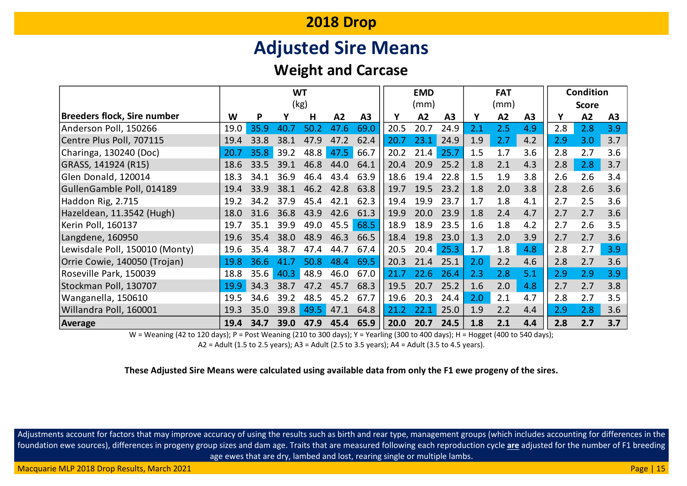# **Adjusted Sire Means**

### **Weight and Carcase**

|                                    | <b>WT</b> |      |      |      |      | <b>EMD</b> |      |      |      | <b>FAT</b> |      | <b>Condition</b> |     |              |                |
|------------------------------------|-----------|------|------|------|------|------------|------|------|------|------------|------|------------------|-----|--------------|----------------|
|                                    |           |      |      | (kg) |      |            |      | (mm) |      |            | (mm) |                  |     | <b>Score</b> |                |
| <b>Breeders flock, Sire number</b> | W         | P    |      | н    | A2   | A3         | Y    | A2   | A3   |            | A2   | A3               | Υ   | A2           | A <sub>3</sub> |
| Anderson Poll, 150266              | 19.0      | 35.9 | 40.7 | 50.2 | 47.6 | 69.0       | 20.5 | 20.7 | 24.9 | 2.1        | 2.5  | 4.9              | 2.8 | 2.8          | 3.9            |
| Centre Plus Poll, 707115           | 19.4      | 33.8 | 38.1 | 47.9 | 47.2 | 62.4       | 20.7 | 23.1 | 24.9 | 1.9        | 2.7  | 4.2              | 2.9 | 3.0          | 3.7            |
| Charinga, 130240 (Doc)             | 20.7      | 35.8 | 39.2 | 48.8 | 47.5 | 66.7       | 20.2 | 21.4 | 25.7 | 1.5        | 1.7  | 3.6              | 2.8 | 2.7          | 3.6            |
| GRASS, 141924 (R15)                | 18.6      | 33.5 | 39.1 | 46.8 | 44.0 | 64.1       | 20.4 | 20.9 | 25.2 | 1.8        | 2.1  | 4.3              | 2.8 | 2.8          | 3.7            |
| Glen Donald, 120014                | 18.3      | 34.1 | 36.9 | 46.4 | 43.4 | 63.9       | 18.6 | 19.4 | 22.8 | 1.5        | 1.9  | 3.8              | 2.6 | 2.6          | 3.4            |
| GullenGamble Poll, 014189          | 19.4      | 33.9 | 38.1 | 46.2 | 42.8 | 63.8       | 19.7 | 19.5 | 23.2 | 1.8        | 2.0  | 3.8              | 2.8 | 2.6          | 3.6            |
| Haddon Rig, 2.715                  | 19.2      | 34.2 | 37.9 | 45.4 | 42.1 | 62.3       | 19.4 | 19.9 | 23.7 | 1.7        | 1.8  | 4.1              | 2.7 | 2.5          | 3.6            |
| Hazeldean, 11.3542 (Hugh)          | 18.0      | 31.6 | 36.8 | 43.9 | 42.6 | 61.3       | 19.9 | 20.0 | 23.9 | 1.8        | 2.4  | 4.7              | 2.7 | 2.7          | 3.6            |
| Kerin Poll, 160137                 | 19.7      | 35.1 | 39.9 | 49.0 | 45.5 | 68.5       | 18.9 | 18.9 | 23.5 | 1.6        | 1.8  | 4.2              | 2.7 | 2.6          | 3.5            |
| Langdene, 160950                   | 19.6      | 35.4 | 38.0 | 48.9 | 46.3 | 66.5       | 18.4 | 19.8 | 23.0 | 1.3        | 2.0  | 3.9              | 2.7 | 2.7          | 3.6            |
| Lewisdale Poll, 150010 (Monty)     | 19.6      | 35.4 | 38.7 | 47.4 | 44.7 | 67.4       | 20.5 | 20.4 | 25.3 | 1.7        | 1.8  | 4.8              | 2.8 | 2.7          | 3.9            |
| Orrie Cowie, 140050 (Trojan)       | 19.8      | 36.6 | 41.7 | 50.8 | 48.4 | 69.5       | 20.3 | 21.4 | 25.1 | 2.0        | 2.2  | 4.6              | 2.8 | 2.7          | 3.6            |
| Roseville Park, 150039             | 18.8      | 35.6 | 40.3 | 48.9 | 46.0 | 67.0       | 21.7 | 22.6 | 26.4 | 2.3        | 2.8  | 5.1              | 2.9 | 2.9          | 3.9            |
| Stockman Poll, 130707              | 19.9      | 34.3 | 38.7 | 47.2 | 45.7 | 68.3       | 19.5 | 20.7 | 25.2 | 1.6        | 2.0  | 4.8              | 2.7 | 2.7          | 3.8            |
| Wanganella, 150610                 | 19.5      | 34.6 | 39.2 | 48.5 | 45.2 | 67.7       | 19.6 | 20.3 | 24.4 | 2.0        | 2.1  | 4.7              | 2.8 | 2.7          | 3.5            |
| Willandra Poll, 160001             | 19.3      | 35.0 | 39.8 | 49.5 | 47.1 | 64.8       | 21.2 | 22.1 | 25.0 | 1.9        | 2.2  | 4.4              | 2.9 | 2.8          | 3.6            |
| Average                            | 19.4      | 34.7 | 39.0 | 47.9 | 45.4 | 65.9       | 20.0 | 20.7 | 24.5 | 1.8        | 2.1  | 4.4              | 2.8 | 2.7          | 3.7            |

W = Weaning (42 to 120 days); P = Post Weaning (210 to 300 days); Y = Yearling (300 to 400 days); H = Hogget (400 to 540 days);

A2 = Adult (1.5 to 2.5 years); A3 = Adult (2.5 to 3.5 years); A4 = Adult (3.5 to 4.5 years).

**These Adjusted Sire Means were calculated using available data from only the F1 ewe progeny of the sires.**

Adjustments account for factors that may improve accuracy of using the results such as birth and rear type, management groups (which includes accounting for differences in the foundation ewe sources), differences in progeny group sizes and dam age. Traits that are measured following each reproduction cycle **are** adjusted for the number of F1 breeding age ewes that are dry, lambed and lost, rearing single or multiple lambs.

Macquarie MLP 2018 Drop Results, March 2021 **Page | 15** November 2021 Page | 15 November 2018 Page | 15 November 2018 Page | 15 November 2021 Page | 15 November 2021 Page | 15 November 2021 Page | 15 November 2021 Page | 1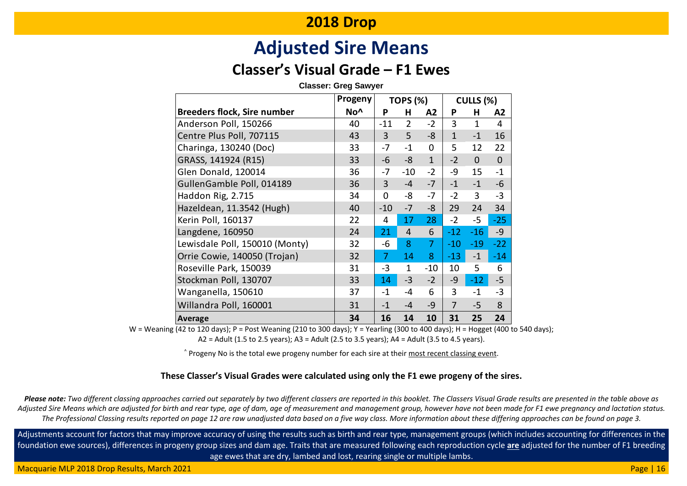# **Adjusted Sire Means**

### **Classer's Visual Grade – F1 Ewes**

#### **Classer: Greg Sawyer**

|                                    | Progeny         |                | <b>TOPS (%)</b> |                |                | CULLS (%)      |                |
|------------------------------------|-----------------|----------------|-----------------|----------------|----------------|----------------|----------------|
| <b>Breeders flock, Sire number</b> | No <sup>^</sup> | P              | н               | A2             | P              | н              | A2             |
| Anderson Poll, 150266              | 40              | $-11$          | $\overline{2}$  | $-2$           | 3              | $\mathbf{1}$   | 4              |
| Centre Plus Poll, 707115           | 43              | 3              | 5               | -8             | $\overline{1}$ | $-1$           | 16             |
| Charinga, 130240 (Doc)             | 33              | $-7$           | $-1$            | 0              | 5              | 12             | 22             |
| GRASS, 141924 (R15)                | 33              | -6             | $-8$            | $\mathbf{1}$   | $-2$           | $\overline{0}$ | $\overline{0}$ |
| Glen Donald, 120014                | 36              | -7             | $-10$           | $-2$           | -9             | 15             | $-1$           |
| GullenGamble Poll, 014189          | 36              | 3              | $-4$            | $-7$           | $-1$           | $-1$           | $-6$           |
| Haddon Rig, 2.715                  | 34              | 0              | -8              | $-7$           | $-2$           | 3              | $-3$           |
| Hazeldean, 11.3542 (Hugh)          | 40              | $-10$          | $-7$            | -8             | 29             | 24             | 34             |
| Kerin Poll, 160137                 | 22              | 4              | 17              | 28             | $-2$           | $-5$           | $-25$          |
| Langdene, 160950                   | 24              | 21             | 4               | 6              | $-12$          | $-16$          | $-9$           |
| Lewisdale Poll, 150010 (Monty)     | 32              | -6             | 8               | $\overline{7}$ | $-10$          | $-19$          | $-22$          |
| Orrie Cowie, 140050 (Trojan)       | 32              | $\overline{7}$ | 14              | 8              | $-13$          | $-1$           | $-14$          |
| Roseville Park, 150039             | 31              | $-3$           | $\mathbf{1}$    | $-10$          | 10             | 5              | 6              |
| Stockman Poll, 130707              | 33              | 14             | $-3$            | $-2$           | $-9$           | $-12$          | $-5$           |
| Wanganella, 150610                 | 37              | $-1$           | -4              | 6              | 3              | $-1$           | $-3$           |
| Willandra Poll, 160001             | 31              | $-1$           | $-4$            | -9             | $\overline{7}$ | $-5$           | 8              |
| Average                            | 34              | 16             | 14              | 10             | 31             | 25             | 24             |

W = Weaning (42 to 120 days); P = Post Weaning (210 to 300 days); Y = Yearling (300 to 400 days); H = Hogget (400 to 540 days); A2 = Adult (1.5 to 2.5 years); A3 = Adult (2.5 to 3.5 years); A4 = Adult (3.5 to 4.5 years).

^ Progeny No is the total ewe progeny number for each sire at their most recent classing event.

#### **These Classer's Visual Grades were calculated using only the F1 ewe progeny of the sires.**

*Please note: Two different classing approaches carried out separately by two different classers are reported in this booklet. The Classers Visual Grade results are presented in the table above as Adjusted Sire Means which are adjusted for birth and rear type, age of dam, age of measurement and management group, however have not been made for F1 ewe pregnancy and lactation status. The Professional Classing results reported on page 12 are raw unadjusted data based on a five way class. More information about these differing approaches can be found on page 3.*

Adjustments account for factors that may improve accuracy of using the results such as birth and rear type, management groups (which includes accounting for differences in the foundation ewe sources), differences in progeny group sizes and dam age. Traits that are measured following each reproduction cycle **are** adjusted for the number of F1 breeding age ewes that are dry, lambed and lost, rearing single or multiple lambs.

Macquarie MLP 2018 Drop Results, March 2021 **Page | 16** November 2021 Page | 16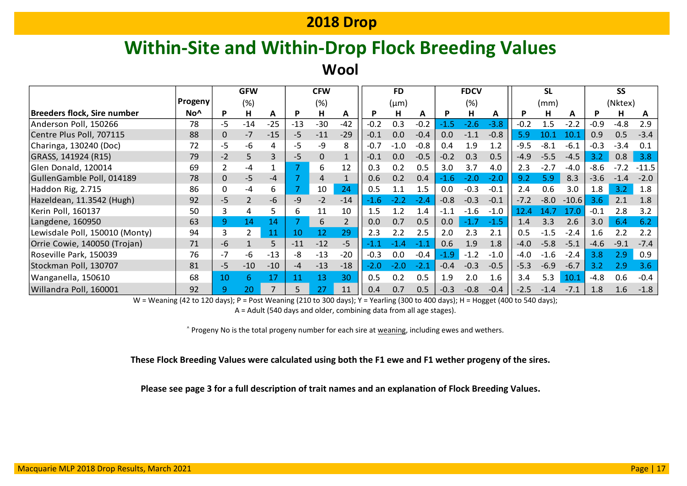# **Within-Site and Within-Drop Flock Breeding Values**

**Wool**

|                                    |                 | <b>GFW</b><br><b>CFW</b> |                | <b>FD</b> |       | <b>FDCV</b> |       |        | <b>SL</b> |        |                  |        | <b>SS</b> |                  |        |         |        |         |         |
|------------------------------------|-----------------|--------------------------|----------------|-----------|-------|-------------|-------|--------|-----------|--------|------------------|--------|-----------|------------------|--------|---------|--------|---------|---------|
|                                    | Progeny         |                          | (%)            |           |       | (%)         |       |        | $(\mu m)$ |        |                  | (%)    |           |                  | (mm)   |         |        | (Nktex) |         |
| <b>Breeders flock, Sire number</b> | No <sup>^</sup> | D                        | н              | A         |       | н           | A     | P      | н         | A      | P                | н      | A         |                  | н      | A       | P      | н       | A       |
| Anderson Poll, 150266              | 78              | -5                       | $-14$          | $-25$     | $-13$ | $-30$       | $-42$ | $-0.2$ | 0.3       | $-0.2$ | $-1.5$           | $-2.6$ | $-3.8$    | $-0.2$           | 1.5    | $-2.2$  | $-0.9$ | $-4.8$  | 2.9     |
| Centre Plus Poll, 707115           | 88              | 0                        | $-7$           | $-15$     | $-5$  | $-11$       | $-29$ | $-0.1$ | 0.0       | $-0.4$ | 0.0              | $-1.1$ | $-0.8$    | 5.9 <sub>l</sub> | 10.1   | 10.1    | 0.9    | 0.5     | $-3.4$  |
| Charinga, 130240 (Doc)             | 72              | -5                       | -6             | 4         | -5    | -9          | 8     | $-0.7$ | $-1.0$    | $-0.8$ | 0.4              | 1.9    | 1.2       | $-9.5$           | $-8.1$ | $-6.1$  | $-0.3$ | $-3.4$  | 0.1     |
| GRASS, 141924 (R15)                | 79              | $-2$                     | 5              | 3         | $-5$  |             |       | $-0.1$ | 0.0       | $-0.5$ | $-0.2$           | 0.3    | 0.5       | $-4.9$           | $-5.5$ | $-4.5$  | 3.2    | 0.8     | 3.8     |
| Glen Donald, 120014                | 69              |                          | -4             |           |       | 6           | 12    | 0.3    | 0.2       | 0.5    | 3.0              | 3.7    | 4.0       | 2.3              | $-2.7$ | $-4.0$  | $-8.6$ | $-7.2$  | $-11.5$ |
| GullenGamble Poll, 014189          | 78              | 0                        | $-5$           | -4        |       | 4           |       | 0.6    | 0.2       | 0.4    | $-1.6$           | $-2.0$ | $-2.0$    | 9.2              | 5.9    | 8.3     | $-3.6$ | $-1.4$  | $-2.0$  |
| Haddon Rig, 2.715                  | 86              | 0                        | $-4$           | 6         |       | 10          | 24    | 0.5    | 1.1       | 1.5    | 0.0              | $-0.3$ | $-0.1$    | 2.4              | 0.6    | 3.0     | 1.8    | 3.2     | 1.8     |
| Hazeldean, 11.3542 (Hugh)          | 92              | -5                       | $\overline{2}$ | -6        | -9    | $-2$        | $-14$ | $-1.6$ | $-2.2$    | $-2.4$ | $-0.8$           | $-0.3$ | $-0.1$    | $-7.2$           | $-8.0$ | $-10.6$ | 3.6    | 2.1     | 1.8     |
| Kerin Poll, 160137                 | 50              |                          | 4              | 5.        | 6     | 11          | 10    | 1.5    | 1.2       | 1.4    | $-1.1$           | $-1.6$ | $-1.0$    | 12.4             | 14.7   | 17.0    | $-0.1$ | 2.8     | 3.2     |
| Langdene, 160950                   | 63              | 9                        | 14             | 14        |       | 6           |       | 0.0    | 0.7       | 0.5    | 0.0 <sub>1</sub> | $-1.7$ | $-1.5$    | 1.4              | 3.3    | 2.6     | 3.0    | 6.4     | 6.2     |
| Lewisdale Poll, 150010 (Monty)     | 94              | 3                        | $\mathfrak{p}$ | 11        | 10    | 12          | 29    | 2.3    | 2.2       | 2.5    | 2.0              | 2.3    | 2.1       | 0.5              | $-1.5$ | $-2.4$  | 1.6    | 2.2     | 2.2     |
| Orrie Cowie, 140050 (Trojan)       | 71              | -6                       |                | 5         | $-11$ | $-12$       | $-5$  | 47     | $-1.4$    |        | 0.6              | 1.9    | 1.8       | $-4.0$           | $-5.8$ | $-5.1$  | $-4.6$ | $-9.1$  | $-7.4$  |
| Roseville Park, 150039             | 76              | -7                       | -6             | $-13$     | -8    | $-13$       | $-20$ | $-0.3$ | 0.0       | $-0.4$ | $-1.9$           | $-1.2$ | $-1.0$    | -4.0             | $-1.6$ | $-2.4$  | 3.8    | 2.9     | 0.9     |
| Stockman Poll, 130707              | 81              | -5                       | $-10$          | $-10$     | -4    | $-13$       | $-18$ | -2.0   | $-2.0$    | $-2.1$ | $-0.4$           | $-0.3$ | $-0.5$    | $-5.3$           | $-6.9$ | $-6.7$  | 3.2    | 2.9     | 3.6     |
| Wanganella, 150610                 | 68              | 10                       | 6              | 17        |       | 13          | 30    | 0.5    | 0.2       | 0.5    | 1.9              | 2.0    | 1.6       | 3.4              | 5.3    | 10.1    | $-4.8$ | 0.6     | $-0.4$  |
| Willandra Poll, 160001             | 92              | q                        | 20             |           |       | 27          | 11    | 0.4    | 0.7       | 0.5    | $-0.3$           | $-0.8$ | $-0.4$    | $-2.5$           | $-1.4$ | $-7.1$  | 1.8    | 1.6     | $-1.8$  |

W = Weaning (42 to 120 days); P = Post Weaning (210 to 300 days); Y = Yearling (300 to 400 days); H = Hogget (400 to 540 days);

A = Adult (540 days and older, combining data from all age stages).

^ Progeny No is the total progeny number for each sire at weaning, including ewes and wethers.

#### **These Flock Breeding Values were calculated using both the F1 ewe and F1 wether progeny of the sires.**

**Please see page 3 for a full description of trait names and an explanation of Flock Breeding Values.**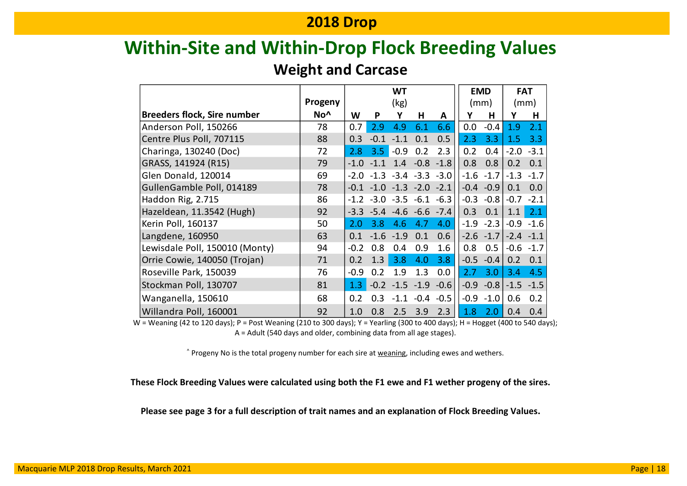# **Within-Site and Within-Drop Flock Breeding Values**

### **Weight and Carcase**

|                                    |                 | <b>WT</b> |        |           |                  | <b>EMD</b> | <b>FAT</b> |        |        |              |
|------------------------------------|-----------------|-----------|--------|-----------|------------------|------------|------------|--------|--------|--------------|
|                                    | Progeny         |           | (kg)   |           |                  |            | (mm)       |        | (mm)   |              |
| <b>Breeders flock, Sire number</b> | No <sup>^</sup> | W         | P      | Υ         | н                | A          | Υ          | Н      | Υ      | Н            |
| Anderson Poll, 150266              | 78              | 0.7       | 2.9    | 4.9       | 6.1              | 6.6        | 0.0        | $-0.4$ | 1.9    | 2.1          |
| Centre Plus Poll, 707115           | 88              | 0.3       | $-0.1$ | $-1.1$    | 0.1              | 0.5        | 2.3        | 3.3    | 1.5    | 3.3          |
| Charinga, 130240 (Doc)             | 72              | 2.8       | 3.5    | $-0.9$    | 0.2              | 2.3        | 0.2        | 0.4    | $-2.0$ | $-3.1$       |
| GRASS, 141924 (R15)                | 79              | $-1.0$    | $-11$  | 1.4       | $-0.8$           | $-1.8$     | 0.8        | 0.8    | 0.2    | 0.1          |
| Glen Donald, 120014                | 69              | $-2.0$    | $-1.3$ |           | $-3.4 -3.3$      | $-3.0$     | -1.6       | $-1.7$ | $-1.3$ | $-1.7$       |
| GullenGamble Poll, 014189          | 78              | $-0.1$    | $-1.0$ | $-1.3$    | $-2.0$           | $-2.1$     | $-0.4$     | $-0.9$ | 0.1    | 0.0          |
| Haddon Rig, 2.715                  | 86              | $-1.2$    | $-3.0$ | $-3.5$    | $-6.1$           | $-6.3$     | $-0.3$     | $-0.8$ | $-0.7$ | $-2.1$       |
| Hazeldean, 11.3542 (Hugh)          | 92              | $-3.3$    | $-5.4$ |           | $-4.6 -6.6 -7.4$ |            | 0.3        | 0.1    | 1.1    | 2.1          |
| Kerin Poll, 160137                 | 50              | 2.0       | 3.8    | 4.6       | 4.7              | 4.0        | $-1.9$     | $-2.3$ | $-0.9$ | $-1.6$       |
| Langdene, 160950                   | 63              | 0.1       | $-1.6$ | $-1.9$    | 0.1              | 0.6        | $-2.6$     | $-1.7$ | $-2.4$ | $-1.1$       |
| Lewisdale Poll, 150010 (Monty)     | 94              | $-0.2$    | 0.8    | 0.4       | 0.9              | 1.6        | 0.8        | 0.5    | $-0.6$ | $-1.7$       |
| Orrie Cowie, 140050 (Trojan)       | 71              | 0.2       | 1.3    | 3.8       | 4.0              | 3.8        | $-0.5$     | $-0.4$ | 0.2    | 0.1          |
| Roseville Park, 150039             | 76              | $-0.9$    | 0.2    | 1.9       | 1.3              | 0.0        | 2.7        | 3.0    | 3.4    | 4.5          |
| Stockman Poll, 130707              | 81              | 1.3       | $-0.2$ |           | $-1.5 -1.9$      | $-0.6$     | $-0.9$     | $-0.8$ |        | $-1.5 - 1.5$ |
| Wanganella, 150610                 | 68              | 0.2       | 0.3    | $-1 \; 1$ | $-0.4$           | $-0.5$     | $-0.9$     | $-1.0$ | 0.6    | 0.2          |
| Willandra Poll, 160001             | 92              | 1.0       | 0.8    | 2.5       | 3.9              | 2.3        | 1.8        | 2.0    | 0.4    | 0.4          |

W = Weaning (42 to 120 days); P = Post Weaning (210 to 300 days); Y = Yearling (300 to 400 days); H = Hogget (400 to 540 days); A = Adult (540 days and older, combining data from all age stages).

^ Progeny No is the total progeny number for each sire at weaning, including ewes and wethers.

**These Flock Breeding Values were calculated using both the F1 ewe and F1 wether progeny of the sires.**

**Please see page 3 for a full description of trait names and an explanation of Flock Breeding Values.**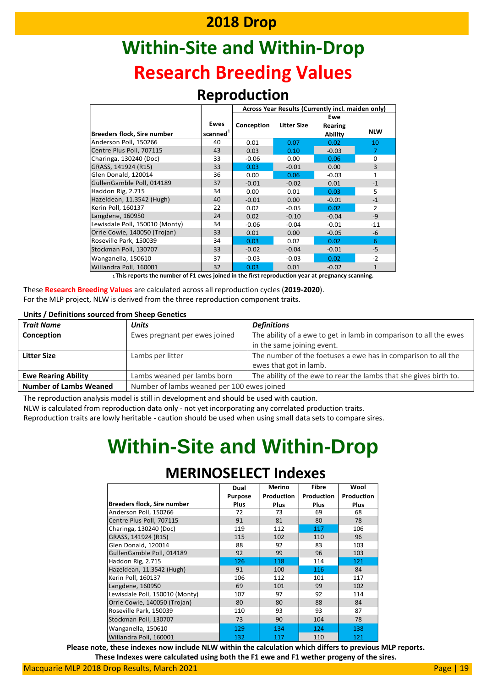# **Within-Site and Within-Drop Research Breeding Values**

#### **Reproduction**

|                                    |                      | Across Year Results (Currently incl. maiden only) |                    |         |                |  |  |  |  |  |
|------------------------------------|----------------------|---------------------------------------------------|--------------------|---------|----------------|--|--|--|--|--|
|                                    |                      |                                                   |                    | Ewe     |                |  |  |  |  |  |
|                                    | Ewes                 | Conception                                        | <b>Litter Size</b> | Rearing |                |  |  |  |  |  |
| <b>Breeders flock, Sire number</b> | scanned <sup>1</sup> |                                                   |                    | Ability | <b>NLW</b>     |  |  |  |  |  |
| Anderson Poll, 150266              | 40                   | 0.01                                              | 0.07               | 0.02    | 10             |  |  |  |  |  |
| Centre Plus Poll, 707115           | 43                   | 0.03                                              | 0.10               | $-0.03$ | 7              |  |  |  |  |  |
| Charinga, 130240 (Doc)             | 33                   | $-0.06$                                           | 0.00               | 0.06    | 0              |  |  |  |  |  |
| GRASS, 141924 (R15)                | 33                   | 0.03                                              | $-0.01$            | 0.00    | 3              |  |  |  |  |  |
| Glen Donald, 120014                | 36                   | 0.00                                              | 0.06               | $-0.03$ | 1              |  |  |  |  |  |
| GullenGamble Poll, 014189          | 37                   | $-0.01$                                           | $-0.02$            | 0.01    | $-1$           |  |  |  |  |  |
| Haddon Rig, 2.715                  | 34                   | 0.00                                              | 0.01               | 0.03    | 5              |  |  |  |  |  |
| Hazeldean, 11.3542 (Hugh)          | 40                   | $-0.01$                                           | 0.00               | $-0.01$ | $-1$           |  |  |  |  |  |
| Kerin Poll, 160137                 | 22                   | 0.02                                              | $-0.05$            | 0.02    | $\overline{2}$ |  |  |  |  |  |
| Langdene, 160950                   | 24                   | 0.02                                              | $-0.10$            | $-0.04$ | $-9$           |  |  |  |  |  |
| Lewisdale Poll, 150010 (Monty)     | 34                   | $-0.06$                                           | $-0.04$            | $-0.01$ | $-11$          |  |  |  |  |  |
| Orrie Cowie, 140050 (Trojan)       | 33                   | 0.01                                              | 0.00               | $-0.05$ | $-6$           |  |  |  |  |  |
| Roseville Park, 150039             | 34                   | 0.03                                              | 0.02               | 0.02    | 6              |  |  |  |  |  |
| Stockman Poll, 130707              | 33                   | $-0.02$                                           | $-0.04$            | $-0.01$ | -5             |  |  |  |  |  |
| Wanganella, 150610                 | 37                   | $-0.03$                                           | $-0.03$            | 0.02    | $-2$           |  |  |  |  |  |
| Willandra Poll, 160001             | 32                   | 0.03                                              | 0.01               | $-0.02$ | $\mathbf{1}$   |  |  |  |  |  |

**<sup>1</sup>This reports the number of F1 ewes joined in the first reproduction year at pregnancy scanning.**

These **Research Breeding Values** are calculated across all reproduction cycles (**2019-2020**). For the MLP project, NLW is derived from the three reproduction component traits.

#### **Units / Definitions sourced from Sheep Genetics**

| <b>Trait Name</b>             | <b>Units</b>                  | <b>Definitions</b>                                                |  |  |  |  |  |  |
|-------------------------------|-------------------------------|-------------------------------------------------------------------|--|--|--|--|--|--|
| Conception                    | Ewes pregnant per ewes joined | The ability of a ewe to get in lamb in comparison to all the ewes |  |  |  |  |  |  |
|                               |                               | in the same joining event.                                        |  |  |  |  |  |  |
| <b>Litter Size</b>            | Lambs per litter              | The number of the foetuses a ewe has in comparison to all the     |  |  |  |  |  |  |
|                               |                               | ewes that got in lamb.                                            |  |  |  |  |  |  |
| <b>Ewe Rearing Ability</b>    | Lambs weaned per lambs born   | The ability of the ewe to rear the lambs that she gives birth to. |  |  |  |  |  |  |
| <b>Number of Lambs Weaned</b> |                               | Number of lambs weaned per 100 ewes joined                        |  |  |  |  |  |  |

The reproduction analysis model is still in development and should be used with caution.

NLW is calculated from reproduction data only - not yet incorporating any correlated production traits.

Reproduction traits are lowly heritable - caution should be used when using small data sets to compare sires.

# **Within-Site and Within-Drop**

|                                    | Dual           | <b>Merino</b> | <b>Fibre</b> | Wool       |
|------------------------------------|----------------|---------------|--------------|------------|
|                                    | <b>Purpose</b> | Production    | Production   | Production |
| <b>Breeders flock, Sire number</b> | <b>Plus</b>    | Plus          | Plus         | Plus       |
| Anderson Poll, 150266              | 72             | 73            | 69           | 68         |
| Centre Plus Poll, 707115           | 91             | 81            | 80           | 78         |
| Charinga, 130240 (Doc)             | 119            | 112           | 117          | 106        |
| GRASS, 141924 (R15)                | 115            | 102           | 110          | 96         |
| Glen Donald, 120014                | 88             | 92            | 83           | 103        |
| GullenGamble Poll, 014189          | 92             | 99            | 96           | 103        |
| Haddon Rig, 2.715                  | 126            | 118           | 114          | 121        |
| Hazeldean, 11.3542 (Hugh)          | 91             | 100           | 116          | 84         |
| Kerin Poll, 160137                 | 106            | 112           | 101          | 117        |
| Langdene, 160950                   | 69             | 101           | 99           | 102        |
| Lewisdale Poll, 150010 (Monty)     | 107            | 97            | 92           | 114        |
| Orrie Cowie, 140050 (Trojan)       | 80             | 80            | 88           | 84         |
| Roseville Park, 150039             | 110            | 93            | 93           | 87         |
| Stockman Poll, 130707              | 73             | 90            | 104          | 78         |
| Wanganella, 150610                 | 129            | 134           | 124          | 138        |
| Willandra Poll, 160001             | 132            | 117           | 110          | 121        |

### **MERINOSELECT Indexes**

**Please note, these indexes now include NLW within the calculation which differs to previous MLP reports.** 

**These Indexes were calculated using both the F1 ewe and F1 wether progeny of the sires.**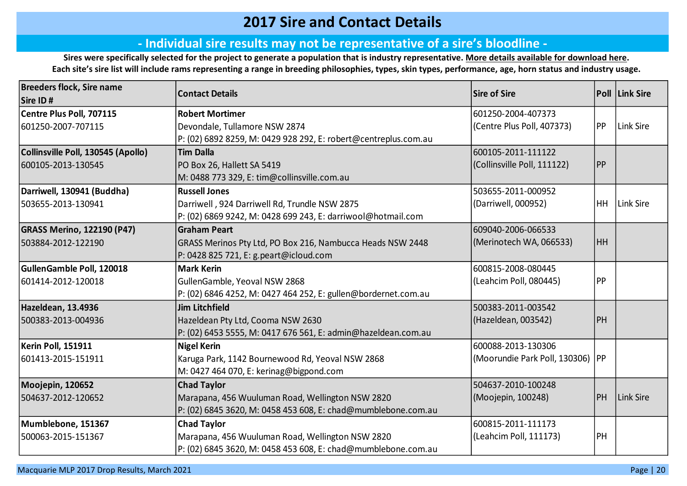### **2017 Sire and Contact Details**

#### **‐ Individual sire results may not be representative of a sire's bloodline ‐**

**Sires were specifically selected for the project to generate a population that is industry representative. [More details available for](https://merinosuperiorsires.com.au/wp-content/uploads/2020/08/COMMS-Merino-Lifetime-Productivity-Project-Sire-Selection-Process-and-Stocktake-290806.pdf) download here. Each site's sire list will include rams representing a range in breeding philosophies, types, skin types, performance, age, horn status and industry usage.**

| <b>Breeders flock, Sire name</b>   |                                                                 | <b>Sire of Sire</b>                |           | <b>Poll Link Sire</b> |
|------------------------------------|-----------------------------------------------------------------|------------------------------------|-----------|-----------------------|
| Sire ID#                           | <b>Contact Details</b>                                          |                                    |           |                       |
| Centre Plus Poll, 707115           | <b>Robert Mortimer</b>                                          | 601250-2004-407373                 |           |                       |
| 601250-2007-707115                 | Devondale, Tullamore NSW 2874                                   | (Centre Plus Poll, 407373)         | PP        | Link Sire             |
|                                    | P: (02) 6892 8259, M: 0429 928 292, E: robert@centreplus.com.au |                                    |           |                       |
| Collinsville Poll, 130545 (Apollo) | <b>Tim Dalla</b>                                                | 600105-2011-111122                 |           |                       |
| 600105-2013-130545                 | PO Box 26, Hallett SA 5419                                      | (Collinsville Poll, 111122)        | <b>PP</b> |                       |
|                                    | M: 0488 773 329, E: tim@collinsville.com.au                     |                                    |           |                       |
| Darriwell, 130941 (Buddha)         | <b>Russell Jones</b>                                            | 503655-2011-000952                 |           |                       |
| 503655-2013-130941                 | Darriwell, 924 Darriwell Rd, Trundle NSW 2875                   | (Darriwell, 000952)                | HH        | Link Sire             |
|                                    | P: (02) 6869 9242, M: 0428 699 243, E: darriwool@hotmail.com    |                                    |           |                       |
| <b>GRASS Merino, 122190 (P47)</b>  | <b>Graham Peart</b>                                             | 609040-2006-066533                 |           |                       |
| 503884-2012-122190                 | GRASS Merinos Pty Ltd, PO Box 216, Nambucca Heads NSW 2448      | (Merinotech WA, 066533)            | HH.       |                       |
|                                    | P: 0428 825 721, E: g.peart@icloud.com                          |                                    |           |                       |
| GullenGamble Poll, 120018          | <b>Mark Kerin</b>                                               | 600815-2008-080445                 |           |                       |
| 601414-2012-120018                 | GullenGamble, Yeoval NSW 2868                                   | (Leahcim Poll, 080445)             | PP        |                       |
|                                    | P: (02) 6846 4252, M: 0427 464 252, E: gullen@bordernet.com.au  |                                    |           |                       |
| Hazeldean, 13.4936                 | <b>Jim Litchfield</b>                                           | 500383-2011-003542                 |           |                       |
| 500383-2013-004936                 | Hazeldean Pty Ltd, Cooma NSW 2630                               | (Hazeldean, 003542)                | <b>PH</b> |                       |
|                                    | P: (02) 6453 5555, M: 0417 676 561, E: admin@hazeldean.com.au   |                                    |           |                       |
| Kerin Poll, 151911                 | <b>Nigel Kerin</b>                                              | 600088-2013-130306                 |           |                       |
| 601413-2015-151911                 | Karuga Park, 1142 Bournewood Rd, Yeoval NSW 2868                | (Moorundie Park Poll, 130306)   PP |           |                       |
|                                    | M: 0427 464 070, E: kerinag@bigpond.com                         |                                    |           |                       |
| Moojepin, 120652                   | <b>Chad Taylor</b>                                              | 504637-2010-100248                 |           |                       |
| 504637-2012-120652                 | Marapana, 456 Wuuluman Road, Wellington NSW 2820                | (Moojepin, 100248)                 | PH        | Link Sire             |
|                                    | P: (02) 6845 3620, M: 0458 453 608, E: chad@mumblebone.com.au   |                                    |           |                       |
| Mumblebone, 151367                 | <b>Chad Taylor</b>                                              | 600815-2011-111173                 |           |                       |
| 500063-2015-151367                 | Marapana, 456 Wuuluman Road, Wellington NSW 2820                | (Leahcim Poll, 111173)             | PH        |                       |
|                                    | P: (02) 6845 3620, M: 0458 453 608, E: chad@mumblebone.com.au   |                                    |           |                       |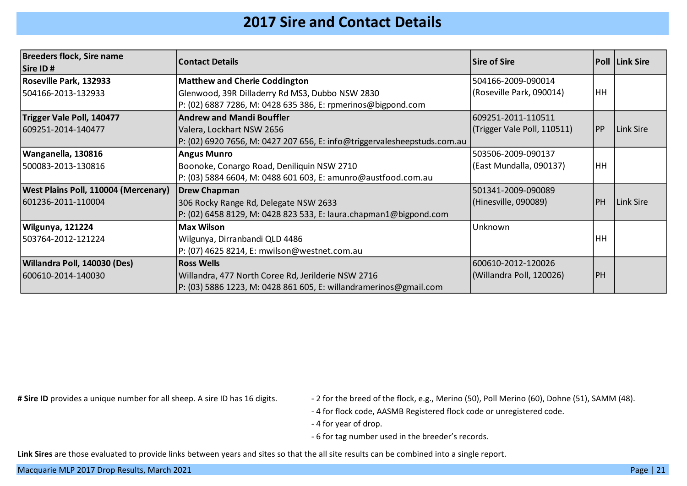### **2017 Sire and Contact Details**

| <b>Breeders flock, Sire name</b><br><b>Sire ID#</b> | <b>Contact Details</b>                                                   | <b>Sire of Sire</b>         |           | <b>Poll Link Sire</b> |
|-----------------------------------------------------|--------------------------------------------------------------------------|-----------------------------|-----------|-----------------------|
| <b>Roseville Park, 132933</b>                       | <b>Matthew and Cherie Coddington</b>                                     | 504166-2009-090014          |           |                       |
| 504166-2013-132933                                  | Glenwood, 39R Dilladerry Rd MS3, Dubbo NSW 2830                          | (Roseville Park, 090014)    | HH        |                       |
|                                                     | P: (02) 6887 7286, M: 0428 635 386, E: rpmerinos@bigpond.com             |                             |           |                       |
| Trigger Vale Poll, 140477                           | <b>Andrew and Mandi Bouffler</b>                                         | 609251-2011-110511          |           |                       |
| 609251-2014-140477                                  | Valera, Lockhart NSW 2656                                                | (Trigger Vale Poll, 110511) | PP        | Link Sire             |
|                                                     | P: (02) 6920 7656, M: 0427 207 656, E: info@triggervalesheepstuds.com.au |                             |           |                       |
| Wanganella, 130816                                  | <b>Angus Munro</b>                                                       | 503506-2009-090137          |           |                       |
| 500083-2013-130816                                  | Boonoke, Conargo Road, Deniliquin NSW 2710                               | (East Mundalla, 090137)     | HH        |                       |
|                                                     | P: (03) 5884 6604, M: 0488 601 603, E: amunro@austfood.com.au            |                             |           |                       |
| <b>West Plains Poll, 110004 (Mercenary)</b>         | <b>Drew Chapman</b>                                                      | 501341-2009-090089          |           |                       |
| 601236-2011-110004                                  | 306 Rocky Range Rd, Delegate NSW 2633                                    | (Hinesville, 090089)        | <b>PH</b> | Link Sire             |
|                                                     | P: (02) 6458 8129, M: 0428 823 533, E: laura.chapman1@bigpond.com        |                             |           |                       |
| <b>Wilgunya, 121224</b>                             | <b>Max Wilson</b>                                                        | Unknown                     |           |                       |
| 503764-2012-121224                                  | Wilgunya, Dirranbandi QLD 4486                                           |                             | HH        |                       |
|                                                     | P: (07) 4625 8214, E: mwilson@westnet.com.au                             |                             |           |                       |
| Willandra Poll, 140030 (Des)                        | <b>Ross Wells</b>                                                        | 600610-2012-120026          |           |                       |
| 600610-2014-140030                                  | Willandra, 477 North Coree Rd, Jerilderie NSW 2716                       | (Willandra Poll, 120026)    | PH        |                       |
|                                                     | P: (03) 5886 1223, M: 0428 861 605, E: willandramerinos@gmail.com        |                             |           |                       |

- # Sire ID provides a unique number for all sheep. A sire ID has 16 digits.  $\blacksquare$  2 for the breed of the flock, e.g., Merino (50), Poll Merino (60), Dohne (51), SAMM (48).
	- 4 for flock code, AASMB Registered flock code or unregistered code.
	- 4 for year of drop.
	- 6 for tag number used in the breeder's records.

**Link Sires** are those evaluated to provide links between years and sites so that the all site results can be combined into a single report.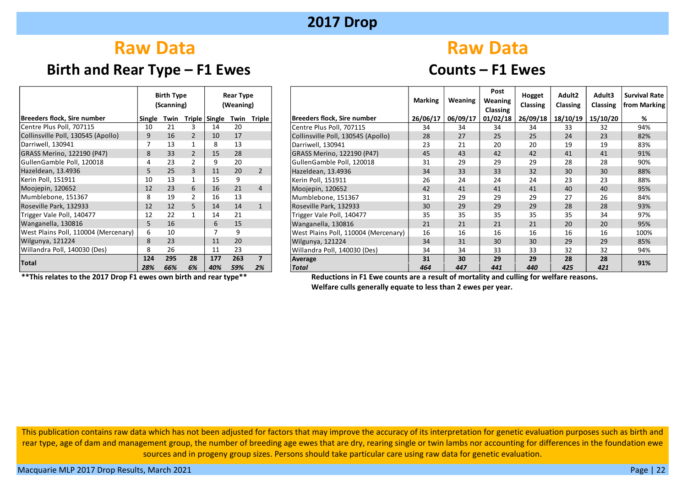### **Birth and Rear Type – F1 Ewes Counts – F1 Ewes**

# **Raw Data** Raw Data

|                                      |        | <b>Birth Type</b><br>(Scanning) |               |        | Rear Type<br>(Weaning) |                         |
|--------------------------------------|--------|---------------------------------|---------------|--------|------------------------|-------------------------|
| <b>Breeders flock, Sire number</b>   | Single | Twin                            | <b>Triple</b> | Single | Twin                   | <b>Triple</b>           |
| Centre Plus Poll, 707115             | 10     | 21                              | 3             | 14     | 20                     |                         |
| Collinsville Poll, 130545 (Apollo)   | 9      | 16                              | $\mathcal{P}$ | 10     | 17                     |                         |
| Darriwell, 130941                    | 7      | 13                              | 1             | 8      | 13                     |                         |
| GRASS Merino, 122190 (P47)           | 8      | 33 <sup>2</sup>                 | $\mathcal{P}$ | 15     | 28                     |                         |
| GullenGamble Poll, 120018            | 4      | 23                              | 2             | 9      | 20                     |                         |
| Hazeldean, 13.4936                   | 5      | 25 <sub>2</sub>                 | 3             | 11     | 20                     | $\mathcal{P}$           |
| Kerin Poll, 151911                   | 10     | 13                              | $\mathbf{1}$  | 15     | 9                      |                         |
| Moojepin, 120652                     | 12     | 23                              | 6             | 16     | 21                     | 4                       |
| Mumblebone, 151367                   | 8      | 19                              | 2             | 16     | 13                     |                         |
| Roseville Park, 132933               | 12     | 12                              | 5             | 14     | 14                     | $\mathbf{1}$            |
| Trigger Vale Poll, 140477            | 12     | 22                              | 1             | 14     | 21                     |                         |
| Wanganella, 130816                   | 5      | 16                              |               | 6      | 15                     |                         |
| West Plains Poll, 110004 (Mercenary) | 6      | 10                              |               | 7      | 9                      |                         |
| Wilgunya, 121224                     | 8      | 23                              |               | 11     | 20                     |                         |
| Willandra Poll, 140030 (Des)         | 8      | 26                              |               | 11     | 23                     |                         |
|                                      | 124    | 295                             | 28            | 177    | 263                    | $\overline{\mathbf{z}}$ |
| <b>Total</b>                         | 28%    | 66%                             | 6%            | 40%    | 59%                    | 2%                      |

|                                      |        | <b>Birth Type</b><br>(Scanning) |    |     | Rear Type<br>(Weaning)    |                |                                      | <b>Marking</b> | Weaning  | Post<br>Weaning<br>Classing | Hogget<br><b>Classing</b> | Adult <sub>2</sub><br>Classing | Adult3<br><b>Classing</b> | <b>Survival Rate</b><br>from Marking |
|--------------------------------------|--------|---------------------------------|----|-----|---------------------------|----------------|--------------------------------------|----------------|----------|-----------------------------|---------------------------|--------------------------------|---------------------------|--------------------------------------|
| <b>Breeders flock. Sire number</b>   | Single | Twin                            |    |     | Triple Single Twin Triple |                | <b>Breeders flock, Sire number</b>   | 26/06/17       | 06/09/17 | 01/02/18                    | 26/09/18                  | 18/10/19                       | 15/10/20                  | %                                    |
| Centre Plus Poll, 707115             | 10     | 21                              |    | 14  | 20                        |                | Centre Plus Poll, 707115             | 34             | 34       | 34                          | 34                        | 33                             | 32                        | 94%                                  |
| Collinsville Poll, 130545 (Apollo)   | 9      | 16                              |    | 10  | 17                        |                | Collinsville Poll, 130545 (Apollo)   | 28             | 27       | 25 <sup>1</sup>             | 25                        | 24                             | 23                        | 82%                                  |
| Darriwell, 130941                    |        | 13                              |    | 8   | 13                        |                | Darriwell, 130941                    | 23             | 21       | 20                          | 20                        | 19                             | 19                        | 83%                                  |
| GRASS Merino, 122190 (P47)           | 8      | 33                              |    | 15  | 28                        |                | GRASS Merino, 122190 (P47)           | 45             | 43       | 42                          | 42                        | 41                             | 41                        | 91%                                  |
| GullenGamble Poll, 120018            |        | 23                              |    | 9   | 20                        |                | GullenGamble Poll, 120018            | 31             | 29       | 29                          | 29                        | 28                             | 28                        | 90%                                  |
| Hazeldean, 13.4936                   | 5      | 25                              |    | 11  | 20                        |                | Hazeldean, 13.4936                   | 34             | 33       | 33                          | 32                        | 30                             | 30                        | 88%                                  |
| Kerin Poll, 151911                   | 10     | 13                              |    | 15  | 9                         |                | Kerin Poll, 151911                   | 26             | 24       | 24                          | 24                        | 23                             | 23                        | 88%                                  |
| Moojepin, 120652                     | 12     | 23                              | 6  | 16  | 21                        | $\overline{4}$ | Moojepin, 120652                     | 42             | 41       | 41                          | 41                        | 40                             | 40                        | 95%                                  |
| Mumblebone, 151367                   | 8      | 19                              |    | 16  | 13                        |                | Mumblebone, 151367                   | 31             | 29       | 29                          | 29                        | 27                             | 26                        | 84%                                  |
| Roseville Park, 132933               | 12     | 12                              |    | 14  | 14                        |                | Roseville Park, 132933               | 30             | 29       | 29                          | 29                        | 28                             | 28                        | 93%                                  |
| Trigger Vale Poll, 140477            | 12     | 22                              |    | 14  | 21                        |                | Trigger Vale Poll, 140477            | 35             | 35       | 35                          | 35                        | 35                             | 34                        | 97%                                  |
| Wanganella, 130816                   |        | 16                              |    | 6   | 15                        |                | Wanganella, 130816                   | 21             | 21       | 21                          | 21                        | 20                             | 20                        | 95%                                  |
| West Plains Poll, 110004 (Mercenary) | 6      | 10                              |    |     | q                         |                | West Plains Poll, 110004 (Mercenary) | 16             | 16       | 16                          | 16                        | 16                             | 16                        | 100%                                 |
| Wilgunya, 121224                     | 8      | 23                              |    | 11  | 20                        |                | Wilgunya, 121224                     | 34             | 31       | 30                          | 30                        | 29                             | 29                        | 85%                                  |
| Willandra Poll, 140030 (Des)         |        | 26                              |    | 11  | 23                        |                | Willandra Poll, 140030 (Des)         | 34             | 34       | 33                          | 33                        | 32                             | 32                        | 94%                                  |
| <b>Total</b>                         | 124    | 295                             | 28 | 177 | 263                       | ┓              | Average                              | 31             | 30       | 29                          | 29                        | 28                             | 28                        | 91%                                  |
|                                      | 28%    | 66%                             | 6% | 40% | 59%                       | 2%             | <b>Total</b>                         | 464            | 447      | 441                         | 440                       | 425                            | 421                       |                                      |

 **\*\*This relates to the 2017 Drop F1 ewes own birth and rear type\*\* Reductions in F1 Ewe counts are a result of mortality and culling for welfare reasons.** 

**Welfare culls generally equate to less than 2 ewes per year.**

This publication contains raw data which has not been adjusted for factors that may improve the accuracy of its interpretation for genetic evaluation purposes such as birth and rear type, age of dam and management group, the number of breeding age ewes that are dry, rearing single or twin lambs nor accounting for differences in the foundation ewe sources and in progeny group sizes. Persons should take particular care using raw data for genetic evaluation.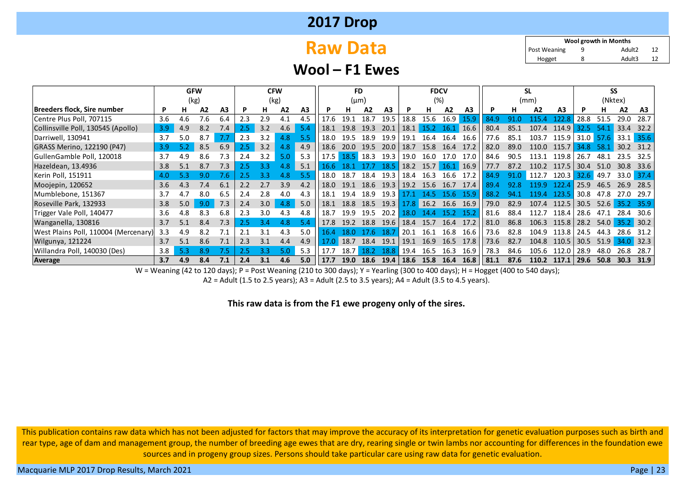# **Raw Data**

9 12 Adult2 8 12 Adult3 **Wool growth in Months** Hogget Post Weaning

#### **Wool – F1 Ewes**

|                                      |                  | <b>GFW</b> |     |                |     | <b>CFW</b> |     |     |      | <b>FD</b> |                |                |      | <b>FDCV</b> |                   |                |      |      | SL    |                |      | SS          |      |       |
|--------------------------------------|------------------|------------|-----|----------------|-----|------------|-----|-----|------|-----------|----------------|----------------|------|-------------|-------------------|----------------|------|------|-------|----------------|------|-------------|------|-------|
|                                      |                  | (kg)       |     |                |     | (kg)       |     |     |      | $(\mu m)$ |                |                |      | (%)         |                   |                |      |      | (mm)  |                |      | (Nktex)     |      |       |
| Breeders flock, Sire number          |                  | н.         | A2  | A <sub>3</sub> | P   | н          | A2  | A3  |      |           | A <sub>2</sub> | A <sub>3</sub> | P    | н           | А2                | A <sub>3</sub> | P    | н.   | A2    | A <sub>3</sub> | Р    | н           | A2   | A3    |
| Centre Plus Poll, 707115             | 3.6              | 4.6        | 7.6 | 6.4            | 2.3 | 2.9        | 4.1 | 4.5 | 17.6 | 19.1      | 18.7           | 19.5           | 18.8 | 15.6        | 16.9              | 15.9           | 84.9 | 91.0 | l15.  | 122.2          | 28.8 | 51.5        | 29.0 | 28.7  |
| Collinsville Poll, 130545 (Apollo)   | 3.9 <sub>2</sub> | 4.9        | 8.2 | 7.4            | 2.5 | 3.2        | 4.6 | 5.4 | 18.1 | 19.8      | 19.3           | 20.1           | 18.1 | 15.2        | 16.1              | 16.6           | 80.4 | 85.1 | 107.4 | 114.9          | 32.5 | 54.1        | 33.4 | 32.2  |
| Darriwell, 130941                    | 3.7              | 5.0        | 8.7 |                | 2.3 | 3.2        | 4.8 | 5.5 | 18.0 | 19.5      | 18.9           | 19.9           | 19.1 | 16.4        | 16.4              | 16.6           | 77.6 | 85.1 | 103.7 | 115.9 l        |      | $31.0$ 57.6 | 33.1 | 35.6  |
| GRASS Merino, 122190 (P47)           | 3.9              | 5.2        | 8.5 | 6.9            | 2.5 | 3.2        | 4.8 | 4.9 | 18.6 | 20.0      | 19.5           | 20.0           | 18.7 | 15.8        | 16.4              | 17.2           | 82.0 | 89.0 | 110.0 | 115.7          | 34.8 | 58.1        | 30.2 | 31.2  |
| GullenGamble Poll, 120018            | 3.7              | 4.9        | 8.6 | 7.3            | 2.4 | 3.2        | 5.0 | 5.3 | 17.5 | 18.5      | 18.3           | 19.3           | 19.0 | 16.0        | 17.0              | 17.0           | 84.6 | 90.5 | 113.1 | 119.8          | 26.7 | 48.1        | 23.5 | 32.5  |
| Hazeldean, 13.4936                   | 3.8              | 5.1        | 8.7 | 7.3            | 2.5 |            | 4.8 | 5.1 | 16.6 | 18.1      | 17.7           | 18.5           | 18.2 | 15.7        | $16.1 \quad 16.9$ |                | 77.7 | 87.2 | 110.2 | 117.5          | 30.4 | 51.0        | 30.8 | 33.6  |
| Kerin Poll, 151911                   | 4.0              | 5.3        | 9.0 | 7.6            | 2.5 | 3.3        | 4.8 | 5.5 | 18.0 | 18.7      | 18.4           | 19.3           | 18.4 | 16.3        | 16.6              | 17.2           | 84.9 | 91.0 | 112.7 | 120.3          | 32.6 | 49.7        | 33.0 | -37.4 |
| Moojepin, 120652                     | 3.6              | 4.3        | 7.4 | 6.1            | 2.2 | 2.7        | 3.9 | 4.2 | 18.0 | 19.1      | 18.6           | 19.3           | 19.2 | 15.6        | 16.7              | 17.4           | 89.4 | 92.8 | 19 9  | 122.4          | 25.9 | 46.5        | 26.9 | 28.5  |
| Mumblebone, 151367                   | 3.7              | 4.7        | 8.0 | 6.5            | 2.4 | 2.8        | 4.0 | 4.3 | 18.1 | 19.4      | 18.9           | 19.3           |      | 14.5        | 15.6.             | 15.9           | 88.2 | 94 1 | 194   | 123.5          | 30.8 | 47.8        | 27.O | 29.7  |
| Roseville Park, 132933               | 3.8              | 5.0        | 9.0 | 7.3            | 2.4 | 3.0        | 4.8 | 5.0 | 18.1 | 18.8      | 18.5           | 19.3           | 17.8 | 16.2        | 16.6              | 16.9           | 79.0 | 82.9 | 107.4 | 112.5          | 30.5 | 52.6        | 35.2 | 35.9  |
| Trigger Vale Poll, 140477            | 3.6              | 4.8        | 8.3 | 6.8            | 2.3 | 3.0        | 4.3 | 4.8 | 18.7 | 19.9      | 19.5           | 20.2           | 18.0 | 144         | 15.2              | 15.2           | 81.6 | 88.4 | 112.7 | 118.4          | 28.6 | 47.1        | 28.4 | 30.6  |
| Wanganella, 130816                   | 3.7              | 5.1        | 8.4 | 7.3            | 2.5 |            | 4.8 |     | 17.8 | 19.2      | 18.8           | 19.6           | 18.4 | 15.7        | 16.4              | 17.2           | 81.0 | 86.8 | 106.3 | 115.8          | 28.2 | 54.0        | 35.2 | 30.2  |
| West Plains Poll, 110004 (Mercenary) | 3.3              | 4.9        | 8.2 |                | 2.1 | 3.1        | 4.3 | 5.0 | 16.4 | 18.0      | 47.67          | 18.            | 20.1 | 16.1        | 16.8              | 16.6           | 73.6 | 82.8 | 104.9 | 113.8          | 24.5 | 44.3        | 28.6 | 31.2  |
| Wilgunya, 121224                     | 3.7              | 5.1        | 8.6 | 7.1            | 2.3 | 3.1        | 4.4 | 4.9 | 17.0 | 18.7      | 18.4           | 19.1           | 19.1 | 16.9        | 16.5              | 17.8           | 73.6 | 82.7 | 104.8 | 110.5          | 30.5 | 51.9        | 34.0 | 32.3  |
| Willandra Poll, 140030 (Des)         | 3.8              | 5.3        | 8.9 | 7.5            | 2.5 |            | 5.0 | 5.3 | 17.7 | 18.7      | 18.2           | 18.8           | 19.4 | 16.5        | 16.3              | 16.9           | 78.3 | 84.6 | 105.6 | 112.0          | 28.9 | 48.0        | 26.8 | 28.7  |
| Average                              | 3.7              | 4.9        | 8.4 | 7.1            | 2.4 | 3.1        | 4.6 | 5.0 | 17.7 | 19.0      | 18.6           | 19.4           | 18.6 | 15.8        | 16.4              | 16.8           | 81.1 | 87.6 | 110.2 | 117.1          | 29.6 | 50.8        | 30.3 | 31.9  |

W = Weaning (42 to 120 days); P = Post Weaning (210 to 300 days); Y = Yearling (300 to 400 days); H = Hogget (400 to 540 days);

A2 = Adult (1.5 to 2.5 years); A3 = Adult (2.5 to 3.5 years); A4 = Adult (3.5 to 4.5 years).

**This raw data is from the F1 ewe progeny only of the sires.**

This publication contains raw data which has not been adjusted for factors that may improve the accuracy of its interpretation for genetic evaluation purposes such as birth and rear type, age of dam and management group, the number of breeding age ewes that are dry, rearing single or twin lambs nor accounting for differences in the foundation ewe sources and in progeny group sizes. Persons should take particular care using raw data for genetic evaluation.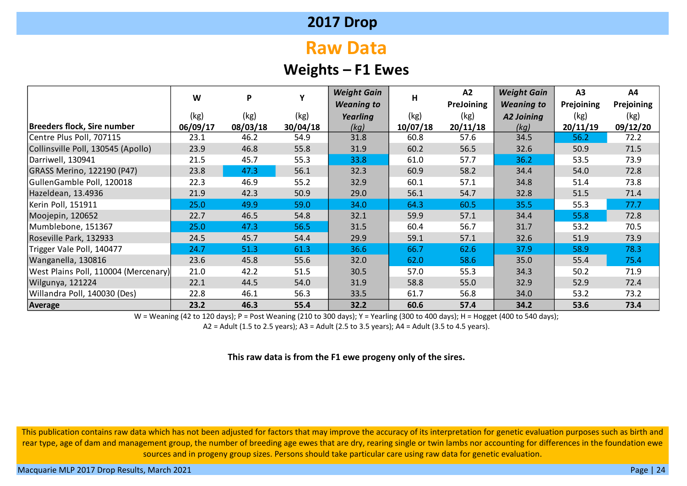# **Raw Data**

### **Weights – F1 Ewes**

|                                      | W        | P        | Υ        | <b>Weight Gain</b> | н        | A2         | <b>Weight Gain</b> | A3         | A4         |
|--------------------------------------|----------|----------|----------|--------------------|----------|------------|--------------------|------------|------------|
|                                      |          |          |          | <b>Weaning to</b>  |          | PreJoining | <b>Weaning to</b>  | Prejoining | Prejoining |
|                                      | (kg)     | (kg)     | (kg)     | Yearling           | (kg)     | (kg)       | <b>A2 Joining</b>  | (kg)       | (kg)       |
| Breeders flock, Sire number          | 06/09/17 | 08/03/18 | 30/04/18 | (kg)               | 10/07/18 | 20/11/18   | (kg)               | 20/11/19   | 09/12/20   |
| Centre Plus Poll, 707115             | 23.1     | 46.2     | 54.9     | 31.8               | 60.8     | 57.6       | 34.5               | 56.2       | 72.2       |
| Collinsville Poll, 130545 (Apollo)   | 23.9     | 46.8     | 55.8     | 31.9               | 60.2     | 56.5       | 32.6               | 50.9       | 71.5       |
| Darriwell, 130941                    | 21.5     | 45.7     | 55.3     | 33.8               | 61.0     | 57.7       | 36.2               | 53.5       | 73.9       |
| GRASS Merino, 122190 (P47)           | 23.8     | 47.3     | 56.1     | 32.3               | 60.9     | 58.2       | 34.4               | 54.0       | 72.8       |
| GullenGamble Poll, 120018            | 22.3     | 46.9     | 55.2     | 32.9               | 60.1     | 57.1       | 34.8               | 51.4       | 73.8       |
| Hazeldean, 13.4936                   | 21.9     | 42.3     | 50.9     | 29.0               | 56.1     | 54.7       | 32.8               | 51.5       | 71.4       |
| Kerin Poll, 151911                   | 25.0     | 49.9     | 59.0     | 34.0               | 64.3     | 60.5       | 35.5               | 55.3       | 77.7       |
| Moojepin, 120652                     | 22.7     | 46.5     | 54.8     | 32.1               | 59.9     | 57.1       | 34.4               | 55.8       | 72.8       |
| Mumblebone, 151367                   | 25.0     | 47.3     | 56.5     | 31.5               | 60.4     | 56.7       | 31.7               | 53.2       | 70.5       |
| Roseville Park, 132933               | 24.5     | 45.7     | 54.4     | 29.9               | 59.1     | 57.1       | 32.6               | 51.9       | 73.9       |
| Trigger Vale Poll, 140477            | 24.7     | 51.3     | 61.3     | 36.6               | 66.7     | 62.6       | 37.9               | 58.9       | 78.3       |
| Wanganella, 130816                   | 23.6     | 45.8     | 55.6     | 32.0               | 62.0     | 58.6       | 35.0               | 55.4       | 75.4       |
| West Plains Poll, 110004 (Mercenary) | 21.0     | 42.2     | 51.5     | 30.5               | 57.0     | 55.3       | 34.3               | 50.2       | 71.9       |
| Wilgunya, 121224                     | 22.1     | 44.5     | 54.0     | 31.9               | 58.8     | 55.0       | 32.9               | 52.9       | 72.4       |
| Willandra Poll, 140030 (Des)         | 22.8     | 46.1     | 56.3     | 33.5               | 61.7     | 56.8       | 34.0               | 53.2       | 73.2       |
| Average                              | 23.2     | 46.3     | 55.4     | 32.2               | 60.6     | 57.4       | 34.2               | 53.6       | 73.4       |

W = Weaning (42 to 120 days); P = Post Weaning (210 to 300 days); Y = Yearling (300 to 400 days); H = Hogget (400 to 540 days);

A2 = Adult (1.5 to 2.5 years); A3 = Adult (2.5 to 3.5 years); A4 = Adult (3.5 to 4.5 years).

#### **This raw data is from the F1 ewe progeny only of the sires.**

This publication contains raw data which has not been adjusted for factors that may improve the accuracy of its interpretation for genetic evaluation purposes such as birth and rear type, age of dam and management group, the number of breeding age ewes that are dry, rearing single or twin lambs nor accounting for differences in the foundation ewe sources and in progeny group sizes. Persons should take particular care using raw data for genetic evaluation.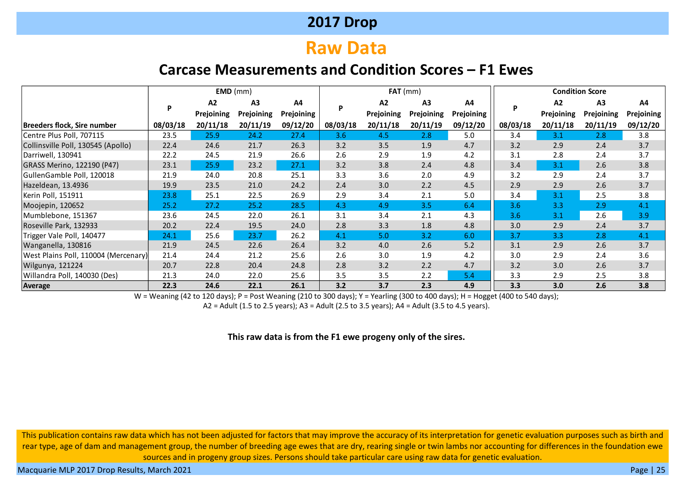# **Raw Data**

### **Carcase Measurements and Condition Scores – F1 Ewes**

|                                      |          |            | $EMD$ (mm)     |            |          | $FAT$ (mm) |            |            |          |                | <b>Condition Score</b> |            |
|--------------------------------------|----------|------------|----------------|------------|----------|------------|------------|------------|----------|----------------|------------------------|------------|
|                                      | P        | A2         | A <sub>3</sub> | A4         | P        | A2         | A3         | A4         | P        | A <sub>2</sub> | A <sub>3</sub>         | A4         |
|                                      |          | Prejoining | Prejoining     | Prejoining |          | Prejoining | Prejoining | Prejoining |          | Prejoining     | Prejoining             | Prejoining |
| Breeders flock, Sire number          | 08/03/18 | 20/11/18   | 20/11/19       | 09/12/20   | 08/03/18 | 20/11/18   | 20/11/19   | 09/12/20   | 08/03/18 | 20/11/18       | 20/11/19               | 09/12/20   |
| Centre Plus Poll, 707115             | 23.5     | 25.9       | 24.2           | 27.4       | 3.6      | 4.5        | 2.8        | 5.0        | 3.4      | 3.1            | 2.8                    | 3.8        |
| Collinsville Poll, 130545 (Apollo)   | 22.4     | 24.6       | 21.7           | 26.3       | 3.2      | 3.5        | 1.9        | 4.7        | 3.2      | 2.9            | 2.4                    | 3.7        |
| Darriwell, 130941                    | 22.2     | 24.5       | 21.9           | 26.6       | 2.6      | 2.9        | 1.9        | 4.2        | 3.1      | 2.8            | 2.4                    | 3.7        |
| GRASS Merino, 122190 (P47)           | 23.1     | 25.9       | 23.2           | 27.1       | 3.2      | 3.8        | 2.4        | 4.8        | 3.4      | 3.1            | 2.6                    | 3.8        |
| GullenGamble Poll, 120018            | 21.9     | 24.0       | 20.8           | 25.1       | 3.3      | 3.6        | 2.0        | 4.9        | 3.2      | 2.9            | 2.4                    | 3.7        |
| Hazeldean, 13.4936                   | 19.9     | 23.5       | 21.0           | 24.2       | 2.4      | 3.0        | 2.2        | 4.5        | 2.9      | 2.9            | 2.6                    | 3.7        |
| Kerin Poll, 151911                   | 23.8     | 25.1       | 22.5           | 26.9       | 2.9      | 3.4        | 2.1        | 5.0        | 3.4      | 3.1            | 2.5                    | 3.8        |
| Moojepin, 120652                     | 25.2     | 27.2       | 25.2           | 28.5       | 4.3      | 4.9        | 3.5        | 6.4        | 3.6      | 3.3            | 2.9                    | 4.1        |
| Mumblebone, 151367                   | 23.6     | 24.5       | 22.0           | 26.1       | 3.1      | 3.4        | 2.1        | 4.3        | 3.6      | 3.1            | 2.6                    | 3.9        |
| Roseville Park, 132933               | 20.2     | 22.4       | 19.5           | 24.0       | 2.8      | 3.3        | 1.8        | 4.8        | 3.0      | 2.9            | 2.4                    | 3.7        |
| Trigger Vale Poll, 140477            | 24.1     | 25.6       | 23.7           | 26.2       | 4.1      | 5.0        | 3.2        | 6.0        | 3.7      | 3.3            | 2.8                    | 4.1        |
| Wanganella, 130816                   | 21.9     | 24.5       | 22.6           | 26.4       | 3.2      | 4.0        | 2.6        | 5.2        | 3.1      | 2.9            | 2.6                    | 3.7        |
| West Plains Poll, 110004 (Mercenary) | 21.4     | 24.4       | 21.2           | 25.6       | 2.6      | 3.0        | 1.9        | 4.2        | 3.0      | 2.9            | 2.4                    | 3.6        |
| Wilgunya, 121224                     | 20.7     | 22.8       | 20.4           | 24.8       | 2.8      | 3.2        | 2.2        | 4.7        | 3.2      | 3.0            | 2.6                    | 3.7        |
| Willandra Poll, 140030 (Des)         | 21.3     | 24.0       | 22.0           | 25.6       | 3.5      | 3.5        | 2.2        | 5.4        | 3.3      | 2.9            | 2.5                    | 3.8        |
| <b>Average</b>                       | 22.3     | 24.6       | 22.1           | 26.1       | 3.2      | 3.7        | 2.3        | 4.9        | 3.3      | 3.0            | 2.6                    | 3.8        |

W = Weaning (42 to 120 days); P = Post Weaning (210 to 300 days); Y = Yearling (300 to 400 days); H = Hogget (400 to 540 days);

A2 = Adult (1.5 to 2.5 years); A3 = Adult (2.5 to 3.5 years); A4 = Adult (3.5 to 4.5 years).

#### **This raw data is from the F1 ewe progeny only of the sires.**

This publication contains raw data which has not been adjusted for factors that may improve the accuracy of its interpretation for genetic evaluation purposes such as birth and rear type, age of dam and management group, the number of breeding age ewes that are dry, rearing single or twin lambs nor accounting for differences in the foundation ewe sources and in progeny group sizes. Persons should take particular care using raw data for genetic evaluation.

Macquarie MLP 2017 Drop Results, March 2021 **Page | 25** National Page | 25 National Page | 25 National Page | 25 National Page | 25 National Page | 25 National Page | 25 National Page | 25 National Page | 25 National Page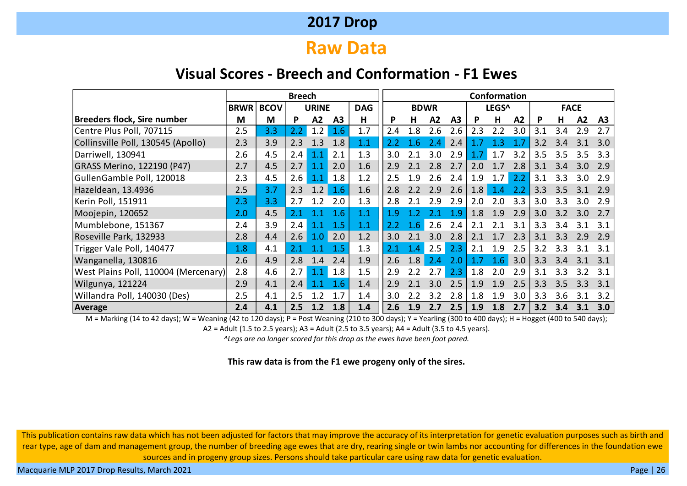# **Raw Data**

### **Visual Scores - Breech and Conformation - F1 Ewes**

|                                      |             |             | <b>Breech</b>                                  |     |     |            |     |     |             |                |     | Conformation |     |     |               |                  |     |
|--------------------------------------|-------------|-------------|------------------------------------------------|-----|-----|------------|-----|-----|-------------|----------------|-----|--------------|-----|-----|---------------|------------------|-----|
|                                      | <b>BRWR</b> | <b>BCOV</b> | <b>URINE</b><br>M<br>A2<br>A <sub>3</sub><br>P |     |     | <b>DAG</b> |     |     | <b>BDWR</b> |                |     | LEGS^        |     |     | <b>FACE</b>   |                  |     |
| Breeders flock, Sire number          | M           |             |                                                |     |     | н          | P   | н   | A2          | A <sub>3</sub> | P   | н            | A2  | P   | н             | A2               | A3  |
| Centre Plus Poll, 707115             | 2.5         | 3.3         | 2.2                                            | 1.2 | 1.6 | 1.7        | 2.4 | 1.8 | 2.6         | 2.6            | 2.3 | 2.2          | 3.0 | 3.1 | 3.4           | 2.9              | 2.7 |
| Collinsville Poll, 130545 (Apollo)   | 2.3         | 3.9         | 2.3                                            | 1.3 | 1.8 | 1.1        | 2.2 | 1.6 | 2.4         | 2.4            |     | 1.3          | 1.7 | 3.2 | 3.4           | 3.1              | 3.0 |
| Darriwell, 130941                    | 2.6         | 4.5         | $2.4^{\circ}$                                  | 1.1 | 2.1 | 1.3        | 3.0 | 2.1 | 3.0         | 2.9            | 1.7 | 1.7          | 3.2 | 3.5 | 3.5           | 3.5              | 3.3 |
| GRASS Merino, 122190 (P47)           | 2.7         | 4.5         | 2.7                                            | 1.1 | 2.0 | 1.6        | 2.9 | 2.1 | 2.8         | 2.7            | 2.0 | 1.7          | 2.8 | 3.1 | 3.4           | 3.0              | 2.9 |
| GullenGamble Poll, 120018            | 2.3         | 4.5         | 2.6                                            | 1.1 | 1.8 | 1.2        | 2.5 | 1.9 | 2.6         | 2.4            | 1.9 | 1.7          | 2.2 | 3.1 | 3.3           | 3.0              | 2.9 |
| Hazeldean, 13.4936                   | 2.5         | 3.7         | 2.3                                            | 1.2 | 1.6 | 1.6        | 2.8 |     | 2.9         | 2.6            | 1.8 | 1.4          |     | 3.3 | 3.5           | 3.1              | 2.9 |
| Kerin Poll, 151911                   | 2.3         | 3.3         | 2.7                                            | 1.2 | 2.0 | 1.3        | 2.8 |     | 2.9         | 2.9            | 2.0 | 2.0          | 3.3 | 3.0 | 3.3           | 3.0 <sub>2</sub> | 2.9 |
| Moojepin, 120652                     | 2.0         | 4.5         |                                                |     | 1.6 | 1.1        | 1.9 |     |             | $\cdot$ 9      | 1.8 | 1.9          | 2.9 | 3.0 | 3.2           | 3.0              | 2.7 |
| Mumblebone, 151367                   | 2.4         | 3.9         | 2.4                                            | 1.1 | 1.5 | 1.1        | 2.2 | 1.6 | 2.6         | 2.4            | 2.1 | 2.1          | 3.1 | 3.3 | 3.4           | 3.1              | 3.1 |
| Roseville Park, 132933               | 2.8         | 4.4         | 2.6                                            | 1.0 | 2.0 | 1.2        | 3.0 |     | 3.0         | 2.8            | 2.1 | 1.7          | 2.3 | 3.1 | 3.3           | 2.9              | 2.9 |
| Trigger Vale Poll, 140477            | 1.8         | 4.1         |                                                |     | 1.5 | 1.3        | 2.1 | 1.4 | 2.5         | 2.3            | 2.1 | 1.9          | 2.5 | 3.2 | 3.3           | 3.1              | 3.1 |
| Wanganella, 130816                   | 2.6         | 4.9         | 2.8                                            | 1.4 | 2.4 | 1.9        | 2.6 | 1.8 | 2.4         | 2.0            | 1.7 | 1.6          | 3.0 | 3.3 | 3.4           | 3.1              | 3.1 |
| West Plains Poll, 110004 (Mercenary) | 2.8         | 4.6         | 2.7                                            | 1.1 | 1.8 | 1.5        | 2.9 |     | 2.7         | 2.3            | 1.8 | 2.0          | 2.9 | 3.1 | 3.3           | 3.2              | 3.1 |
| Wilgunya, 121224                     | 2.9         | 4.1         | 2.4                                            |     | 1.6 | 1.4        | 2.9 |     | 3.0         | 2.5            | 1.9 | 1.9          | 2.5 | 3.3 | $3.5^{\circ}$ | 3.3              | 3.1 |
| Willandra Poll, 140030 (Des)         | 2.5         | 4.1         | 2.5                                            | 1.2 | 1.7 | 1.4        | 3.0 |     | 3.2         | 2.8            | 1.8 | 1.9          | 3.0 | 3.3 | 3.6           | 3.1              | 3.2 |
| Average                              | 2.4         | 4.1         | 2.5                                            | 1.2 | 1.8 | 1.4        | 2.6 | 1.9 | 2.7         | 2.5            | 1.9 | 1.8          | 2.7 | 3.2 | 3.4           | 3.1              | 3.0 |

M = Marking (14 to 42 days); W = Weaning (42 to 120 days); P = Post Weaning (210 to 300 days); Y = Yearling (300 to 400 days); H = Hogget (400 to 540 days);

A2 = Adult (1.5 to 2.5 years); A3 = Adult (2.5 to 3.5 years); A4 = Adult (3.5 to 4.5 years).

*^Legs are no longer scored for this drop as the ewes have been foot pared.*

#### **This raw data is from the F1 ewe progeny only of the sires.**

This publication contains raw data which has not been adjusted for factors that may improve the accuracy of its interpretation for genetic evaluation purposes such as birth and rear type, age of dam and management group, the number of breeding age ewes that are dry, rearing single or twin lambs nor accounting for differences in the foundation ewe sources and in progeny group sizes. Persons should take particular care using raw data for genetic evaluation.

Macquarie MLP 2017 Drop Results, March 2021 **Page | 26** November 2021 Page | 26 November 2018 Page | 26 November 2019 Page | 26 November 2019 Page | 26 November 2019 Page | 26 November 2019 Page | 26 November 2019 Page | 2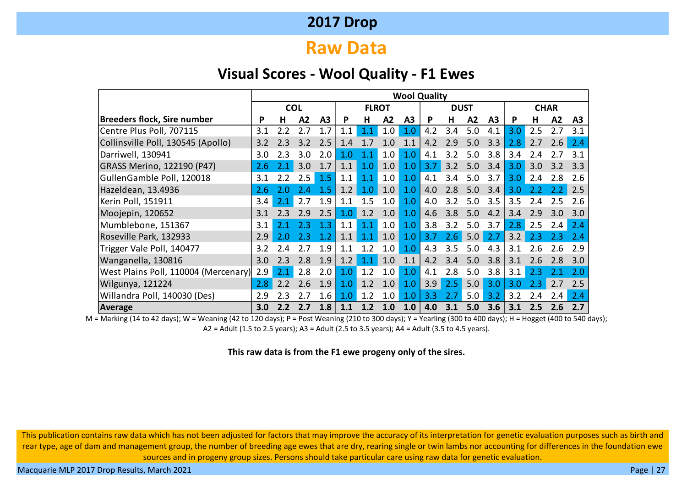### **Raw Data**

#### **Visual Scores - Wool Quality - F1 Ewes**

|                                      |     |            |     |     |     |              |     |     | <b>Wool Quality</b> |             |     |     |     |             |     |     |
|--------------------------------------|-----|------------|-----|-----|-----|--------------|-----|-----|---------------------|-------------|-----|-----|-----|-------------|-----|-----|
|                                      |     | <b>COL</b> |     |     |     | <b>FLROT</b> |     |     |                     | <b>DUST</b> |     |     |     | <b>CHAR</b> |     |     |
| <b>Breeders flock, Sire number</b>   | P   | н          | A2  | A3  | P   | н            | A2  | А3  | P                   | н           | A2  | A3  | P   | Н           | A2  | A3  |
| Centre Plus Poll, 707115             | 3.1 | 2.2        | 2.7 | 1.7 | 1.1 | $1.1\,$      | 1.0 | 1.0 | 4.2                 | 3.4         | 5.0 | 4.1 | 3.0 | 2.5         | 2.7 | 3.1 |
| Collinsville Poll, 130545 (Apollo)   | 3.2 | つっ         | 3.2 | 2.5 | 1.4 |              | 1.0 |     | 4.2                 | 2.9         | 5.0 | 3.3 | 2.8 | 2.7         | 2.6 | 2.4 |
| Darriwell, 130941                    | 3.0 | 2.3        | 3.0 | 2.0 | 1.0 |              | 1.0 | 1.0 | 4.1                 | 3.2         | 5.0 | 3.8 | 3.4 | 2.4         | 2.7 | 3.1 |
| GRASS Merino, 122190 (P47)           | 2.6 |            | 3.0 | 1.7 | 1.1 | 1.0          | 1.0 | 1.0 | 3.7                 | 3.2         | 5.0 | 3.4 | 3.0 | 3.0         | 3.2 | 3.3 |
| GullenGamble Poll, 120018            | 3.1 | 2.2        | 2.5 | 1.5 | 1.1 | $1.1\,$      | 1.0 | 1.0 | 4.1                 | 3.4         | 5.0 | 3.7 | 3.0 | 2.4         | 2.8 | 2.6 |
| Hazeldean, 13.4936                   | 2.6 | 2.0        | 2 A | 1.5 | 1.2 | 1.0          | 1.0 | 1.0 | 4.0                 | 2.8         | 5.0 | 3.4 | 3.0 |             |     | 2.5 |
| Kerin Poll, 151911                   | 3.4 | 2.1        | 2.7 | 1.9 | 1.1 | 1.5          | 1.0 | 1.0 | 4.0                 | 3.2         | 5.0 | 3.5 | 3.5 | 2.4         | 2.5 | 2.6 |
| Moojepin, 120652                     | 3.1 | 2.3        | 2.9 | 2.5 | 1.0 | 1.2          | 1.0 | 1.0 | 4.6                 | 3.8         | 5.0 | 4.2 | 3.4 | 2.9         | 3.0 | 3.0 |
| Mumblebone, 151367                   | 3.1 | 2.1        | 2.3 | 1.3 | 1.1 | 1.1          | 1.0 | 1.0 | 3.8                 | 3.2         | 5.0 | 3.7 | 2.8 | 2.5         | 2.4 | 2.4 |
| Roseville Park, 132933               | 2.9 | 2.0        | 2.3 | 1.2 | 1.1 |              | 1.0 | 1.0 | 3.7                 | 2.6         | 5.0 | 2.7 | 3.2 | 2.3         | 2.3 | 2.4 |
| Trigger Vale Poll, 140477            | 3.2 | 2.4        | 27  | 1.9 | 1.1 |              | 1.0 | 1.0 | 4.3                 | 3.5         | 5.0 | 4.3 | 3.1 | 2.6         | 2.6 | 2.9 |
| Wanganella, 130816                   | 3.0 | 2.3        | 2.8 | 1.9 | 1.2 |              | 1.0 | 1.1 | 4.2                 | 3.4         | 5.0 | 3.8 | 3.1 | 2.6         | 2.8 | 3.0 |
| West Plains Poll, 110004 (Mercenary) | 2.9 |            | 2.8 | 2.0 | 1.0 | 1.2          | 1.0 | 1.0 | 4.1                 | 2.8         | 5.0 | 3.8 | 3.1 | 2.3         |     | 2.0 |
| Wilgunya, 121224                     | 2.8 | 2.2        | 2.6 | 1.9 | 1.0 | 1.2          | 1.0 | 1.0 | 3.9                 | 2.5         | 5.0 | 3.0 | 3.0 | 2.3         | 2.7 | 2.5 |
| Willandra Poll, 140030 (Des)         | 2.9 | 2.3        | 2.7 | 1.6 | 1.0 |              | 1.0 | 1.0 | 3.3                 | 2.7         | 5.0 | 3.2 | 3.2 | 2.4         | 2.4 | 2.4 |
| Average                              | 3.0 |            | 2.7 | 1.8 | 1.1 |              | 1.0 | 1.0 | 4.0                 | 3.1         | 5.0 | 3.6 | 3.1 | 2.5         | 2.6 | 2.7 |

M = Marking (14 to 42 days); W = Weaning (42 to 120 days); P = Post Weaning (210 to 300 days); Y = Yearling (300 to 400 days); H = Hogget (400 to 540 days); A2 = Adult (1.5 to 2.5 years); A3 = Adult (2.5 to 3.5 years); A4 = Adult (3.5 to 4.5 years).

#### **This raw data is from the F1 ewe progeny only of the sires.**

This publication contains raw data which has not been adjusted for factors that may improve the accuracy of its interpretation for genetic evaluation purposes such as birth and rear type, age of dam and management group, the number of breeding age ewes that are dry, rearing single or twin lambs nor accounting for differences in the foundation ewe sources and in progeny group sizes. Persons should take particular care using raw data for genetic evaluation.

Macquarie MLP 2017 Drop Results, March 2021 **Page | 27** National Accounts of the United States of the United States and Page | 27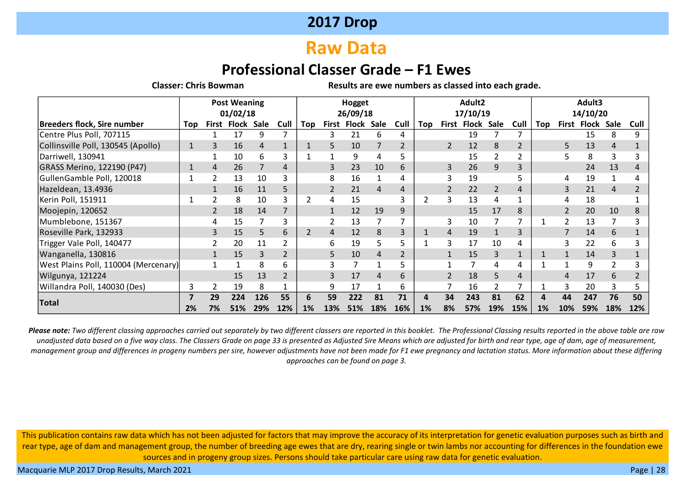# **Raw Data**

### **Professional Classer Grade – F1 Ewes**

**Classer: Chris Bowman Results are ewe numbers as classed into each grade.**

|                                      |            | <b>Post Weaning</b><br>01/02/18<br>Cull<br>Flock Sale<br>First |     |     |                |     |                | Hogget<br>26/09/18 |     |      |     |                | Adult2<br>17/10/19 |                |      |     |                          | Adult3<br>14/10/20 |     |      |
|--------------------------------------|------------|----------------------------------------------------------------|-----|-----|----------------|-----|----------------|--------------------|-----|------|-----|----------------|--------------------|----------------|------|-----|--------------------------|--------------------|-----|------|
| <b>Breeders flock, Sire number</b>   | <b>Top</b> |                                                                |     |     |                | Top |                | First Flock Sale   |     | Cull | Top |                | First Flock Sale   |                | Cull | Top | First                    | Flock Sale         |     | Cull |
| Centre Plus Poll, 707115             |            |                                                                | 17  | 9   |                |     | 3.             | 21                 | 6   | 4    |     |                | 19                 |                |      |     |                          | 15                 | 8   |      |
| Collinsville Poll, 130545 (Apollo)   | 1          |                                                                | 16  | 4   |                |     | 5.             | 10                 |     | 2    |     | $\overline{2}$ | 12                 | 8              |      |     | 5                        | 13                 | 4   |      |
| Darriwell, 130941                    |            |                                                                | 10  | 6   | 3              |     |                | 9                  | 4   | 5    |     |                | 15                 | 2              |      |     | 5                        | 8                  | 3   |      |
| GRASS Merino, 122190 (P47)           |            | 4                                                              | 26  |     | 4              |     | 3              | 23                 | 10  | 6    |     | 3              | 26                 | 9              |      |     |                          | 24                 | 13  |      |
| GullenGamble Poll, 120018            |            |                                                                | 13  | 10  | 3              |     | 8              | 16                 |     | 4    |     | 3              | 19                 |                |      |     | 4                        | 19                 |     |      |
| Hazeldean, 13.4936                   |            |                                                                | 16  | 11  | 5              |     | $\overline{2}$ | 21                 | 4   | 4    |     | $\overline{2}$ | 22                 | $\overline{2}$ | 4    |     | 3                        | 21                 | 4   |      |
| Kerin Poll, 151911                   |            |                                                                | 8   | 10  | 3              |     | 4              | 15                 |     | 3    | 2   | 3              | 13                 | 4              |      |     | 4                        | 18                 |     |      |
| Moojepin, 120652                     |            |                                                                | 18  | 14  |                |     |                | 12                 | 19  | 9    |     |                | 15                 | 17             | 8    |     | $\overline{\mathcal{L}}$ | 20                 | 10  |      |
| Mumblebone, 151367                   |            |                                                                | 15  |     | 3              |     |                | 13                 |     | ⇁    |     | 3              | 10                 |                |      |     | $\overline{2}$           | 13                 | 7   |      |
| Roseville Park, 132933               |            |                                                                | 15  | 5   | 6              | 2   | 4              | 12                 | 8   | 3    |     | 4              | 19                 |                | 3    |     | $\overline{7}$           | 14                 | 6   |      |
| Trigger Vale Poll, 140477            |            |                                                                | 20  | 11  | 2              |     | 6              | 19                 | 5.  | 5    |     | 3              | 17                 | 10             | 4    |     | 3                        | 22                 | 6   |      |
| Wanganella, 130816                   |            |                                                                | 15  | 3   | $\overline{2}$ |     | 5.             | 10                 | 4   | 2    |     |                | 15                 | 3              |      |     |                          | 14                 | 3   |      |
| West Plains Poll, 110004 (Mercenary) |            |                                                                |     | 8   | 6              |     |                |                    |     | 5    |     |                |                    | 4              | 4    |     |                          | 9                  |     |      |
| Wilgunya, 121224                     |            |                                                                | 15  | 13  | $\overline{2}$ |     | 3              | 17                 | 4   | 6    |     |                | 18                 | 5              | 4    |     | 4                        | 17                 | 6   |      |
| Willandra Poll, 140030 (Des)         |            |                                                                | 19  | 8   |                |     | 9              | 17                 |     | 6    |     |                | 16                 | 2              |      |     | 3                        | 20                 | 3   |      |
|                                      |            | 29                                                             | 224 | 126 | 55             | 6   | 59             | 222                | 81  | 71   | 4   | 34             | 243                | 81             | 62   |     | 44                       | 247                | 76  | 50   |
| Total                                | 2%         | 7%                                                             | 51% | 29% | 12%            | 1%  | 13%            | 51%                | 18% | 16%  | 1%  | 8%             | 57%                | 19%            | 15%  | 1%  | 10%                      | 59%                | 18% | 12%  |

*Please note: Two different classing approaches carried out separately by two different classers are reported in this booklet. The Professional Classing results reported in the above table are raw unadjusted data based on a five way class. The Classers Grade on page 33 is presented as Adjusted Sire Means which are adjusted for birth and rear type, age of dam, age of measurement, management group and differences in progeny numbers per sire, however adjustments have not been made for F1 ewe pregnancy and lactation status. More information about these differing approaches can be found on page 3.*

This publication contains raw data which has not been adjusted for factors that may improve the accuracy of its interpretation for genetic evaluation purposes such as birth and rear type, age of dam and management group, the number of breeding age ewes that are dry, rearing single or twin lambs nor accounting for differences in the foundation ewe sources and in progeny group sizes. Persons should take particular care using raw data for genetic evaluation.

Macquarie MLP 2017 Drop Results, March 2021 **Page | 28** November 2021 Page | 28 November 2018 Page | 28 November 2018 Page | 28 November 2019 Page | 28 November 2019 Page | 28 November 2019 Page | 28 November 2019 Page | 2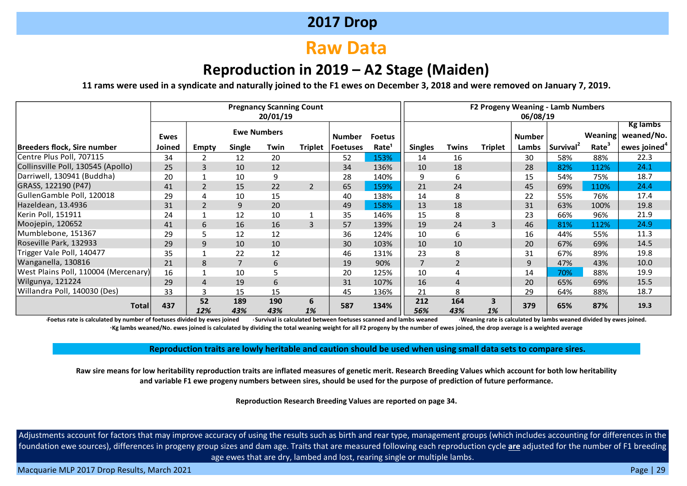# **Raw Data**

### **Reproduction in 2019 – A2 Stage (Maiden)**

**11 rams were used in a syndicate and naturally joined to the F1 ewes on December 3, 2018 and were removed on January 7, 2019.**

|                                      |        |                |               | <b>Pregnancy Scanning Count</b><br>20/01/19 |                |               |                   |                |                | F2 Progeny Weaning - Lamb Numbers | 06/08/19      |                       |         |                               |
|--------------------------------------|--------|----------------|---------------|---------------------------------------------|----------------|---------------|-------------------|----------------|----------------|-----------------------------------|---------------|-----------------------|---------|-------------------------------|
|                                      | Ewes   |                |               | <b>Ewe Numbers</b>                          |                | <b>Number</b> | <b>Foetus</b>     |                |                |                                   | <b>Number</b> |                       | Weaning | <b>Kg lambs</b><br>weaned/No. |
| Breeders flock, Sire number          | Joined | Empty          | <b>Single</b> | Twin                                        | <b>Triplet</b> | Foetuses      | Rate <sup>1</sup> | <b>Singles</b> | <b>Twins</b>   | <b>Triplet</b>                    | Lambs         | Survival <sup>2</sup> | Rate    | ewes joined $4$               |
| Centre Plus Poll, 707115             | 34     | 2              | 12            | 20                                          |                | 52            | 153%              | 14             | 16             |                                   | 30            | 58%                   | 88%     | 22.3                          |
| Collinsville Poll, 130545 (Apollo)   | 25     | 3              | 10            | 12                                          |                | 34            | 136%              | 10             | 18             |                                   | 28            | 82%                   | 112%    | 24.1                          |
| Darriwell, 130941 (Buddha)           | 20     |                | 10            | 9                                           |                | 28            | 140%              | 9              | 6              |                                   | 15            | 54%                   | 75%     | 18.7                          |
| GRASS, 122190 (P47)                  | 41     | $\overline{2}$ | 15            | 22                                          | 2              | 65            | 159%              | 21             | 24             |                                   | 45            | 69%                   | 110%    | 24.4                          |
| GullenGamble Poll, 120018            | 29     | 4              | 10            | 15                                          |                | 40            | 138%              | 14             | 8              |                                   | 22            | 55%                   | 76%     | 17.4                          |
| Hazeldean, 13.4936                   | 31     | $\overline{2}$ | 9             | 20                                          |                | 49            | 158%              | 13             | 18             |                                   | 31            | 63%                   | 100%    | 19.8                          |
| Kerin Poll, 151911                   | 24     |                | 12            | 10                                          |                | 35            | 146%              | 15             | 8              |                                   | 23            | 66%                   | 96%     | 21.9                          |
| Moojepin, 120652                     | 41     | 6              | 16            | 16                                          | 3              | 57            | 139%              | 19             | 24             | 3                                 | 46            | 81%                   | 112%    | 24.9                          |
| Mumblebone, 151367                   | 29     | 5              | 12            | 12                                          |                | 36            | 124%              | 10             | 6              |                                   | 16            | 44%                   | 55%     | 11.3                          |
| Roseville Park, 132933               | 29     | 9              | 10            | 10                                          |                | 30            | 103%              | 10             | 10             |                                   | 20            | 67%                   | 69%     | 14.5                          |
| Trigger Vale Poll, 140477            | 35     |                | 22            | 12                                          |                | 46            | 131%              | 23             | 8              |                                   | 31            | 67%                   | 89%     | 19.8                          |
| Wanganella, 130816                   | 21     | 8              | 7             | 6                                           |                | 19            | 90%               | $\overline{7}$ | $\overline{2}$ |                                   | 9             | 47%                   | 43%     | 10.0                          |
| West Plains Poll, 110004 (Mercenary) | 16     |                | 10            | 5                                           |                | 20            | 125%              | 10             | 4              |                                   | 14            | 70%                   | 88%     | 19.9                          |
| Wilgunya, 121224                     | 29     | 4              | 19            | 6                                           |                | 31            | 107%              | 16             | $\overline{4}$ |                                   | 20            | 65%                   | 69%     | 15.5                          |
| Willandra Poll, 140030 (Des)         | 33     | 3              | 15            | 15                                          |                | 45            | 136%              | 21             | 8              |                                   | 29            | 64%                   | 88%     | 18.7                          |
| <b>Total</b>                         | 437    | 52<br>12%      | 189<br>43%    | 190<br>43%                                  | 6<br>1%        | 587           | 134%              | 212<br>56%     | 164<br>43%     | 3<br>1%                           | 379           | 65%                   | 87%     | 19.3                          |

Foetus rate is calculated by number of foetuses divided by ewes joined . Survival is calculated between foetuses scanned and lambs weaned Weaning rate is calculated by lambs weaned divided by ewes joined. **<sup>4</sup>Kg lambs weaned/No. ewes joined is calculated by dividing the total weaning weight for all F2 progeny by the number of ewes joined, the drop average is a weighted average**

**Reproduction traits are lowly heritable and caution should be used when using small data sets to compare sires.**

**Raw sire means for low heritability reproduction traits are inflated measures of genetic merit. Research Breeding Values which account for both low heritability and variable F1 ewe progeny numbers between sires, should be used for the purpose of prediction of future performance.**

**Reproduction Research Breeding Values are reported on page 34.**

Adjustments account for factors that may improve accuracy of using the results such as birth and rear type, management groups (which includes accounting for differences in the foundation ewe sources), differences in progeny group sizes and dam age. Traits that are measured following each reproduction cycle **are** adjusted for the number of F1 breeding age ewes that are dry, lambed and lost, rearing single or multiple lambs.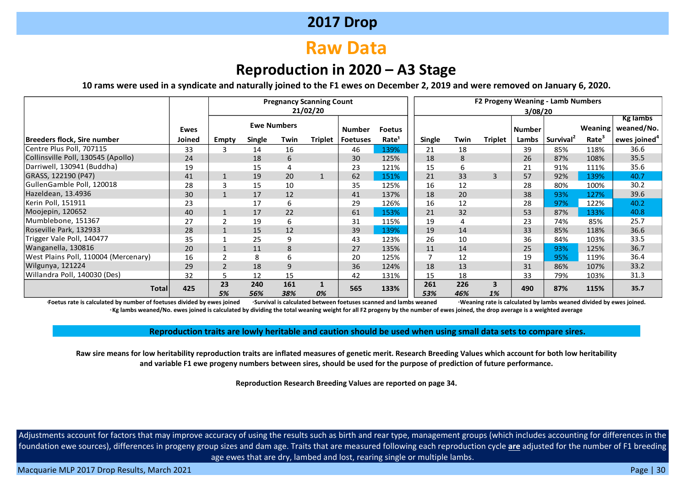# **Raw Data**

### **Reproduction in 2020 – A3 Stage**

**10 rams were used in a syndicate and naturally joined to the F1 ewes on December 2, 2019 and were removed on January 6, 2020.**

|                                      |             |                |               |                    | <b>Pregnancy Scanning Count</b> |                 |                   |               |            |                |               | F2 Progeny Weaning - Lamb Numbers |          |                    |
|--------------------------------------|-------------|----------------|---------------|--------------------|---------------------------------|-----------------|-------------------|---------------|------------|----------------|---------------|-----------------------------------|----------|--------------------|
|                                      |             |                |               |                    | 21/02/20                        |                 |                   |               |            |                | 3/08/20       |                                   |          |                    |
|                                      |             |                |               |                    |                                 |                 |                   |               |            |                |               |                                   |          | <b>Kg lambs</b>    |
|                                      | <b>Ewes</b> |                |               | <b>Ewe Numbers</b> |                                 | <b>Number</b>   | <b>Foetus</b>     |               |            |                | <b>Number</b> |                                   | Weaning! | weaned/No.         |
| Breeders flock, Sire number          | Joined      | Empty          | <b>Single</b> | Twin               | <b>Triplet</b>                  | <b>Foetuses</b> | Rate <sup>1</sup> | <b>Single</b> | Twin       | <b>Triplet</b> | Lambs         | Survival <sup>2</sup>             | Rate     | ewes joined $^4\,$ |
| Centre Plus Poll, 707115             | 33          | 3              | 14            | 16                 |                                 | 46              | 139%              | 21            | 18         |                | 39            | 85%                               | 118%     | 36.6               |
| Collinsville Poll, 130545 (Apollo)   | 24          |                | 18            | 6                  |                                 | 30              | 125%              | 18            | 8          |                | 26            | 87%                               | 108%     | 35.5               |
| Darriwell, 130941 (Buddha)           | 19          |                | 15            |                    |                                 | 23              | 121%              | 15            | 6          |                | 21            | 91%                               | 111%     | 35.6               |
| GRASS, 122190 (P47)                  | 41          |                | 19            | 20                 |                                 | 62              | 151%              | 21            | 33         | 3              | 57            | 92%                               | 139%     | 40.7               |
| GullenGamble Poll, 120018            | 28          |                | 15            | 10                 |                                 | 35              | 125%              | 16            | 12         |                | 28            | 80%                               | 100%     | 30.2               |
| Hazeldean, 13.4936                   | 30          |                | 17            | 12                 |                                 | 41              | 137%              | 18            | 20         |                | 38            | 93%                               | 127%     | 39.6               |
| Kerin Poll, 151911                   | 23          |                | 17            | 6                  |                                 | 29              | 126%              | 16            | 12         |                | 28            | 97%                               | 122%     | 40.2               |
| Moojepin, 120652                     | 40          |                | 17            | 22                 |                                 | 61              | 153%              | 21            | 32         |                | 53            | 87%                               | 133%     | 40.8               |
| Mumblebone, 151367                   | 27          | ົາ             | 19            | 6                  |                                 | 31              | 115%              | 19            |            |                | 23            | 74%                               | 85%      | 25.7               |
| Roseville Park, 132933               | 28          |                | 15            | 12                 |                                 | 39              | 139%              | 19            | 14         |                | 33            | 85%                               | 118%     | 36.6               |
| Trigger Vale Poll, 140477            | 35          |                | 25            | 9                  |                                 | 43              | 123%              | 26            | 10         |                | 36            | 84%                               | 103%     | 33.5               |
| Wanganella, 130816                   | 20          |                | 11            | 8                  |                                 | 27              | 135%              | 11            | 14         |                | 25            | 93%                               | 125%     | 36.7               |
| West Plains Poll, 110004 (Mercenary) | 16          |                | 8             | 6                  |                                 | 20              | 125%              |               | 12         |                | 19            | 95%                               | 119%     | 36.4               |
| Wilgunya, 121224                     | 29          | $\overline{2}$ | 18            | 9                  |                                 | 36              | 124%              | 18            | 13         |                | 31            | 86%                               | 107%     | 33.2               |
| Willandra Poll, 140030 (Des)         | 32          |                | 12            | 15                 |                                 | 42              | 131%              | 15            | 18         |                | 33            | 79%                               | 103%     | 31.3               |
| <b>Total</b>                         | 425         | 23<br>5%       | 240<br>56%    | 161<br>38%         | 0%                              | 565             | 133%              | 261<br>53%    | 226<br>46% | 3<br>1%        | 490           | 87%                               | 115%     | 35.7               |

Foetus rate is calculated by number of foetuses divided by ewes joined <br>Foetus rate is calculated by lambs weaned divided by ewes joined. **<sup>4</sup> Kg lambs weaned/No. ewes joined is calculated by dividing the total weaning weight for all F2 progeny by the number of ewes joined, the drop average is a weighted average**

**Reproduction traits are lowly heritable and caution should be used when using small data sets to compare sires.**

**Raw sire means for low heritability reproduction traits are inflated measures of genetic merit. Research Breeding Values which account for both low heritability and variable F1 ewe progeny numbers between sires, should be used for the purpose of prediction of future performance.**

**Reproduction Research Breeding Values are reported on page 34.**

Adjustments account for factors that may improve accuracy of using the results such as birth and rear type, management groups (which includes accounting for differences in the foundation ewe sources), differences in progeny group sizes and dam age. Traits that are measured following each reproduction cycle **are** adjusted for the number of F1 breeding age ewes that are dry, lambed and lost, rearing single or multiple lambs.

Macquarie MLP 2017 Drop Results, March 2021 **Page | 30** November 2021 Page | 30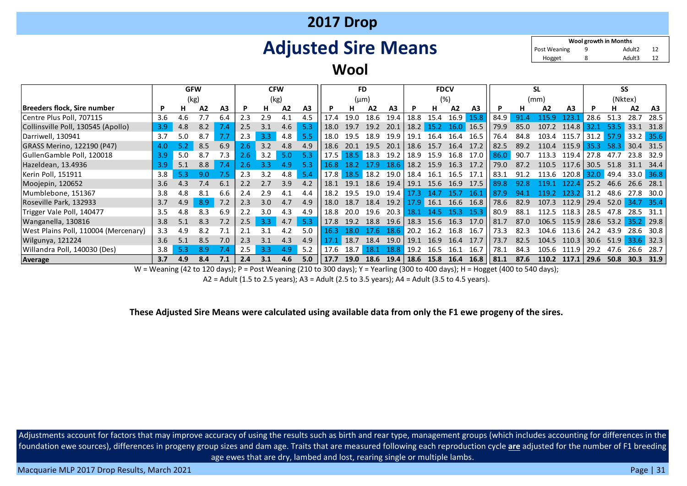# **Adjusted Sire Means**

9 12 Adult2 8 12 Adult3 **Wool growth in Months** Hogget Post Weaning

#### **Wool**

|                                      |     | <b>GFW</b> |     |                |               | <b>CFW</b> |      |     |      | <b>FD</b> |           |                |      | <b>FDCV</b> |      |                |      |              | SL    |                |           |                | SS        |        |
|--------------------------------------|-----|------------|-----|----------------|---------------|------------|------|-----|------|-----------|-----------|----------------|------|-------------|------|----------------|------|--------------|-------|----------------|-----------|----------------|-----------|--------|
|                                      |     | (kg)       |     |                |               |            | (kg) |     |      | $(\mu m)$ |           |                |      |             | (%)  |                |      |              | (mm)  |                |           | (Nktex)        |           |        |
| Breeders flock, Sire number          | P   |            | A2  | A <sub>3</sub> |               | н          | A2   | A3  |      | н         | A2        | A <sub>3</sub> |      |             | A2   | A <sub>3</sub> |      | н.           | A2    | A <sub>3</sub> |           | н              | A2        | A3     |
| Centre Plus Poll, 707115             | 3.6 | 4.6        |     | 6.4            | 2.3           | 2.9        | 4.1  | 4.5 | 17.4 | 19.0      | 18.6      | 19.4           | 18.8 | 15.4        | 16.9 | 15.8           | 84.9 | 91.4         |       | 123.           | 28.6      | 51.3           | 28.7      | 28.5   |
| Collinsville Poll, 130545 (Apollo)   | 3.9 | 4.8        | 8.2 |                | 2.5           | 3.1        | 4.6  | 5.3 | 18.0 | 19.7      | 19.2      | 20.1           | 18.2 | 15.2        | 16.0 | 16.5           | 79.9 | 85.0         | 107.2 | 114.8          | 32.1      | - 53.5         | 33.1      | 31.8   |
| Darriwell, 130941                    | 3.7 | 5.0        | 8.7 |                | 2.3           | 3.3        | 4.8  | 5.5 | 18.0 | 19.5      | 18.9      | 19.9           | 19.1 | 16.4        | 16.4 | 16.5           | 76.4 | 84.8         | 103.4 | 115.7          |           | 31.2 57.9 33.2 |           | 35.6   |
| GRASS Merino, 122190 (P47)           | 4.0 |            | 8.5 | 6.9            | 2.6           | 3.2        | 4.8  | 4.9 | 18.6 | 20.1      | 19.5      | 20.1           | 18.6 | 15.7        | 16.4 | 17.2           | 82.5 | 89.2         | 110.4 | 115.9          | 35.3 58.3 |                | 30.4      | - 31.5 |
| GullenGamble Poll, 120018            | 3.9 | 5.0        | 8.7 | 7.3            | $2.6^{\circ}$ | 3.2        | 5.0  | 5.3 | 17.5 |           | 18.5 18.3 | 19.2           | 18.9 | 15.9        | 16.8 | 17.0           | 86.0 | 90.7         | 113.3 | 119.4          | 27.8      | 47.7           | 23.8      | 32.9   |
| Hazeldean, 13.4936                   | 3.9 | 5.1        | 8.8 | 7.4            | 2.6           | 3.3        | 4.9  | 5.3 | 16.8 | 18.2      | 179       | 18.6           | 18.2 | 15.9        | 16.3 | 17.2           | 79.0 | 87.2         | 110.5 | 117.6          | 30.5      | 51.8           | 31.1      | 34.4   |
| Kerin Poll, 151911                   | 3.8 | 5.3        | 9.0 |                | 2.3           | 3.2        | 4.8  | 5.4 | 17.8 |           | 18.5 18.2 | 19.0           | 18.4 | 16.1        | 16.5 | 17.1           | 83.1 | 91.2         | 113.6 | 120.8          | 32.0      | 49.4           | 33.0 36.8 |        |
| Moojepin, 120652                     | 3.6 | 4.3        | 7.4 | 6.1            | $2.2^{\circ}$ |            | 3.9  | 4.2 | 18.1 | 19.1      | 18.6      | 19.4           | 19.1 | 15.6        | 16.9 | 17.5           | 89.8 | 92.8         | 119   | 122            | 25.2      | 46.6           | 26.6      | 28.1   |
| Mumblebone, 151367                   | 3.8 | 4.8        | 8.1 | 6.6            | 2.4           | 2.9        | 4.1  | 4.4 | 18.2 | 19.5      | 19.0      | 19.4           |      |             | 15.  | 16.            | 87.9 | $94^{\circ}$ | 119.2 | 123.2          | 31.2      | 48.6           | 27.8      | 30.0   |
| Roseville Park, 132933               | 3.7 | 4.9        | 8.9 | 7.2            | 2.3           | 3.0        | 4.7  | 4.9 | 18.0 | 18.7      | 18.4      | 19.2           | 17.9 | 16.1        | 16.6 | 16.8           | 78.6 | 82.9         | 107.3 | 112.9          | 29.4      | 52.0           | 34.7      | 35.4   |
| Trigger Vale Poll, 140477            | 3.5 | 4.8        | 8.3 | 6.9            | 2.2           | 3.0        | 4.3  | 4.9 | 18.8 | 20.0      | 19.6      | 20.3           |      |             | 15 3 | 15.3           | 80.9 | 88.1         | 112.5 | 118.3          | 28.5      | 47.8           | 28.5      | 31.1   |
| Wanganella, 130816                   | 3.8 | 5.1        | 8.3 |                | $2.5^{\circ}$ | 3.3        | 4.7  | 5.3 | 17.8 | 19.2      | 18.8      | 19.6           | 18.3 | 15.6        | 16.3 | 17.0           | 81.7 | 87.0         | 106.5 | 115.9          | 28.6      | 53.2           | 35.2      | 29.8   |
| West Plains Poll, 110004 (Mercenary) | 3.3 | 4.9        | 8.2 |                | 2.1           |            | 4.2  | 5.0 | 16.3 | 18.0      | 17.6      | 18.6           | 20.2 | 16.2        | 16.8 | 16.7           | 73.3 | 82.3         | 104.6 | 113.6          | 24.2      | 43.9           | 28.6      | 30.8   |
| Wilgunya, 121224                     | 3.6 | 5.1        | 8.5 | 7.0            | 2.3           | 3.1        | 4.3  | 4.9 |      | 18.7      | 18.4      | 19.0           | 19.1 | 16.9        | 16.4 | 17.7           | 73.7 | 82.5         | 104.5 | 110.3          | 30.6      | 51.9           | 33.6      | 32.3   |
| Willandra Poll, 140030 (Des)         | 3.8 | 5.3        | 8.9 |                | 2.5           | 3.3        | 4.9  | 5.2 | 17.6 | 18.7      | 18.1      | 18.8           | 19.2 | 165         | 16.1 | 16.7           | 78.1 | 84.3         | 105.6 | 111.9          | 29.2      | 47.6           | 26.6      | 28.7   |
| Average                              | 3.7 | 4.9        | 8.4 | 7.1            | 2.4           | 3.1        | 4.6  | 5.0 | 17.7 | 19.0      | 18.6      | 19.4           | 18.6 | 15.8        | 16.4 | 16.8           | 81.1 | 87.6         | 110.2 | 117.1          | 29.6      | 50.8           | 30.3      | 31.9   |

W = Weaning (42 to 120 days); P = Post Weaning (210 to 300 days); Y = Yearling (300 to 400 days); H = Hogget (400 to 540 days);

A2 = Adult (1.5 to 2.5 years); A3 = Adult (2.5 to 3.5 years); A4 = Adult (3.5 to 4.5 years).

**These Adjusted Sire Means were calculated using available data from only the F1 ewe progeny of the sires.**

Adjustments account for factors that may improve accuracy of using the results such as birth and rear type, management groups (which includes accounting for differences in the foundation ewe sources), differences in progeny group sizes and dam age. Traits that are measured following each reproduction cycle **are** adjusted for the number of F1 breeding age ewes that are dry, lambed and lost, rearing single or multiple lambs.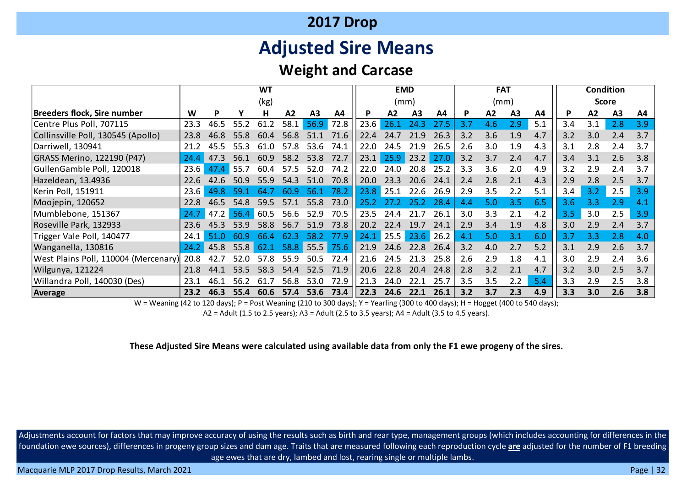# **Adjusted Sire Means**

### **Weight and Carcase**

|                                      | <b>WT</b> |      |           |          |      |                |      |      |          | <b>EMD</b>     |      |     | <b>FAT</b> |                |     |     |     | <b>Condition</b> |     |
|--------------------------------------|-----------|------|-----------|----------|------|----------------|------|------|----------|----------------|------|-----|------------|----------------|-----|-----|-----|------------------|-----|
|                                      |           |      |           | (kg)     |      |                |      |      |          | (mm)           |      |     | (mm)       |                |     |     |     | <b>Score</b>     |     |
| <b>Breeders flock, Sire number</b>   | W         | P    |           | н        | А2   | A <sub>3</sub> | A4   | P    | A2       | A <sub>3</sub> | A4   | P   | A2         | A <sub>3</sub> | A4  | P   | A2  | A <sub>3</sub>   | A4  |
| Centre Plus Poll, 707115             | 23.3      | 46.5 | 55.2      | 61.2     | 58.1 | 56.9           | 72.8 | 23.6 | 26.1     | 24.3           | 27.5 | 3.7 | 4.6        | 2.9            | 5.1 | 3.4 | 3.1 | 2.8              | 3.9 |
| Collinsville Poll, 130545 (Apollo)   | 23.8      | 46.8 | 55.8      | 60.4     | 56.8 | 51.1           | 71.6 | 22.4 | 24.      | 21.9           | 26.3 | 3.2 | 3.6        | 1.9            | 4.7 | 3.2 | 3.0 | 2.4              | 3.7 |
| Darriwell, 130941                    | 21.2      | 45.5 | 3<br>55   | 61.O     | 57.8 | 53.6           | 74.1 | 22.0 | 24.5     | 21.9           | 26.5 | 2.6 | 3.0        | 1.9            | 4.3 | 3.1 | 2.8 | 2.4              | 3.7 |
| GRASS Merino, 122190 (P47)           | 24.4      | 47.3 | 56.1      | 60.9     | 58.2 | 53.8           | 72.7 | 23.1 | 25.9     | 23.2           | 27.0 | 3.2 | 3.7        | 2.4            | 4.7 | 3.4 | 3.1 | 2.6              | 3.8 |
| GullenGamble Poll, 120018            | 23.6      | 47.4 | 55.7      | 60.4     | 57.5 | 52.0           | 74.2 | 22.0 | 24.0     | 20.8           | 25.2 | 3.3 | 3.6        | 2.0            | 4.9 | 3.2 | 2.9 | 2.4              | 3.7 |
| Hazeldean, 13.4936                   | 22.6      | 42.6 | 50.9      | 55.9     | 54.3 | 51.0           | 70.8 | 20.0 | 23.3     | 20.6           | 24.1 | 2.4 | 2.8        | 2.1            | 4.3 | 2.9 | 2.8 | 2.5              | 3.7 |
| Kerin Poll, 151911                   | 23.6      | 49.8 |           | -64      | 60.9 | -56.1          | 78.2 | 23.8 | 25.1     | 22.6           | 26.9 | 2.9 | 3.5        | 2.2            | 5.1 | 3.4 | 3.2 | 2.5              | 3.9 |
| Moojepin, 120652                     | 22.8      | 46.5 | 54.8      | 59.5     | 57.1 | 55.8           | 73.0 | 25.2 |          | 25.2           | 28.4 | 4.4 | 5.0        | 3.5            | 6.5 | 3.6 | 3.3 | 2.9              | 4.1 |
| Mumblebone, 151367                   | 24.7      | 47.2 | 56.4      | 60.5     | 56.6 | 52.9           | 70.5 | 23.5 | 24.4     | 21.7           | 26.1 | 3.0 | 3.3        | 2.1            | 4.2 | 3.5 | 3.0 | 2.5              | 3.9 |
| Roseville Park, 132933               | 23.6      | 45.3 | 53.9      | 58.8     | 56.7 | 51.9           | 73.8 | 20.2 | 22.4     | 19.7           | 24.1 | 2.9 | 3.4        | 1.9            | 4.8 | 3.0 | 2.9 | 2.4              | 3.7 |
| Trigger Vale Poll, 140477            | 24.1      | 51.0 | 60.9      | 66.4     | 62.3 | 58.2           | 77.9 | 24.1 | 25.5     | 23.6           | 26.2 | 4.1 | 5.0        | 3.1            | 6.0 | 3.7 | 3.3 | 2.8              | 4.0 |
| Wanganella, 130816                   | 24.2      | 45.8 | 55.8      | 62.1     | 58.8 | 55.5           | 75.6 | 21.9 | 24.6     | 22.8           | 26.4 | 3.2 | 4.0        | 2.7            | 5.2 | 3.1 | 2.9 | 2.6              | 3.7 |
| West Plains Poll, 110004 (Mercenary) | 20.8      | 42.7 | 52.0      | 57<br>.8 | 55.9 | 50.5           | 72.4 | 21.6 | 24.<br>5 | 21.3           | 25.8 | 2.6 | 2.9        | 1.8            | 4.1 | 3.0 | 2.9 | 2.4              | 3.6 |
| Wilgunya, 121224                     | 21.8      | 44   | 53<br>. 5 | 58.3     | 54.  | 52.5           | 71.9 | 20.6 | 22.8     | 20.4           | 24.8 | 2.8 | 3.2        | 2.1            | 4.7 | 3.2 | 3.0 | 2.5              | 3.7 |
| Willandra Poll, 140030 (Des)         | 23.1      | 46.  | 56.2      | 61.      | 56.8 | 53.0           | 72.9 | 21.3 | 24.0     | 22.1           | 25.7 | 3.5 | 3.5        | 2.2            | 5.4 | 3.3 | 2.9 | 2.5              | 3.8 |
| Average                              | 23.2      | 46.3 | 55.4      | 60.6     | 57.4 | 53.6           | 73.4 | 22.3 | 24.6     | 22.1           | 26.1 | 3.2 | 3.7        | 2.3            | 4.9 | 3.3 | 3.0 | 2.6              | 3.8 |

W = Weaning (42 to 120 days); P = Post Weaning (210 to 300 days); Y = Yearling (300 to 400 days); H = Hogget (400 to 540 days);

A2 = Adult (1.5 to 2.5 years); A3 = Adult (2.5 to 3.5 years); A4 = Adult (3.5 to 4.5 years).

#### **These Adjusted Sire Means were calculated using available data from only the F1 ewe progeny of the sires.**

Adjustments account for factors that may improve accuracy of using the results such as birth and rear type, management groups (which includes accounting for differences in the foundation ewe sources), differences in progeny group sizes and dam age. Traits that are measured following each reproduction cycle **are** adjusted for the number of F1 breeding age ewes that are dry, lambed and lost, rearing single or multiple lambs.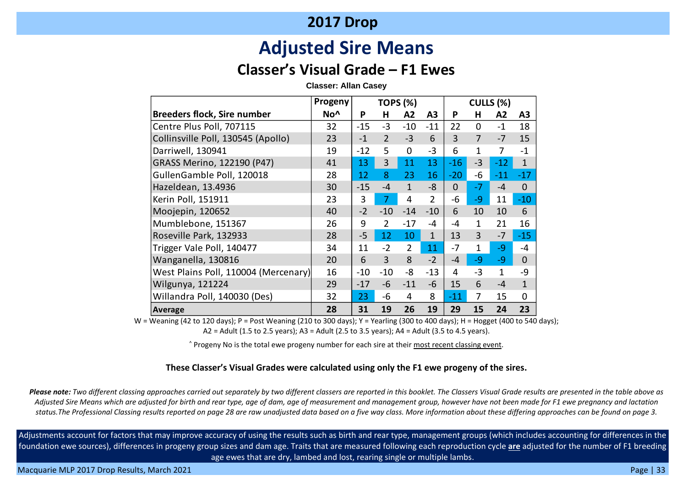# **Adjusted Sire Means**

### **Classer's Visual Grade – F1 Ewes**

**Classer: Allan Casey**

|                                      | Progeny         | <b>TOPS (%)</b> |                |                |                | CULLS (%) |                |              |                |  |
|--------------------------------------|-----------------|-----------------|----------------|----------------|----------------|-----------|----------------|--------------|----------------|--|
| <b>Breeders flock, Sire number</b>   | No <sup>^</sup> | P               | н              | A2             | A3             | P         | н              | A2           | A <sub>3</sub> |  |
| Centre Plus Poll, 707115             | 32              | $-15$           | $-3$           | $-10$          | $-11$          | 22        | $\overline{0}$ | $-1$         | 18             |  |
| Collinsville Poll, 130545 (Apollo)   | 23              | $-1$            | $\overline{2}$ | $-3$           | 6              | 3         | $\overline{7}$ | $-7$         | 15             |  |
| Darriwell, 130941                    | 19              | $-12$           | 5              | $\mathbf 0$    | $-3$           | 6         | 1              | 7            | $-1$           |  |
| GRASS Merino, 122190 (P47)           | 41              | 13              | 3              | 11             | 13             | $-16$     | $-3$           | $-12$        | $\mathbf{1}$   |  |
| GullenGamble Poll, 120018            | 28              | 12              | 8              | 23             | 16             | $-20$     | -6             | $-11$        | $-17$          |  |
| Hazeldean, 13.4936                   | 30              | $-15$           | $-4$           | $\mathbf{1}$   | $-8$           | $\Omega$  | $-7$           | $-4$         | $\mathbf 0$    |  |
| Kerin Poll, 151911                   | 23              | 3               | $\overline{7}$ | 4              | $\overline{2}$ | -6        | -9             | 11           | $-10$          |  |
| Moojepin, 120652                     | 40              | $-2$            | $-10$          | $-14$          | $-10$          | 6         | 10             | 10           | 6              |  |
| Mumblebone, 151367                   | 26              | 9               | $\overline{2}$ | $-17$          | -4             | -4        | $\mathbf{1}$   | 21           | 16             |  |
| Roseville Park, 132933               | 28              | $-5$            | 12             | 10             | $\mathbf{1}$   | 13        | 3              | $-7$         | $-15$          |  |
| Trigger Vale Poll, 140477            | 34              | 11              | $-2$           | $\overline{2}$ | 11             | $-7$      | $\mathbf{1}$   | $-9$         | -4             |  |
| Wanganella, 130816                   | 20              | 6               | $\overline{3}$ | 8              | $-2$           | $-4$      | -9             | -9           | $\mathbf 0$    |  |
| West Plains Poll, 110004 (Mercenary) | 16              | $-10$           | $-10$          | -8             | $-13$          | 4         | $-3$           | $\mathbf{1}$ | -9             |  |
| Wilgunya, 121224                     | 29              | $-17$           | $-6$           | $-11$          | -6             | 15        | 6              | $-4$         | $\mathbf{1}$   |  |
| Willandra Poll, 140030 (Des)         | 32              | 23              | -6             | 4              | 8              | $-11$     | 7              | 15           | $\mathbf 0$    |  |
| Average                              | 28              | 31              | 19             | 26             | 19             | 29        | 15             | 24           | 23             |  |

W = Weaning (42 to 120 days); P = Post Weaning (210 to 300 days); Y = Yearling (300 to 400 days); H = Hogget (400 to 540 days); A2 = Adult (1.5 to 2.5 years); A3 = Adult (2.5 to 3.5 years); A4 = Adult (3.5 to 4.5 years).

^ Progeny No is the total ewe progeny number for each sire at their most recent classing event.

#### **These Classer's Visual Grades were calculated using only the F1 ewe progeny of the sires.**

*Please note: Two different classing approaches carried out separately by two different classers are reported in this booklet. The Classers Visual Grade results are presented in the table above as Adjusted Sire Means which are adjusted for birth and rear type, age of dam, age of measurement and management group, however have not been made for F1 ewe pregnancy and lactation status.The Professional Classing results reported on page 28 are raw unadjusted data based on a five way class. More information about these differing approaches can be found on page 3.*

Adjustments account for factors that may improve accuracy of using the results such as birth and rear type, management groups (which includes accounting for differences in the foundation ewe sources), differences in progeny group sizes and dam age. Traits that are measured following each reproduction cycle **are** adjusted for the number of F1 breeding age ewes that are dry, lambed and lost, rearing single or multiple lambs.

Macquarie MLP 2017 Drop Results, March 2021 **Page | 33** November 2021 Page | 33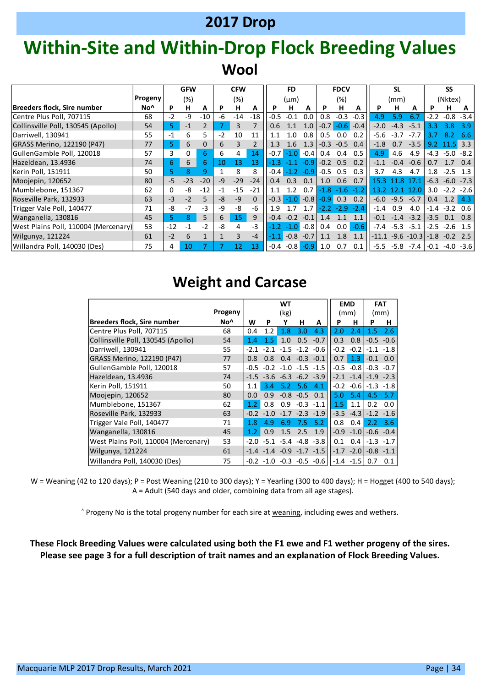# **Within-Site and Within-Drop Flock Breeding Values Wool**

|                                      |         |                | <b>GFW</b> |              |      | <b>CFW</b> |          |          | <b>FD</b> |        |            | <b>FDCV</b> |        |        | <b>SL</b> |                                    |                  | <b>SS</b> |        |
|--------------------------------------|---------|----------------|------------|--------------|------|------------|----------|----------|-----------|--------|------------|-------------|--------|--------|-----------|------------------------------------|------------------|-----------|--------|
|                                      | Progeny |                | (%)        |              |      | (%)        |          |          | $(\mu m)$ |        |            | (%)         |        |        | (mm)      |                                    |                  | (Nktex)   |        |
| <b>Breeders flock, Sire number</b>   | No^     | P              | н          | A            | P    | н          | A        | P        | н         | A      | <b>P</b>   | н           | A      | P      | н         | A                                  |                  | н         | A      |
| Centre Plus Poll, 707115             | 68      | $-2$           | -9         | $-10$        | -6   | $-14$      | $-18$    | $-0.5$   | $-0.1$    | 0.0    | 0.8        | $-0.3$      | $-0.3$ | 4.9    | 5.9       | 6.7                                | $-2.2$           | $-0.8$    | $-3.4$ |
| Collinsville Poll, 130545 (Apollo)   | 54      | 5 <sup>1</sup> | $-1$       |              |      | 3          |          | 0.6      | 1.1       | 1.0    | $-0.7$     | $-0.6$      | $-0.4$ | $-2.0$ | $-4.3$    | $-5.1$                             | 3.3              | 3.8       | 3.9    |
| Darriwell, 130941                    | 55      | $-1$           | 6          | 5            | $-2$ | 10         | 11       | 1.1      | 1.0       | 0.8    | 0.5        | 0.0         | 0.2    | -5.6   | $-3.7$    | $-7.7$                             | 3.7              | 8.2       | 6.6    |
| GRASS Merino, 122190 (P47)           | 77      | 5.             | 6          | $\mathbf{0}$ | 6    |            |          | 1.3      | 1.6       | 1.3    | $-0.3$     | $-0.5$ 0.4  |        | $-1.8$ | 0.7       | $-3.5$                             | 9.2              |           | 3.3    |
| GullenGamble Poll, 120018            | 57      | 3              | 0          | 6            | 6    | 4          | 14       | $-0.71$  | $-1.0$    | $-0.4$ | 0.4        | 0.4         | 0.5    | 4.9    | 4.6       | 4.9                                | $-4.3$           | $-5.0$    | $-8.2$ |
| Hazeldean, 13.4936                   | 74      | 6.             | 6          | 6            | 10   | 13         | 13       | -1.3     |           | $-0.9$ |            | $-0.2$ 0.5  | 0.2    | $-1.1$ | $-0.4$    | $-0.6$                             | 0.7              |           | 0.4    |
| Kerin Poll, 151911                   | 50      | 5.             | 8          | 9            |      | 8          | 8        | $-0.4$   | $-1.2$    | $-0.9$ | $-0.5$ 0.5 |             | 0.3    | 3.7    | 4.3       | 4.7                                | 1.8              | $-2.5$    | 1.3    |
| Moojepin, 120652                     | 80      | $-5$           | $-23$      | $-20$        | $-9$ | $-29$      | $-24$    | 0.4      | 0.3       | 0.1    | 1.0        | 0.6         | 0.7    | 15.3   | -8        | 17.1                               | $-6.3$           | $-6.0$    | $-7.3$ |
| Mumblebone, 151367                   | 62      | 0              | -8         | $-12$        | -1   | $-15$      | $-21$    | 1.1      | 12        | 0.7    | $-1.8$     | $-1.6$      | $-1.2$ | 13 2   |           | 12.0                               | 3.0 <sub>1</sub> | $-2.2$    | $-2.6$ |
| Roseville Park, 132933               | 63      | $-3$           | $-2$       | 5            | -8   | $-9$       | $\Omega$ | $-0.3$   | $-1.0$    | $-0.8$ | $-0.9$ 0.3 |             | 0.2    | $-6.0$ | $-9.5$    | $-6.7$                             | 0.4              | 1.2       | 4.3    |
| Trigger Vale Poll, 140477            | 71      | -8             | $-7$       | $-3$         | -9   | -8         | -6       | 1.9      |           | 1.7    | -22        | $-29$       | $-2.4$ | $-1.4$ | 0.9       | 4.0                                | $-1.4$           | $-3.2$    | 0.6    |
| Wanganella, 130816                   | 45      | 5.             | 8          | 5            | 6    | 15         | 9        | $-0.4$   | $-0.2$    | $-0.1$ | 1.4        | 1.1         | 1.1    | $-0.1$ | $-1.4$    | $-3.2$                             | $-3.5$           | 0.1       | 0.8    |
| West Plains Poll, 110004 (Mercenary) | 53      | $-12$          | $-1$       | $-2$         | -8   | 4          | $-3$     | $-1.2$   | $-1.0$    | $-0.8$ | 0.4        | 0.0         | $-0.6$ | $-7.4$ | $-5.3$    | $-5.1$                             | $-2.5$           | $-2.6$    | 1.5    |
| Wilgunya, 121224                     | 61      | $-2$           | 6          |              |      | 3          | $-4$     | $-1.1$ . | $-0.8$    | $-0.7$ | 1.1        | 1.8         | 1.1    |        |           | -11.1 -9.6 -10.3                   | $-1.8$           | $-0.2$    | 2.5    |
| Willandra Poll, 140030 (Des)         | 75      | 4              | 10         |              |      | 12         | 13       | -0.4     | $-0.8$    | $-0.9$ | 1.0        | 0.7         | 0.1    | $-5.5$ |           | $-5.8$ $-7.4$ $-0.1$ $-4.0$ $-3.6$ |                  |           |        |

### **Weight and Carcase**

|                                      |                 |        |                  | <b>WT</b>    |              |                             |        | <b>EMD</b> |        | <b>FAT</b>   |
|--------------------------------------|-----------------|--------|------------------|--------------|--------------|-----------------------------|--------|------------|--------|--------------|
|                                      | Progeny         |        | (kg)             |              |              | (mm)                        |        | (mm)       |        |              |
| <b>Breeders flock, Sire number</b>   | No <sup>^</sup> | W      | P                | Υ            | н            | A                           | P      | н          | P      | н            |
| Centre Plus Poll, 707115             | 68              | 0.4    | 1.2              | 1.8          | 3.0          | 4.3                         | 2.0    | 2.4        | 1.5    | 2.6          |
| Collinsville Poll, 130545 (Apollo)   | 54              | 1.4    | 1.5 <sub>1</sub> | 1.0          | 0.5          | $-0.7$                      | 0.3    | 0.8        | $-0.5$ | $-0.6$       |
| Darriwell, 130941                    | 55              | $-2.1$ | $-2.1$           | $-1.5$       | $-1.2$       | -0.6                        | $-0.2$ | $-0.2$     | $-1.1$ | $-1.8$       |
| GRASS Merino, 122190 (P47)           | 77              | 0.8    | 0.8              | 0.4          | $-0.3$       | $-0.1$                      | 0.7    | 1.3        | $-0.1$ | 0.0          |
| GullenGamble Poll, 120018            | 57              | $-0.5$ | $-0.2$           |              |              | $-1.0$ $-1.5$ $-1.5$        | $-0.5$ | $-0.8$     | $-0.3$ | $-0.7$       |
| Hazeldean, 13.4936                   | 74              | $-1.5$ | $-3.6$           | $-6.3$       | $-6.2 -3.9$  |                             | $-2.1$ | $-1.4$     |        | $-1.9 -2.3$  |
| Kerin Poll, 151911                   | 50              | 1.1    | 3.4              | 5.2          | 5.6          | 4.1                         | $-0.2$ | $-0.6$     | $-1.3$ | $-1.8$       |
| Moojepin, 120652                     | 80              | 0.0    | 0.9              |              | $-0.8 - 0.5$ | 0.1                         | 5.0    | 5.4        | 4.5    | 5.7          |
| Mumblebone, 151367                   | 62              | 1.2    | 0.8              | 0.9          | $-0.3$       | $-1.1$                      | 1.5    | 1.1        | 0.2    | 0.0          |
| Roseville Park, 132933               | 63              | $-0.2$ | $-1.0$           | $-1.7$       | $-2.3$       | $-1.9$                      | $-3.5$ | $-4.3$     |        | $-1.2 -1.6$  |
| Trigger Vale Poll, 140477            | 71              | 1.8    | 4.9              | 6.9          | 7.5          | 5.2                         | 0.8    | 0.4        | 2.2    | 3.6          |
| Wanganella, 130816                   | 45              | 1.2    | 0.9              | 1.5          | 2.5          | 1.9                         | $-0.9$ | $-1.0$     |        | $-0.6 - 0.4$ |
| West Plains Poll, 110004 (Mercenary) | 53              | $-2.0$ |                  | $-5.1 - 5.4$ |              | $-4.8 - 3.8$                | 0.1    | 0.4        | $-1.3$ | $-1.7$       |
| Wilgunya, 121224                     | 61              | $-1.4$ |                  |              |              | $-1.4$ $-0.9$ $-1.7$ $-1.5$ | $-1.7$ | $-2.0$     | $-0.8$ | $-1.1$       |
| Willandra Poll, 140030 (Des)         | 75              |        | $-0.2 -1.0$      |              | $-0.3 -0.5$  | $-0.6$                      | $-1.4$ | $-1.5$     | 0.7    | 0.1          |

W = Weaning (42 to 120 days); P = Post Weaning (210 to 300 days); Y = Yearling (300 to 400 days); H = Hogget (400 to 540 days); A = Adult (540 days and older, combining data from all age stages).

^ Progeny No is the total progeny number for each sire at weaning, including ewes and wethers.

**These Flock Breeding Values were calculated using both the F1 ewe and F1 wether progeny of the sires. Please see page 3 for a full description of trait names and an explanation of Flock Breeding Values.**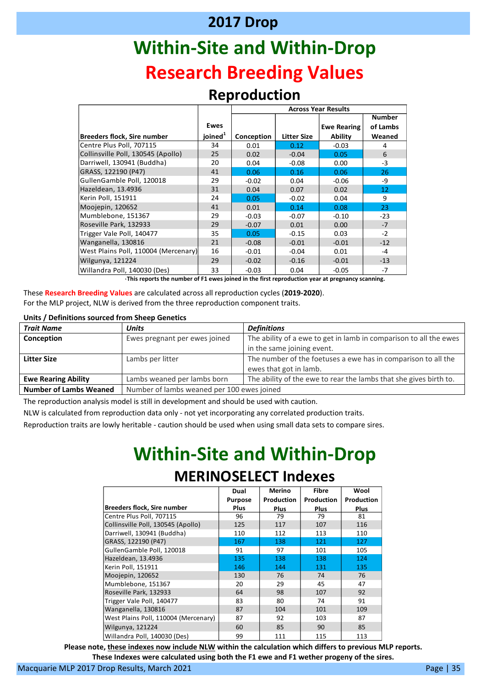# **Within-Site and Within-Drop Research Breeding Values**

#### **Reproduction**

|                                      |                     | <b>Across Year Results</b> |                    |                    |               |  |  |
|--------------------------------------|---------------------|----------------------------|--------------------|--------------------|---------------|--|--|
|                                      |                     |                            |                    |                    | <b>Number</b> |  |  |
|                                      | <b>Ewes</b>         |                            |                    | <b>Ewe Rearing</b> | of Lambs      |  |  |
| <b>Breeders flock, Sire number</b>   | joined <sup>1</sup> | Conception                 | <b>Litter Size</b> | Ability            | Weaned        |  |  |
| Centre Plus Poll, 707115             | 34                  | 0.01                       | 0.12               | $-0.03$            | 4             |  |  |
| Collinsville Poll, 130545 (Apollo)   | 25                  | 0.02                       | $-0.04$            | 0.05               | 6             |  |  |
| Darriwell, 130941 (Buddha)           | 20                  | 0.04                       | $-0.08$            | 0.00               | $-3$          |  |  |
| GRASS, 122190 (P47)                  | 41                  | 0.06                       | 0.16               | 0.06               | 26            |  |  |
| GullenGamble Poll, 120018            | 29                  | $-0.02$                    | 0.04               | $-0.06$            | -9            |  |  |
| Hazeldean, 13.4936                   | 31                  | 0.04                       | 0.07               | 0.02               | 12            |  |  |
| Kerin Poll, 151911                   | 24                  | 0.05                       | $-0.02$            | 0.04               | 9             |  |  |
| Moojepin, 120652                     | 41                  | 0.01                       | 0.14               | 0.08               | 23            |  |  |
| Mumblebone, 151367                   | 29                  | $-0.03$                    | $-0.07$            | $-0.10$            | $-23$         |  |  |
| Roseville Park, 132933               | 29                  | $-0.07$                    | 0.01               | 0.00               | $-7$          |  |  |
| Trigger Vale Poll, 140477            | 35                  | 0.05                       | $-0.15$            | 0.03               | $-2$          |  |  |
| Wanganella, 130816                   | 21                  | $-0.08$                    | $-0.01$            | $-0.01$            | $-12$         |  |  |
| West Plains Poll, 110004 (Mercenary) | 16                  | $-0.01$                    | $-0.04$            | 0.01               | $-4$          |  |  |
| Wilgunya, 121224                     | 29                  | $-0.02$                    | $-0.16$            | $-0.01$            | $-13$         |  |  |
| Willandra Poll, 140030 (Des)         | 33                  | $-0.03$                    | 0.04               | $-0.05$            | $-7$          |  |  |

**<sup>1</sup>This reports the number of F1 ewes joined in the first reproduction year at pregnancy scanning.**

These **Research Breeding Values** are calculated across all reproduction cycles (**2019-2020**). For the MLP project, NLW is derived from the three reproduction component traits.

#### **Units / Definitions sourced from Sheep Genetics**

| <b>Trait Name</b>             | <b>Units</b>                               | <b>Definitions</b>                                                |  |  |  |
|-------------------------------|--------------------------------------------|-------------------------------------------------------------------|--|--|--|
| Conception                    | Ewes pregnant per ewes joined              | The ability of a ewe to get in lamb in comparison to all the ewes |  |  |  |
|                               |                                            | in the same joining event.                                        |  |  |  |
| <b>Litter Size</b>            | Lambs per litter                           | The number of the foetuses a ewe has in comparison to all the     |  |  |  |
|                               |                                            | ewes that got in lamb.                                            |  |  |  |
| <b>Ewe Rearing Ability</b>    | Lambs weaned per lambs born                | The ability of the ewe to rear the lambs that she gives birth to. |  |  |  |
| <b>Number of Lambs Weaned</b> | Number of lambs weaned per 100 ewes joined |                                                                   |  |  |  |

The reproduction analysis model is still in development and should be used with caution.

NLW is calculated from reproduction data only - not yet incorporating any correlated production traits.

Reproduction traits are lowly heritable - caution should be used when using small data sets to compare sires.

# **Within-Site and Within-Drop MERINOSELECT Indexes**

|                                      | Dual           | <b>Merino</b> | <b>Fibre</b> | Wool        |
|--------------------------------------|----------------|---------------|--------------|-------------|
|                                      | <b>Purpose</b> | Production    | Production   | Production  |
| <b>Breeders flock, Sire number</b>   | Plus           | <b>Plus</b>   | <b>Plus</b>  | <b>Plus</b> |
| Centre Plus Poll, 707115             | 96             | 79            | 79           | 81          |
| Collinsville Poll, 130545 (Apollo)   | 125            | 117           | 107          | 116         |
| Darriwell, 130941 (Buddha)           | 110            | 112           | 113          | 110         |
| GRASS, 122190 (P47)                  | 167            | 138           | 121          | 127         |
| GullenGamble Poll, 120018            | 91             | 97            | 101          | 105         |
| Hazeldean, 13.4936                   | 135            | 138           | 138          | 124         |
| Kerin Poll, 151911                   | 146            | 144           | 131          | 135         |
| Moojepin, 120652                     | 130            | 76            | 74           | 76          |
| Mumblebone, 151367                   | 20             | 29            | 45           | 47          |
| Roseville Park, 132933               | 64             | 98            | 107          | 92          |
| Trigger Vale Poll, 140477            | 83             | 80            | 74           | 91          |
| Wanganella, 130816                   | 87             | 104           | 101          | 109         |
| West Plains Poll, 110004 (Mercenary) | 87             | 92            | 103          | 87          |
| Wilgunya, 121224                     | 60             | 85            | 90           | 85          |
| Willandra Poll, 140030 (Des)         | 99             | 111           | 115          | 113         |

**Please note, these indexes now include NLW within the calculation which differs to previous MLP reports. These Indexes were calculated using both the F1 ewe and F1 wether progeny of the sires.**